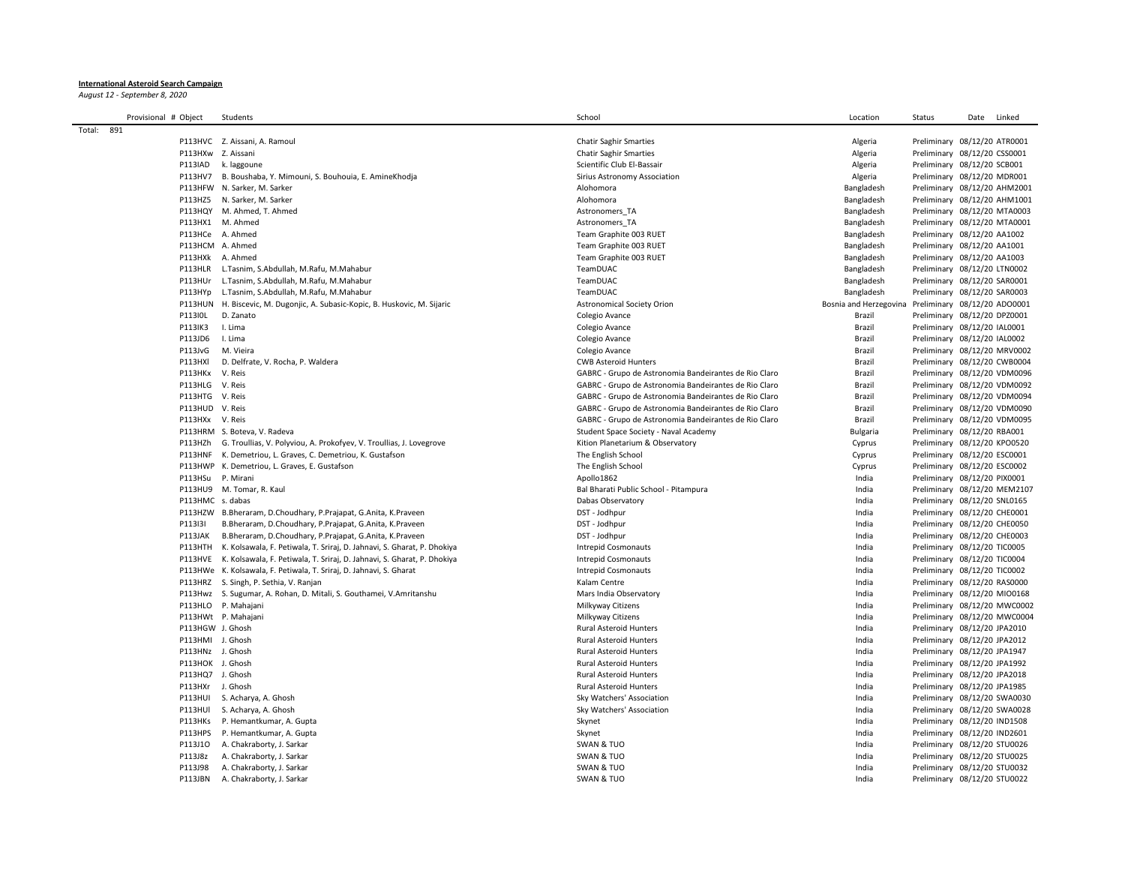## **International Asteroid Search Campaign**

*August 12 - September 8, 2020*

|        | Provisional # Object |                    | Students                                                                        | School                                                | Location               | Status                       | Date | Linked |
|--------|----------------------|--------------------|---------------------------------------------------------------------------------|-------------------------------------------------------|------------------------|------------------------------|------|--------|
| Total: | 891                  |                    |                                                                                 |                                                       |                        |                              |      |        |
|        |                      |                    | P113HVC Z. Aissani, A. Ramoul                                                   | <b>Chatir Saghir Smarties</b>                         | Algeria                | Preliminary 08/12/20 ATR0001 |      |        |
|        |                      | P113HXw Z. Aissani |                                                                                 | <b>Chatir Saghir Smarties</b>                         | Algeria                | Preliminary 08/12/20 CSS0001 |      |        |
|        |                      | P113IAD            | k. laggoune                                                                     | Scientific Club El-Bassair                            | Algeria                | Preliminary 08/12/20 SCB001  |      |        |
|        |                      | P113HV7            | B. Boushaba, Y. Mimouni, S. Bouhouia, E. AmineKhodja                            | Sirius Astronomy Association                          | Algeria                | Preliminary 08/12/20 MDR001  |      |        |
|        |                      |                    | P113HFW N. Sarker, M. Sarker                                                    | Alohomora                                             | Bangladesh             | Preliminary 08/12/20 AHM2001 |      |        |
|        |                      |                    | P113HZ5 N. Sarker, M. Sarker                                                    | Alohomora                                             | Bangladesh             | Preliminary 08/12/20 AHM1001 |      |        |
|        |                      |                    | P113HQY M. Ahmed, T. Ahmed                                                      | Astronomers TA                                        | Bangladesh             | Preliminary 08/12/20 MTA0003 |      |        |
|        |                      |                    | P113HX1 M. Ahmed                                                                | Astronomers TA                                        | Bangladesh             | Preliminary 08/12/20 MTA0001 |      |        |
|        |                      | P113HCe A. Ahmed   |                                                                                 | Team Graphite 003 RUET                                | Bangladesh             | Preliminary 08/12/20 AA1002  |      |        |
|        |                      | P113HCM A. Ahmed   |                                                                                 | Team Graphite 003 RUET                                | Bangladesh             | Preliminary 08/12/20 AA1001  |      |        |
|        |                      | P113HXk A. Ahmed   |                                                                                 | Team Graphite 003 RUET                                | Bangladesh             | Preliminary 08/12/20 AA1003  |      |        |
|        |                      |                    | P113HLR L.Tasnim, S.Abdullah, M.Rafu, M.Mahabur                                 | TeamDUAC                                              | Bangladesh             | Preliminary 08/12/20 LTN0002 |      |        |
|        |                      |                    | P113HUr L.Tasnim, S.Abdullah, M.Rafu, M.Mahabur                                 | TeamDUAC                                              | Bangladesh             | Preliminary 08/12/20 SAR0001 |      |        |
|        |                      |                    | P113HYp L.Tasnim, S.Abdullah, M.Rafu, M.Mahabur                                 | TeamDUAC                                              | Bangladesh             | Preliminary 08/12/20 SAR0003 |      |        |
|        |                      |                    | P113HUN H. Biscevic, M. Dugonjic, A. Subasic-Kopic, B. Huskovic, M. Sijaric     | <b>Astronomical Society Orion</b>                     | Bosnia and Herzegovina | Preliminary 08/12/20 ADO0001 |      |        |
|        |                      | P113I0L            | D. Zanato                                                                       | Colegio Avance                                        | Brazil                 | Preliminary 08/12/20 DPZ0001 |      |        |
|        |                      | P113IK3            | I. Lima                                                                         | Colegio Avance                                        | Brazil                 | Preliminary 08/12/20 IAL0001 |      |        |
|        |                      | P113JD6            | I. Lima                                                                         | Colegio Avance                                        | Brazil                 | Preliminary 08/12/20 IAL0002 |      |        |
|        |                      | P113JvG            | M. Vieira                                                                       | Colegio Avance                                        | Brazil                 | Preliminary 08/12/20 MRV0002 |      |        |
|        |                      | <b>P113HXI</b>     | D. Delfrate, V. Rocha, P. Waldera                                               | <b>CWB Asteroid Hunters</b>                           | <b>Brazil</b>          | Preliminary 08/12/20 CWB0004 |      |        |
|        |                      | P113HKx            | V. Reis                                                                         | GABRC - Grupo de Astronomia Bandeirantes de Rio Claro | <b>Brazil</b>          | Preliminary 08/12/20 VDM0096 |      |        |
|        |                      | P113HLG V. Reis    |                                                                                 | GABRC - Grupo de Astronomia Bandeirantes de Rio Claro | Brazil                 | Preliminary 08/12/20 VDM0092 |      |        |
|        |                      | P113HTG V. Reis    |                                                                                 | GABRC - Grupo de Astronomia Bandeirantes de Rio Claro | Brazil                 | Preliminary 08/12/20 VDM0094 |      |        |
|        |                      | P113HUD V. Reis    |                                                                                 | GABRC - Grupo de Astronomia Bandeirantes de Rio Claro | Brazil                 | Preliminary 08/12/20 VDM0090 |      |        |
|        |                      | P113HXx V. Reis    |                                                                                 | GABRC - Grupo de Astronomia Bandeirantes de Rio Claro | Brazil                 | Preliminary 08/12/20 VDM0095 |      |        |
|        |                      |                    | P113HRM S. Boteva, V. Radeva                                                    | Student Space Society - Naval Academy                 | <b>Bulgaria</b>        | Preliminary 08/12/20 RBA001  |      |        |
|        |                      |                    | P113HZh G. Troullias, V. Polyviou, A. Prokofyev, V. Troullias, J. Lovegrove     | Kition Planetarium & Observatory                      | Cyprus                 | Preliminary 08/12/20 KPO0520 |      |        |
|        |                      |                    | P113HNF K. Demetriou, L. Graves, C. Demetriou, K. Gustafson                     | The English School                                    | Cyprus                 | Preliminary 08/12/20 ESC0001 |      |        |
|        |                      |                    | P113HWP K. Demetriou, L. Graves, E. Gustafson                                   | The English School                                    | Cyprus                 | Preliminary 08/12/20 ESC0002 |      |        |
|        |                      | P113HSu            | P. Mirani                                                                       | Apollo1862                                            | India                  | Preliminary 08/12/20 PIX0001 |      |        |
|        |                      |                    | P113HU9 M. Tomar, R. Kaul                                                       | Bal Bharati Public School - Pitampura                 | India                  | Preliminary 08/12/20 MEM2107 |      |        |
|        |                      | P113HMC s. dabas   |                                                                                 | Dabas Observatory                                     | India                  | Preliminary 08/12/20 SNL0165 |      |        |
|        |                      |                    | P113HZW B.Bheraram, D.Choudhary, P.Prajapat, G.Anita, K.Praveen                 | DST - Jodhpur                                         | India                  | Preliminary 08/12/20 CHE0001 |      |        |
|        |                      | P113131            | B.Bheraram, D.Choudhary, P.Prajapat, G.Anita, K.Praveen                         | DST - Jodhpur                                         | India                  | Preliminary 08/12/20 CHE0050 |      |        |
|        |                      | P113JAK            | B.Bheraram, D.Choudhary, P.Prajapat, G.Anita, K.Praveen                         | DST - Jodhpur                                         | India                  | Preliminary 08/12/20 CHE0003 |      |        |
|        |                      |                    | P113HTH K. Kolsawala, F. Petiwala, T. Sriraj, D. Jahnavi, S. Gharat, P. Dhokiya | <b>Intrepid Cosmonauts</b>                            | India                  | Preliminary 08/12/20 TIC0005 |      |        |
|        |                      |                    | P113HVE K. Kolsawala, F. Petiwala, T. Sriraj, D. Jahnavi, S. Gharat, P. Dhokiya | <b>Intrepid Cosmonauts</b>                            | India                  | Preliminary 08/12/20 TIC0004 |      |        |
|        |                      |                    | P113HWe K. Kolsawala, F. Petiwala, T. Sriraj, D. Jahnavi, S. Gharat             | <b>Intrepid Cosmonauts</b>                            | India                  | Preliminary 08/12/20 TIC0002 |      |        |
|        |                      |                    | P113HRZ S. Singh, P. Sethia, V. Ranjan                                          | Kalam Centre                                          | India                  | Preliminary 08/12/20 RAS0000 |      |        |
|        |                      |                    | P113Hwz S. Sugumar, A. Rohan, D. Mitali, S. Gouthamei, V.Amritanshu             | Mars India Observatory                                | India                  | Preliminary 08/12/20 MIO0168 |      |        |
|        |                      |                    | P113HLO P. Mahajani                                                             | Milkyway Citizens                                     | India                  | Preliminary 08/12/20 MWC0002 |      |        |
|        |                      |                    | P113HWt P. Mahajani                                                             | Milkyway Citizens                                     | India                  | Preliminary 08/12/20 MWC0004 |      |        |
|        |                      | P113HGW J. Ghosh   |                                                                                 | <b>Rural Asteroid Hunters</b>                         | India                  | Preliminary 08/12/20 JPA2010 |      |        |
|        |                      | P113HMI J. Ghosh   |                                                                                 | <b>Rural Asteroid Hunters</b>                         | India                  | Preliminary 08/12/20 JPA2012 |      |        |
|        |                      | P113HNz J. Ghosh   |                                                                                 | <b>Rural Asteroid Hunters</b>                         | India                  | Preliminary 08/12/20 JPA1947 |      |        |
|        |                      | P113HOK J. Ghosh   |                                                                                 | Rural Asteroid Hunters                                | India                  | Preliminary 08/12/20 JPA1992 |      |        |
|        |                      | P113HQ7 J. Ghosh   |                                                                                 | <b>Rural Asteroid Hunters</b>                         | India                  | Preliminary 08/12/20 JPA2018 |      |        |
|        |                      | P113HXr J. Ghosh   |                                                                                 | <b>Rural Asteroid Hunters</b>                         | India                  | Preliminary 08/12/20 JPA1985 |      |        |
|        |                      |                    | P113HUI S. Acharya, A. Ghosh                                                    | Sky Watchers' Association                             | India                  | Preliminary 08/12/20 SWA0030 |      |        |
|        |                      | P113HUI            | S. Acharya, A. Ghosh                                                            | Sky Watchers' Association                             | India                  | Preliminary 08/12/20 SWA0028 |      |        |
|        |                      | P113HKs            | P. Hemantkumar, A. Gupta                                                        | Skynet                                                | India                  | Preliminary 08/12/20 IND1508 |      |        |
|        |                      | P113HPS            | P. Hemantkumar, A. Gupta                                                        | Skynet                                                | India                  | Preliminary 08/12/20 IND2601 |      |        |
|        |                      | P113J10            | A. Chakraborty, J. Sarkar                                                       | SWAN & TUO                                            | India                  | Preliminary 08/12/20 STU0026 |      |        |
|        |                      | P113J8z            | A. Chakraborty, J. Sarkar                                                       | SWAN & TUO                                            | India                  | Preliminary 08/12/20 STU0025 |      |        |
|        |                      | P113J98            | A. Chakraborty, J. Sarkar                                                       | SWAN & TUO                                            | India                  | Preliminary 08/12/20 STU0032 |      |        |
|        |                      | P113JBN            | A. Chakraborty, J. Sarkar                                                       | <b>SWAN &amp; TUO</b>                                 | India                  | Preliminary 08/12/20 STU0022 |      |        |
|        |                      |                    |                                                                                 |                                                       |                        |                              |      |        |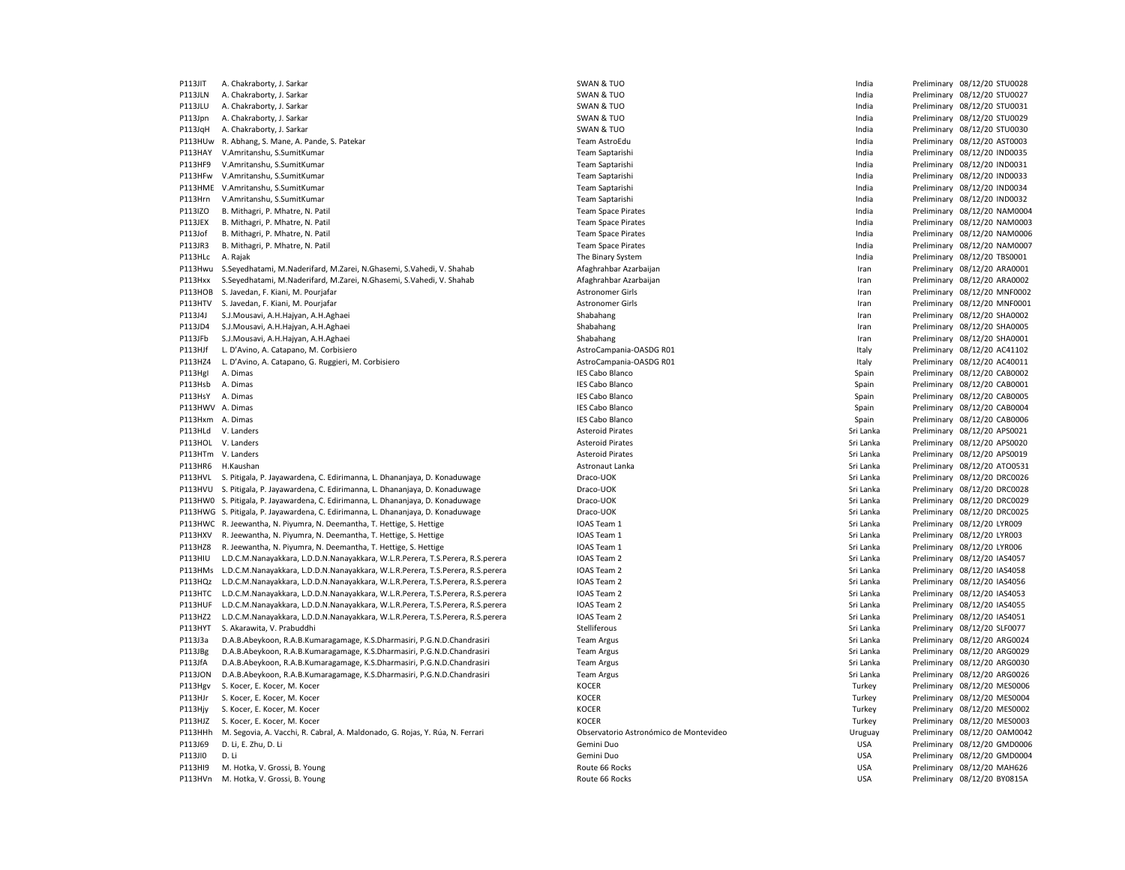| PIISJII          | A. Chakraborty, J. Sarkar                                                        |
|------------------|----------------------------------------------------------------------------------|
| P113JLN          | A. Chakraborty, J. Sarkar                                                        |
| P113JLU          | A. Chakraborty, J. Sarkar                                                        |
| P113Jpn          | A. Chakraborty, J. Sarkar                                                        |
| P113JqH          | A. Chakraborty, J. Sarkar                                                        |
|                  | P113HUw R. Abhang, S. Mane, A. Pande, S. Patekar                                 |
| P113HAY          | V.Amritanshu, S.SumitKumar                                                       |
| P113HF9          | V.Amritanshu, S.SumitKumar                                                       |
| P113HFw          | V.Amritanshu, S.SumitKumar                                                       |
|                  | P113HME V.Amritanshu, S.SumitKumar                                               |
| P113Hrn          | V.Amritanshu, S.SumitKumar                                                       |
| P113IZO          | B. Mithagri, P. Mhatre, N. Patil                                                 |
| P113JEX          | B. Mithagri, P. Mhatre, N. Patil                                                 |
| P113Jof          | B. Mithagri, P. Mhatre, N. Patil                                                 |
| P113JR3          | B. Mithagri, P. Mhatre, N. Patil                                                 |
| P113HLC          | A. Rajak                                                                         |
| P113Hwu          | S.Seyedhatami, M.Naderifard, M.Zarei, N.Ghasemi, S.Vahedi, V. Shahab             |
| P113Hxx          | S.Seyedhatami, M.Naderifard, M.Zarei, N.Ghasemi, S.Vahedi, V. Shahab             |
| P113HOB          | S. Javedan, F. Kiani, M. Pourjafar                                               |
| P113HTV          | S. Javedan, F. Kiani, M. Pourjafar                                               |
| P113J4J          | S.J.Mousavi, A.H.Hajyan, A.H.Aghaei                                              |
| P113JD4          | S.J.Mousavi, A.H.Hajyan, A.H.Aghaei                                              |
| P113JFb          | S.J.Mousavi, A.H.Hajyan, A.H.Aghaei                                              |
| P113HJf          | L. D'Avino, A. Catapano, M. Corbisiero                                           |
| P113HZ4          | L. D'Avino, A. Catapano, G. Ruggieri, M. Corbisiero                              |
|                  | A. Dimas                                                                         |
| P113HgI          |                                                                                  |
| P113Hsb          | A. Dimas                                                                         |
| P113HsY          | A. Dimas                                                                         |
| P113HWV A. Dimas |                                                                                  |
| P113Hxm          | A. Dimas                                                                         |
| P113HLd          | V. Landers                                                                       |
| P113HOL          | V. Landers                                                                       |
|                  | P113HTm V. Landers                                                               |
| P113HR6          | H.Kaushan                                                                        |
| P113HVL          | S. Pitigala, P. Jayawardena, C. Edirimanna, L. Dhananjaya, D. Konaduwage         |
| P113HVU          | S. Pitigala, P. Jayawardena, C. Edirimanna, L. Dhananjaya, D. Konaduwage         |
| P113HW0          | S. Pitigala, P. Jayawardena, C. Edirimanna, L. Dhananjaya, D. Konaduwage         |
|                  | P113HWG S. Pitigala, P. Jayawardena, C. Edirimanna, L. Dhananjaya, D. Konaduwage |
| P113HWC          | R. Jeewantha, N. Piyumra, N. Deemantha, T. Hettige, S. Hettige                   |
| P113HXV          | R. Jeewantha, N. Piyumra, N. Deemantha, T. Hettige, S. Hettige                   |
| P113HZ8          | R. Jeewantha, N. Piyumra, N. Deemantha, T. Hettige, S. Hettige                   |
| P113HIU          | L.D.C.M.Nanayakkara, L.D.D.N.Nanayakkara, W.L.R.Perera, T.S.Perera, R.S.perera   |
| P113HMs          | L.D.C.M.Nanayakkara, L.D.D.N.Nanayakkara, W.L.R.Perera, T.S.Perera, R.S.perera   |
| P113HQz          | L.D.C.M.Nanayakkara, L.D.D.N.Nanayakkara, W.L.R.Perera, T.S.Perera, R.S.perera   |
| P113HTC          | L.D.C.M.Nanayakkara, L.D.D.N.Nanayakkara, W.L.R.Perera, T.S.Perera, R.S.perera   |
| P113HUF          | L.D.C.M.Nanayakkara, L.D.D.N.Nanayakkara, W.L.R.Perera, T.S.Perera, R.S.perera   |
| P113HZ2          | L.D.C.M.Nanayakkara, L.D.D.N.Nanayakkara, W.L.R.Perera, T.S.Perera, R.S.perera   |
| P113HYT          | S. Akarawita, V. Prabuddhi                                                       |
| P113J3a          | D.A.B.Abeykoon, R.A.B.Kumaragamage, K.S.Dharmasiri, P.G.N.D.Chandrasiri          |
| P113JBg          | D.A.B.Abeykoon, R.A.B.Kumaragamage, K.S.Dharmasiri, P.G.N.D.Chandrasiri          |
| P113JfA          | D.A.B.Abeykoon, R.A.B.Kumaragamage, K.S.Dharmasiri, P.G.N.D.Chandrasiri          |
| <b>P113JON</b>   | D.A.B.Abeykoon, R.A.B.Kumaragamage, K.S.Dharmasiri, P.G.N.D.Chandrasiri          |
| P113Hgv          | S. Kocer, E. Kocer, M. Kocer                                                     |
| P113HJr          | S. Kocer, E. Kocer, M. Kocer                                                     |
| P113Hjy          | S. Kocer, E. Kocer, M. Kocer                                                     |
|                  |                                                                                  |
| P113HJZ          | S. Kocer, E. Kocer, M. Kocer                                                     |
| P113HHh          | M. Segovia, A. Vacchi, R. Cabral, A. Maldonado, G. Rojas, Y. Rúa, N. Ferrari     |
| P113J69          | D. Li, E. Zhu, D. Li                                                             |
| P113JI0          | D. Li                                                                            |
| P113HI9          | M. Hotka, V. Grossi, B. Young                                                    |

| P113JIT            | A. Chakraborty, J. Sarkar                                                        | SWAN & TUO                             | India      | Preliminary 08/12/20 STU0028 |
|--------------------|----------------------------------------------------------------------------------|----------------------------------------|------------|------------------------------|
| P113JLN            | A. Chakraborty, J. Sarkar                                                        | SWAN & TUO                             | India      | Preliminary 08/12/20 STU0027 |
| P113JLU            | A. Chakraborty, J. Sarkar                                                        | <b>SWAN &amp; TUO</b>                  | India      | Preliminary 08/12/20 STU0031 |
| P113Jpn            | A. Chakraborty, J. Sarkar                                                        | <b>SWAN &amp; TUO</b>                  | India      | Preliminary 08/12/20 STU0029 |
| P113JqH            | A. Chakraborty, J. Sarkar                                                        | <b>SWAN &amp; TUO</b>                  | India      | Preliminary 08/12/20 STU0030 |
| P113HUw            |                                                                                  | Team AstroEdu                          | India      | Preliminary 08/12/20 AST0003 |
|                    | R. Abhang, S. Mane, A. Pande, S. Patekar                                         |                                        |            |                              |
| P113HAY            | V.Amritanshu, S.SumitKumar                                                       | Team Saptarishi                        | India      | Preliminary 08/12/20 IND0035 |
| P113HF9            | V.Amritanshu, S.SumitKumar                                                       | Team Saptarishi                        | India      | Preliminary 08/12/20 IND0031 |
| P113HFw            | V.Amritanshu, S.SumitKumar                                                       | Team Saptarishi                        | India      | Preliminary 08/12/20 IND0033 |
| P113HME            | V.Amritanshu, S.SumitKumar                                                       | Team Saptarishi                        | India      | Preliminary 08/12/20 IND0034 |
| P113Hrn            | V.Amritanshu, S.SumitKumar                                                       | Team Saptarishi                        | India      | Preliminary 08/12/20 IND0032 |
| P113IZO            | B. Mithagri, P. Mhatre, N. Patil                                                 | <b>Team Space Pirates</b>              | India      | Preliminary 08/12/20 NAM0004 |
| P113JEX            | B. Mithagri, P. Mhatre, N. Patil                                                 | <b>Team Space Pirates</b>              | India      | Preliminary 08/12/20 NAM0003 |
| P113Jof            | B. Mithagri, P. Mhatre, N. Patil                                                 | <b>Team Space Pirates</b>              | India      | Preliminary 08/12/20 NAM0006 |
| P113JR3            | B. Mithagri, P. Mhatre, N. Patil                                                 | <b>Team Space Pirates</b>              | India      | Preliminary 08/12/20 NAM0007 |
| P113HLc            | A. Rajak                                                                         | The Binary System                      | India      | Preliminary 08/12/20 TBS0001 |
| P113Hwu            | S.Seyedhatami, M.Naderifard, M.Zarei, N.Ghasemi, S.Vahedi, V. Shahab             | Afaghrahbar Azarbaijar                 | Iran       | Preliminary 08/12/20 ARA0001 |
| P113Hxx            | S.Seyedhatami, M.Naderifard, M.Zarei, N.Ghasemi, S.Vahedi, V. Shahab             | Afaghrahbar Azarbaijan                 | Iran       | Preliminary 08/12/20 ARA0002 |
| P113HOB            | S. Javedan, F. Kiani, M. Pourjafar                                               | Astronomer Girls                       | Iran       | Preliminary 08/12/20 MNF0002 |
| P113HTV            | S. Javedan, F. Kiani, M. Pourjafar                                               | <b>Astronomer Girls</b>                | Iran       | Preliminary 08/12/20 MNF0001 |
| P113J4J            | S.J.Mousavi, A.H.Hajyan, A.H.Aghaei                                              | Shabahang                              | Iran       | Preliminary 08/12/20 SHA0002 |
| P113JD4            | S.J.Mousavi, A.H.Hajyan, A.H.Aghaei                                              | Shabahang                              | Iran       | Preliminary 08/12/20 SHA0005 |
| P113JFb            | S.J.Mousavi, A.H.Hajyan, A.H.Aghaei                                              | Shabahang                              | Iran       | Preliminary 08/12/20 SHA0001 |
|                    |                                                                                  |                                        |            |                              |
| P113HJf            | L. D'Avino, A. Catapano, M. Corbisiero                                           | AstroCampania-OASDG R01                | Italy      | Preliminary 08/12/20 AC41102 |
| P113HZ4            | L. D'Avino, A. Catapano, G. Ruggieri, M. Corbisiero                              | AstroCampania-OASDG R01                | Italy      | Preliminary 08/12/20 AC40011 |
| P113HgI            | A. Dimas                                                                         | <b>IES Cabo Blanco</b>                 | Spain      | Preliminary 08/12/20 CAB0002 |
| P113Hsb            | A. Dimas                                                                         | <b>IES Cabo Blanco</b>                 | Spain      | Preliminary 08/12/20 CAB0001 |
| P113HsY            | A. Dimas                                                                         | <b>IES Cabo Blanco</b>                 | Spain      | Preliminary 08/12/20 CAB0005 |
| P113HWV A. Dimas   |                                                                                  | <b>IES Cabo Blanco</b>                 | Spain      | Preliminary 08/12/20 CAB0004 |
| P113Hxm A. Dimas   |                                                                                  | <b>IES Cabo Blanco</b>                 | Spain      | Preliminary 08/12/20 CAB0006 |
| P113HLd            | V. Landers                                                                       | <b>Asteroid Pirates</b>                | Sri Lanka  | Preliminary 08/12/20 APS0021 |
| P113HOL            | V. Landers                                                                       | <b>Asteroid Pirates</b>                | Sri Lanka  | Preliminary 08/12/20 APS0020 |
| P113HTm V. Landers |                                                                                  | <b>Asteroid Pirates</b>                | Sri Lanka  | Preliminary 08/12/20 APS0019 |
| P113HR6            | H.Kaushan                                                                        | Astronaut Lanka                        | Sri Lanka  | Preliminary 08/12/20 ATO0531 |
| P113HVL            | S. Pitigala, P. Jayawardena, C. Edirimanna, L. Dhananjaya, D. Konaduwage         | Draco-UOK                              | Sri Lanka  | Preliminary 08/12/20 DRC0026 |
| P113HVU            | S. Pitigala, P. Jayawardena, C. Edirimanna, L. Dhananjaya, D. Konaduwage         | Draco-UOK                              | Sri Lanka  | Preliminary 08/12/20 DRC0028 |
|                    | P113HW0 S. Pitigala, P. Jayawardena, C. Edirimanna, L. Dhananjaya, D. Konaduwage | Draco-UOK                              | Sri Lanka  | Preliminary 08/12/20 DRC0029 |
|                    | P113HWG S. Pitigala, P. Jayawardena, C. Edirimanna, L. Dhananjaya, D. Konaduwage | Draco-UOK                              | Sri Lanka  | Preliminary 08/12/20 DRC0025 |
|                    | P113HWC R. Jeewantha, N. Piyumra, N. Deemantha, T. Hettige, S. Hettige           | IOAS Team 1                            | Sri Lanka  | Preliminary 08/12/20 LYR009  |
| P113HXV            | R. Jeewantha, N. Piyumra, N. Deemantha, T. Hettige, S. Hettige                   | IOAS Team 1                            | Sri Lanka  | Preliminary 08/12/20 LYR003  |
|                    |                                                                                  |                                        |            |                              |
| P113HZ8            | R. Jeewantha, N. Piyumra, N. Deemantha, T. Hettige, S. Hettige                   | IOAS Team 1                            | Sri Lanka  | Preliminary 08/12/20 LYR006  |
| P113HIU            | L.D.C.M.Nanayakkara, L.D.D.N.Nanayakkara, W.L.R.Perera, T.S.Perera, R.S.perera   | IOAS Team 2                            | Sri Lanka  | Preliminary 08/12/20 IAS4057 |
| P113HMs            | L.D.C.M.Nanayakkara, L.D.D.N.Nanayakkara, W.L.R.Perera, T.S.Perera, R.S.perera   | IOAS Team 2                            | Sri Lanka  | Preliminary 08/12/20 IAS4058 |
| P113HQz            | L.D.C.M.Nanayakkara, L.D.D.N.Nanayakkara, W.L.R.Perera, T.S.Perera, R.S.perera   | IOAS Team 2                            | Sri Lanka  | Preliminary 08/12/20 IAS4056 |
| P113HTC            | L.D.C.M.Nanayakkara, L.D.D.N.Nanayakkara, W.L.R.Perera, T.S.Perera, R.S.perera   | IOAS Team 2                            | Sri Lanka  | Preliminary 08/12/20 IAS4053 |
| P113HUF            | L.D.C.M.Nanayakkara, L.D.D.N.Nanayakkara, W.L.R.Perera, T.S.Perera, R.S.perera   | IOAS Team 2                            | Sri Lanka  | Preliminary 08/12/20 IAS4055 |
| P113HZ2            | L.D.C.M.Nanayakkara, L.D.D.N.Nanayakkara, W.L.R.Perera, T.S.Perera, R.S.perera   | IOAS Team 2                            | Sri Lanka  | Preliminary 08/12/20 IAS4051 |
| P113HYT            | S. Akarawita, V. Prabuddhi                                                       | Stelliferous                           | Sri Lanka  | Preliminary 08/12/20 SLF0077 |
| P113J3a            | D.A.B.Abeykoon, R.A.B.Kumaragamage, K.S.Dharmasiri, P.G.N.D.Chandrasiri          | <b>Team Argus</b>                      | Sri Lanka  | Preliminary 08/12/20 ARG0024 |
| P113JBg            | D.A.B.Abeykoon, R.A.B.Kumaragamage, K.S.Dharmasiri, P.G.N.D.Chandrasiri          | <b>Team Argus</b>                      | Sri Lanka  | Preliminary 08/12/20 ARG0029 |
| P113JfA            | D.A.B.Abeykoon, R.A.B.Kumaragamage, K.S.Dharmasiri, P.G.N.D.Chandrasiri          | <b>Team Argus</b>                      | Sri Lanka  | Preliminary 08/12/20 ARG0030 |
| <b>P113JON</b>     | D.A.B.Abeykoon, R.A.B.Kumaragamage, K.S.Dharmasiri, P.G.N.D.Chandrasiri          | <b>Team Argus</b>                      | Sri Lanka  | Preliminary 08/12/20 ARG0026 |
| P113Hgv            | S. Kocer, E. Kocer, M. Kocer                                                     | <b>KOCER</b>                           | Turkey     | Preliminary 08/12/20 MES0006 |
| P113HJr            | S. Kocer, E. Kocer, M. Kocer                                                     | <b>KOCER</b>                           | Turkey     | Preliminary 08/12/20 MES0004 |
| P113Hjy            | S. Kocer, E. Kocer, M. Kocer                                                     | <b>KOCER</b>                           | Turkey     | Preliminary 08/12/20 MES0002 |
| P113HJZ            | S. Kocer, E. Kocer, M. Kocer                                                     | <b>KOCER</b>                           | Turkey     | Preliminary 08/12/20 MES0003 |
|                    |                                                                                  |                                        |            |                              |
| P113HHh            | M. Segovia, A. Vacchi, R. Cabral, A. Maldonado, G. Rojas, Y. Rúa, N. Ferrari     | Observatorio Astronómico de Montevideo | Uruguay    | Preliminary 08/12/20 OAM0042 |
| P113J69            | D. Li, E. Zhu, D. Li                                                             | Gemini Duo                             | <b>USA</b> | Preliminary 08/12/20 GMD0006 |
| P113JI0            | D. Li                                                                            | Gemini Duo                             | <b>USA</b> | Preliminary 08/12/20 GMD0004 |
| P113HI9            | M. Hotka, V. Grossi, B. Young                                                    | Route 66 Rocks                         | <b>USA</b> | Preliminary 08/12/20 MAH626  |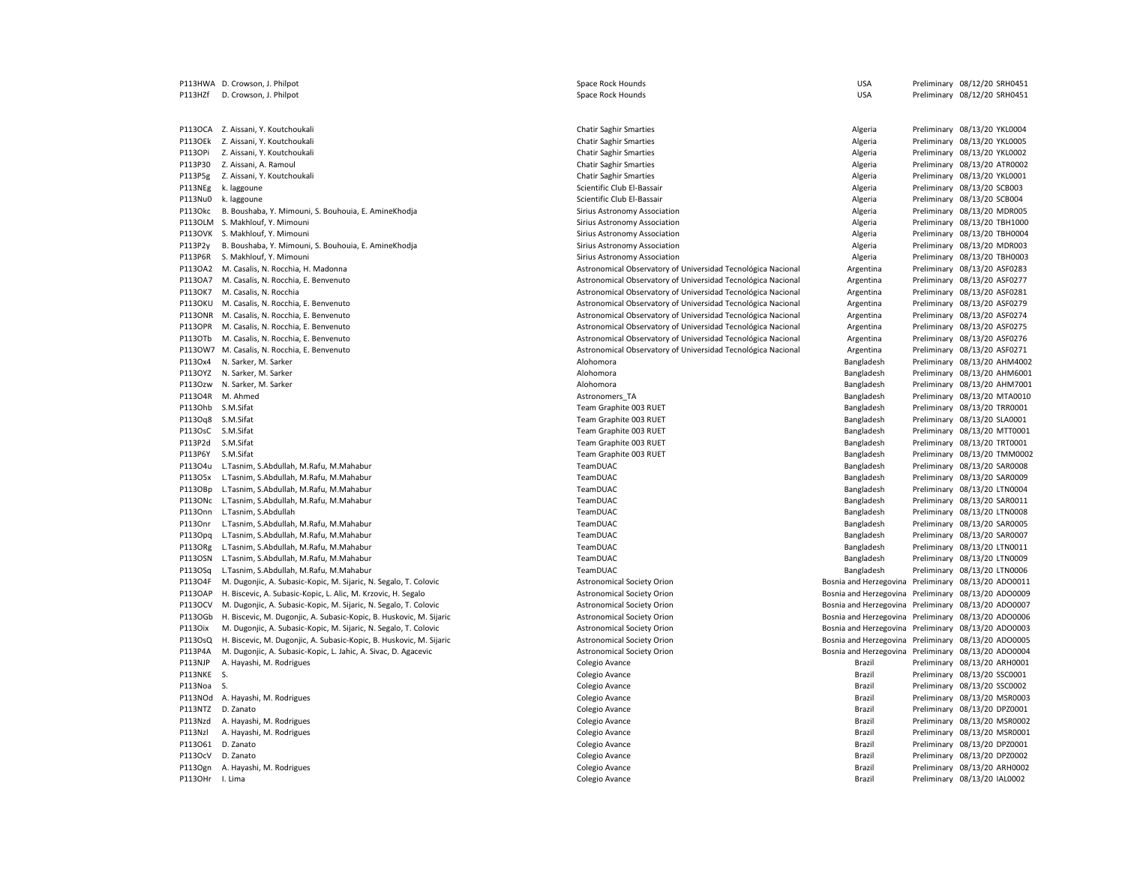|                | P113HWA D. Crowson, J. Philpot                                      | Space Rock Hounds                                            | <b>USA</b>                                                                                                 | Preliminary 08/12/20 SRH0451 |
|----------------|---------------------------------------------------------------------|--------------------------------------------------------------|------------------------------------------------------------------------------------------------------------|------------------------------|
| P113HZf        | D. Crowson, J. Philpot                                              | Space Rock Hounds                                            | <b>USA</b>                                                                                                 | Preliminary 08/12/20 SRH0451 |
|                |                                                                     |                                                              |                                                                                                            |                              |
|                |                                                                     |                                                              |                                                                                                            |                              |
|                | P113OCA Z. Aissani, Y. Koutchoukali                                 | <b>Chatir Saghir Smarties</b>                                | Algeria                                                                                                    | Preliminary 08/13/20 YKL0004 |
|                | P113OEk Z. Aissani, Y. Koutchoukali                                 | <b>Chatir Saghir Smarties</b>                                | Algeria                                                                                                    | Preliminary 08/13/20 YKL0005 |
| P113OPi        | Z. Aissani, Y. Koutchoukali                                         | <b>Chatir Saghir Smarties</b>                                | Algeria                                                                                                    | Preliminary 08/13/20 YKL0002 |
| P113P30        | Z. Aissani, A. Ramoul                                               | <b>Chatir Saghir Smarties</b>                                | Algeria                                                                                                    | Preliminary 08/13/20 ATR0002 |
| P113P5g        | Z. Aissani, Y. Koutchoukali                                         | <b>Chatir Saghir Smarties</b>                                | Algeria                                                                                                    | Preliminary 08/13/20 YKL0001 |
| P113NEg        | k. laggoune                                                         | Scientific Club El-Bassair                                   | Algeria                                                                                                    | Preliminary 08/13/20 SCB003  |
| P113Nu0        | k. laggoune                                                         | Scientific Club El-Bassair                                   | Algeria                                                                                                    | Preliminary 08/13/20 SCB004  |
| P113Okc        |                                                                     |                                                              |                                                                                                            |                              |
|                | B. Boushaba, Y. Mimouni, S. Bouhouia, E. AmineKhodja                | Sirius Astronomy Association                                 | Algeria                                                                                                    | Preliminary 08/13/20 MDR005  |
|                | P113OLM S. Makhlouf, Y. Mimouni                                     | Sirius Astronomy Association                                 | Algeria                                                                                                    | Preliminary 08/13/20 TBH1000 |
|                | P113OVK S. Makhlouf, Y. Mimouni                                     | Sirius Astronomy Association                                 | Algeria                                                                                                    | Preliminary 08/13/20 TBH0004 |
| P113P2y        | B. Boushaba, Y. Mimouni, S. Bouhouia, E. AmineKhodja                | Sirius Astronomy Association                                 | Algeria                                                                                                    | Preliminary 08/13/20 MDR003  |
| P113P6R        | S. Makhlouf, Y. Mimouni                                             | Sirius Astronomy Association                                 | Algeria                                                                                                    | Preliminary 08/13/20 TBH0003 |
|                | P113OA2 M. Casalis, N. Rocchia, H. Madonna                          | Astronomical Observatory of Universidad Tecnológica Nacional | Argentina                                                                                                  | Preliminary 08/13/20 ASF0283 |
| P113OA7        | M. Casalis, N. Rocchia, E. Benvenuto                                | Astronomical Observatory of Universidad Tecnológica Nacional | Argentina                                                                                                  | Preliminary 08/13/20 ASF0277 |
| P113OK7        | M. Casalis, N. Rocchia                                              | Astronomical Observatory of Universidad Tecnológica Nacional | Argentina                                                                                                  | Preliminary 08/13/20 ASF0281 |
| <b>P113OKU</b> | M. Casalis, N. Rocchia, E. Benvenuto                                | Astronomical Observatory of Universidad Tecnológica Nacional | Argentina                                                                                                  | Preliminary 08/13/20 ASF0279 |
|                | P113ONR M. Casalis, N. Rocchia, E. Benvenuto                        | Astronomical Observatory of Universidad Tecnológica Nacional | Argentina                                                                                                  | Preliminary 08/13/20 ASF0274 |
| P113OPR        | M. Casalis, N. Rocchia, E. Benvenuto                                | Astronomical Observatory of Universidad Tecnológica Nacional | Argentina                                                                                                  | Preliminary 08/13/20 ASF0275 |
| P113OTb        | M. Casalis, N. Rocchia, E. Benvenuto                                | Astronomical Observatory of Universidad Tecnológica Nacional | Argentina                                                                                                  | Preliminary 08/13/20 ASF0276 |
|                | P113OW7 M. Casalis, N. Rocchia, E. Benvenuto                        | Astronomical Observatory of Universidad Tecnológica Nacional | Argentina                                                                                                  | Preliminary 08/13/20 ASF0271 |
| P113Ox4        | N. Sarker, M. Sarker                                                | Alohomora                                                    | Bangladesh                                                                                                 | Preliminary 08/13/20 AHM4002 |
| P113OYZ        | N. Sarker, M. Sarker                                                | Alohomora                                                    | Bangladesh                                                                                                 | Preliminary 08/13/20 AHM6001 |
| P1130zw        | N. Sarker, M. Sarker                                                | Alohomora                                                    | Bangladesh                                                                                                 | Preliminary 08/13/20 AHM7001 |
| P113O4R        | M. Ahmed                                                            | Astronomers TA                                               | Bangladesh                                                                                                 | Preliminary 08/13/20 MTA0010 |
| P113Ohb        | S.M.Sifat                                                           | Team Graphite 003 RUET                                       | Bangladesh                                                                                                 | Preliminary 08/13/20 TRR0001 |
| P113Oq8        | S.M.Sifat                                                           | Team Graphite 003 RUET                                       | Bangladesh                                                                                                 | Preliminary 08/13/20 SLA0001 |
|                |                                                                     |                                                              |                                                                                                            |                              |
| P113OsC        | S.M.Sifat                                                           | Team Graphite 003 RUET                                       | Bangladesh                                                                                                 | Preliminary 08/13/20 MTT0001 |
| P113P2d        | S.M.Sifat                                                           | Team Graphite 003 RUET                                       | Bangladesh                                                                                                 | Preliminary 08/13/20 TRT0001 |
| P113P6Y        | S.M.Sifat                                                           | Team Graphite 003 RUET                                       | Bangladesh                                                                                                 | Preliminary 08/13/20 TMM0002 |
|                | P113O4u L.Tasnim, S.Abdullah, M.Rafu, M.Mahabur                     | TeamDUAC                                                     | Bangladesh                                                                                                 | Preliminary 08/13/20 SAR0008 |
| P113O5x        | L.Tasnim, S.Abdullah, M.Rafu, M.Mahabur                             | TeamDUAC                                                     | Bangladesh                                                                                                 | Preliminary 08/13/20 SAR0009 |
| P113OBp        | L.Tasnim, S.Abdullah, M.Rafu, M.Mahabur                             | TeamDUAC                                                     | Bangladesh                                                                                                 | Preliminary 08/13/20 LTN0004 |
| P113ONc        | L.Tasnim, S.Abdullah, M.Rafu, M.Mahabur                             | TeamDUAC                                                     | Bangladesh                                                                                                 | Preliminary 08/13/20 SAR0011 |
| P1130nn        | L.Tasnim, S.Abdullah                                                | TeamDUAC                                                     | Bangladesh                                                                                                 | Preliminary 08/13/20 LTN0008 |
| P113Onr        | L.Tasnim, S.Abdullah, M.Rafu, M.Mahabur                             | TeamDUAC                                                     | Bangladesh                                                                                                 | Preliminary 08/13/20 SAR0005 |
| P113Opq        | L.Tasnim, S.Abdullah, M.Rafu, M.Mahabur                             | TeamDUAC                                                     | Bangladesh                                                                                                 | Preliminary 08/13/20 SAR0007 |
| P113ORg        | L.Tasnim, S.Abdullah, M.Rafu, M.Mahabur                             | TeamDUAC                                                     | Bangladesh                                                                                                 | Preliminary 08/13/20 LTN0011 |
| P113OSN        | L.Tasnim, S.Abdullah, M.Rafu, M.Mahabur                             | TeamDUAC                                                     | Bangladesh                                                                                                 | Preliminary 08/13/20 LTN0009 |
| P113OSq        | L.Tasnim, S.Abdullah, M.Rafu, M.Mahabur                             | TeamDUAC                                                     | Bangladesh                                                                                                 | Preliminary 08/13/20 LTN0006 |
| P113O4F        | M. Dugonjic, A. Subasic-Kopic, M. Sijaric, N. Segalo, T. Colovic    | <b>Astronomical Society Orion</b>                            | Bosnia and Herzegovina Preliminary 08/13/20 ADO0011                                                        |                              |
| P113OAP        | H. Biscevic, A. Subasic-Kopic, L. Alic, M. Krzovic, H. Segalo       | <b>Astronomical Society Orion</b>                            | Bosnia and Herzegovina Preliminary 08/13/20 ADO0009                                                        |                              |
| P113OCV        | M. Dugonjic, A. Subasic-Kopic, M. Sijaric, N. Segalo, T. Colovic    | <b>Astronomical Society Orion</b>                            | Bosnia and Herzegovina Preliminary 08/13/20 ADO0007                                                        |                              |
| P1130Gb        | H. Biscevic, M. Dugonjic, A. Subasic-Kopic, B. Huskovic, M. Sijaric | <b>Astronomical Society Orion</b>                            | Bosnia and Herzegovina Preliminary 08/13/20 ADO0006                                                        |                              |
| P1130ix        | M. Dugonjic, A. Subasic-Kopic, M. Sijaric, N. Segalo, T. Colovic    | <b>Astronomical Society Orion</b>                            | Bosnia and Herzegovina Preliminary 08/13/20 ADO0003                                                        |                              |
| P113OsQ        |                                                                     |                                                              |                                                                                                            |                              |
| P113P4A        | H. Biscevic, M. Dugonjic, A. Subasic-Kopic, B. Huskovic, M. Sijaric | <b>Astronomical Society Orion</b>                            | Bosnia and Herzegovina Preliminary 08/13/20 ADO0005<br>Bosnia and Herzegovina Preliminary 08/13/20 ADO0004 |                              |
|                | M. Dugonjic, A. Subasic-Kopic, L. Jahic, A. Sivac, D. Agacevic      | <b>Astronomical Society Orion</b>                            |                                                                                                            |                              |
| P113NJP        | A. Hayashi, M. Rodrigues                                            | Colegio Avance                                               | Brazil                                                                                                     | Preliminary 08/13/20 ARH0001 |
| P113NKE        | S.                                                                  | Colegio Avance                                               | Brazil                                                                                                     | Preliminary 08/13/20 SSC0001 |
| P113Noa S.     |                                                                     | Colegio Avance                                               | Brazil                                                                                                     | Preliminary 08/13/20 SSC0002 |
| P113NOd        | A. Hayashi, M. Rodrigues                                            | Colegio Avance                                               | Brazil                                                                                                     | Preliminary 08/13/20 MSR0003 |
| P113NTZ        | D. Zanato                                                           | Colegio Avance                                               | Brazil                                                                                                     | Preliminary 08/13/20 DPZ0001 |
| P113Nzd        | A. Hayashi, M. Rodrigues                                            | Colegio Avance                                               | Brazil                                                                                                     | Preliminary 08/13/20 MSR0002 |
| P113Nzl        | A. Hayashi, M. Rodrigues                                            | Colegio Avance                                               | Brazil                                                                                                     | Preliminary 08/13/20 MSR0001 |
| P113O61        | D. Zanato                                                           | Colegio Avance                                               | Brazil                                                                                                     | Preliminary 08/13/20 DPZ0001 |
| P113OcV        | D. Zanato                                                           | Colegio Avance                                               | Brazil                                                                                                     | Preliminary 08/13/20 DPZ0002 |
|                | P113Ogn A. Hayashi, M. Rodrigues                                    | Colegio Avance                                               | Brazil                                                                                                     | Preliminary 08/13/20 ARH0002 |
| P113OHr        | I. Lima                                                             | Colegio Avance                                               | Brazil                                                                                                     | Preliminary 08/13/20 IAL0002 |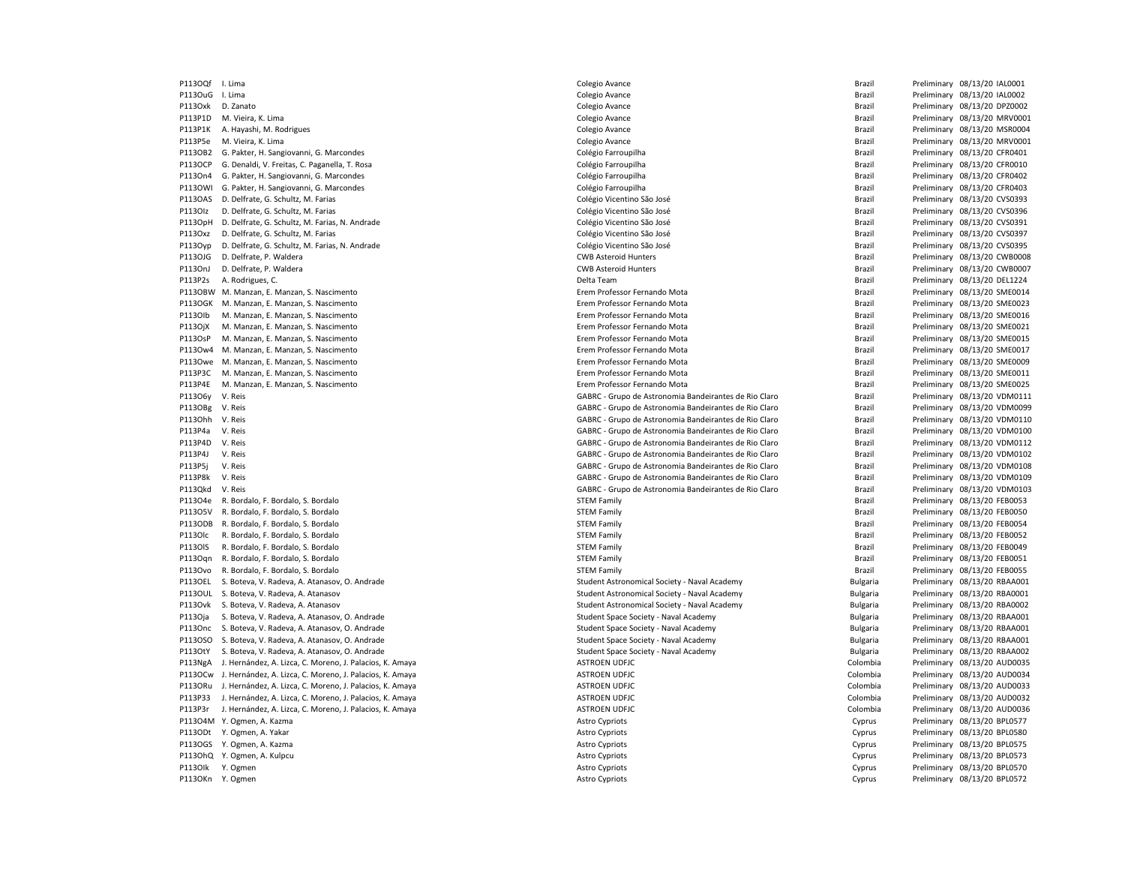P113OuG I. Lima Colegio Avance Brazil Preliminary 08/13/20 IAL0002 P113Oxk D. Zanato entropolary and the Colegio Avance Colegio Avance and the Brazil Preliminary 08/13/20 DPZ0002 P113P1D M. Vieira, K. Lima **Colegio Avance** Colegio Avance Colegio Avance **Brazil Preliminary 08/13/20 MRV0001** P113P1K A. Hayashi, M. Rodrigues et a colegio Avance Colegio Avance Colegio Avance and Brazil Preliminary 08/13/20 MSR0004 P113P5e M. Vieira, K. Lima Colegio Avance Brazil Preliminary 08/13/20 MRV0001 P113OB2 G. Pakter, H. Sangiovanni, G. Marcondes Colégio Farroupilha Colégio Farroupilha Colégio Farroupilha Brazil Preliminary 08/13/20 CFR0401 P113OCP G. Denaldi, V. Freitas, C. Paganella, T. Rosa Colégio Farroupilha Colégio Farroupilha Colégio Frederico Colégio Farroupilha Brazil Preliminary 08/13/20 CFR0010 P113On4 G. Pakter, H. Sangiovanni, G. Marcondes Colégio Farroupilha Colégio Farroupilha Brazil Preliminary 08/13/20 CFR0402 P113OWI G. Pakter, H. Sangiovanni, G. Marcondes Colégio Farroupilha Colégio Farroupilha Brazil Preliminary 08/13/20 CFR0403 P113OAS D. Delfrate, G. Schultz, M. Farias Colégio Vicentino São José Colégio Vicentino São José Brazil Preliminary 08/13/20 CVS0393 P113Olz D. Delfrate, G. Schultz, M. Farias Colégio Vicentino São José Colégio Vicentino São José Colégio Vicentino São José Brazil Preliminary 08/13/20 CVS0396 P113OpH D. Delfrate, G. Schultz, M. Farias, N. Andrade Colégio Colégio Vicentino São José Colégio Vicentino São José Brazil Preliminary 08/13/20 CVS0391 P113Oxz D. Delfrate, G. Schultz, M. Farias Colégio Vicentino São José Colégio Vicentino São José Colégio Vicentino São José Brazil Preliminary 08/13/20 CVS0397 P113Oyp D. Delfrate, G. Schultz, M. Farias, N. Andrade Colégio Vicentino São José Colégio Vicentino São José Colégio Vicentino São José Brazil Preliminary 08/13/20 CVS0395 P113OJG D. Delfrate, P. Waldera entertainment control and the CWB Asteroid Hunters CWB Asteroid Hunters and the CWB Asteroid Hunters and the Brazil Preliminary 08/13/20 CWB0008 P113OnJ D. Delfrate, P. Waldera entertainment control and the CWB Asteroid Hunters CWB Asteroid Hunters and the CWB Asteroid Hunters Brazil Preliminary 08/13/20 CWB0007 P113P2s A. Rodrigues, C. Charles Comparent Comparent Comparent Comparent Comparent Comparent Comparent Comparent Comparent Comparent Comparent Comparent Comparent Comparent Comparent Comparent Comparent Comparent Comparent P113OBW M. Manzan, E. Manzan, S. Nascimento entromato entromato entromato entromato Erem Professor Fernando Mota entromato Mota Brazil Preliminary 08/13/20 SME0014 P113OGK M. Manzan, E. Manzan, S. Nascimento en Erem Erem Professor Fernando Mota Brazil Brazil Preliminary 08/13/20 SME0023 P113Olb M. Manzan, E. Manzan, S. Nascimento entropy and the exercise of the Professor Fernando Mota Brazil Preliminary 08/13/20 SME0016 P113OjX M. Manzan, E. Manzan, S. Nascimento entropy and the exercise of the Professor Fernando Mota Brazil Preliminary 08/13/20 SME0021 P113OsP M. Manzan, E. Manzan, S. Nascimento entropy and the exercise of the Professor Fernando Mota Brazil Preliminary 08/13/20 SME0015 P113Ow4 M. Manzan, E. Manzan, S. Nascimento entropy and the exercise entropy of the Professor Fernando Mota Erem Professor Fernando Mota Brazil Preliminary 08/13/20 SME0017 P113Owe M. Manzan, E. Manzan, S. Nascimento Erem Professor Fernando Mota Brazil Preliminary 08/13/20 SME0009 P113P3C M. Manzan, E. Manzan, S. Nascimento Erem Professor Fernando Mota Brazil Preliminary 08/13/20 SME0011 P113P4E M. Manzan, E. Manzan, S. Nascimento Erem Professor Fernando Mota Brazil Preliminary 08/13/20 SME0025 P113O6y V. Reis external de Astronomia Bandeirantes de Rio Claro Brazil Preliminary 08/13/20 VDM0111 P113OBg V. Reis GABRC - Grupo de Astronomia Bandeirantes de Rio Claro Brazil Preliminary 08/13/20 VDM0099 P113Ohh V. Reis examples and the Capacase of GABRC - Grupo de Astronomia Bandeirantes de Rio Claro Brazil Preliminary 08/13/20 VDM0110 P113P4a V. Reis GABRC - Grupo de Astronomia Bandeirantes de Rio Claro Brazil Preliminary 08/13/20 VDM0100 P113P4D V. Reis GABRC - Grupo de Astronomia Bandeirantes de Rio Claro Brazil Preliminary 08/13/20 VDM0112 P113P4J V. Reis external de Astronomia Bandeirantes de Rio Claro Brazil Preliminary 08/13/20 VDM0102 P113P5j V. Reis external de Astronomia Bandeirantes de Rio Claro Brazil Preliminary 08/13/20 VDM0108 P113P8k V. Reis external de actronomia Bandeirantes de Rio Claro Brazil Preliminary 08/13/20 VDM0109 P113Qkd V. Reis external or extending the GABRC - Grupo de Astronomia Bandeirantes de Rio Claro Brazil Preliminary 08/13/20 VDM0103 P113O4e R. Bordalo, F. Bordalo, S. Bordalo S. Bordalo STEM STEM Family STEM Family Brazil Preliminary 08/13/20 FEB0053 P113O5V R. Bordalo, F. Bordalo, S. Bordalo S. Bordalo STEM STEM Family STEM Family Brazil Preliminary 08/13/20 FEB0050 P113ODB R. Bordalo, F. Bordalo, S. Bordalo S. Bordalo STEM STEM Family STEM Family STEM Family Brazil Preliminary 08/13/20 FEB0054 P113Olc R. Bordalo, F. Bordalo, S. Bordalo Sterlando Sterlando Sterlando STEM Family Brazil Preliminary 08/13/20 FEB0052 P113OlS R. Bordalo, F. Bordalo, S. Bordalo S. Bordalo Stement STEM Family STEM Family Brazil Preliminary 08/13/20 FEB0049 P113Oqn R. Bordalo, F. Bordalo, S. Bordalo S. Bordalo Stem Stem Stem Stem Stem Family Brazil Preliminary 08/13/20 FEB0051 P113Ovo R. Bordalo, F. Bordalo, S. Bordalo S. Bordalo Stement STEM Family STEM Family Brazil Preliminary 08/13/20 FEB0055 P113OEL S. Boteva, V. Radeva, A. Atanasov, O. Andrade Student Student Astronomical Society - Naval Academy Student Astronomical Society - Naval Academy Bulgaria Preliminary 08/13/20 RBAA001 P113OUL S. Boteva, V. Radeva, A. Atanasov Student Astronomical Society - Naval Academy Sulgaria Preliminary 08/13/20 RBA0001 P113Ovk S. Boteva, V. Radeva, A. Atanasov Student Stronomical Society - Naval Academy Sulgaria Preliminary 08/13/20 RBA0002 P113Oja S. Boteva, V. Radeva, A. Atanasov, O. Andrade Student Space Society - Naval Academy Student Space Society - Naval Academy Student Space Society - Naval Academy Bulgaria Preliminary 08/13/20 RBAA001 P113Onc S. Boteva, V. Radeva, A. Atanasov, O. Andrade Student Space Society - Naval Academy Camera Student Space Society - Naval Academy Sulgaria Preliminary 08/13/20 RBAA001 P113OSO S. Boteva, V. Radeva, A. Atanasov, O. Andrade Student Space Society - Naval Academy Camera Student Space Society - Naval Academy Sulgaria Preliminary 08/13/20 RBAA001 P113OtY S. Boteva, V. Radeva, A. Atanasov, O. Andrade Student Space Society - Naval Academy Student Space Society - Naval Academy Student Space Society - Naval Academy Bulgaria Preliminary 08/13/20 RBAA002 P113NgA J. Hernández, A. Lizca, C. Moreno, J. Palacios, K. Amaya ASTROEN UDFJC Colombia Preliminary 08/13/20 AUD0035 P113OCw J. Hernández, A. Lizca, C. Moreno, J. Palacios, K. Amaya ASTROEN UDFJC Colombia Preliminary 08/13/20 AUD0034 P113ORu J. Hernández, A. Lizca, C. Moreno, J. Palacios, K. Amaya ASTROEN UDFJC Colombia Preliminary 08/13/20 AUD0033 P113P33 J. Hernández, A. Lizca, C. Moreno, J. Palacios, K. Amaya ASTROEN UDFJC ASTROEN UDFJC COLOMBIA ASTROEN UDFJC P113P3r J. Hernández, A. Lizca, C. Moreno, J. Palacios, K. Amaya ASTROEN UDFJC Colombia Preliminary 08/13/20 AUD0036 P113O4M Y. Ogmen, A. Kazma entertainment and the second of the second astro Cypriots of the Cyprus Preliminary 08/13/20 BPL0577 P113ODt Y. Ogmen, A. Yakar Nakar Astro Cypriots Astro Cypriots Astro Cypriots Cyprus Preliminary 08/13/20 BPL0580 P113OGS Y. Ogmen, A. Kazma **Astro Cypriots** Astro Cypriots **Cypriots** Cypriots Cypriots Cyprus Preliminary 08/13/20 BPL0575 P113OhQ Y. Ogmen, A. Kulpcu 
Performany OS/13/20 BPL0573 

Performany OS/13/20 BPL0573 P113OIk Y. Ogmen entertainment as a compare a compare as a compare a compare a compare a cyprus Preliminary 08/13/20 BPL0570 P113OKn Y. Ogmen **Preliminary 08/13/20 BPL0572** Cyprus Preliminary 08/13/20 BPL0572

P113OQf I. Lima Colegio Avance Brazil Preliminary 08/13/20 IAL0001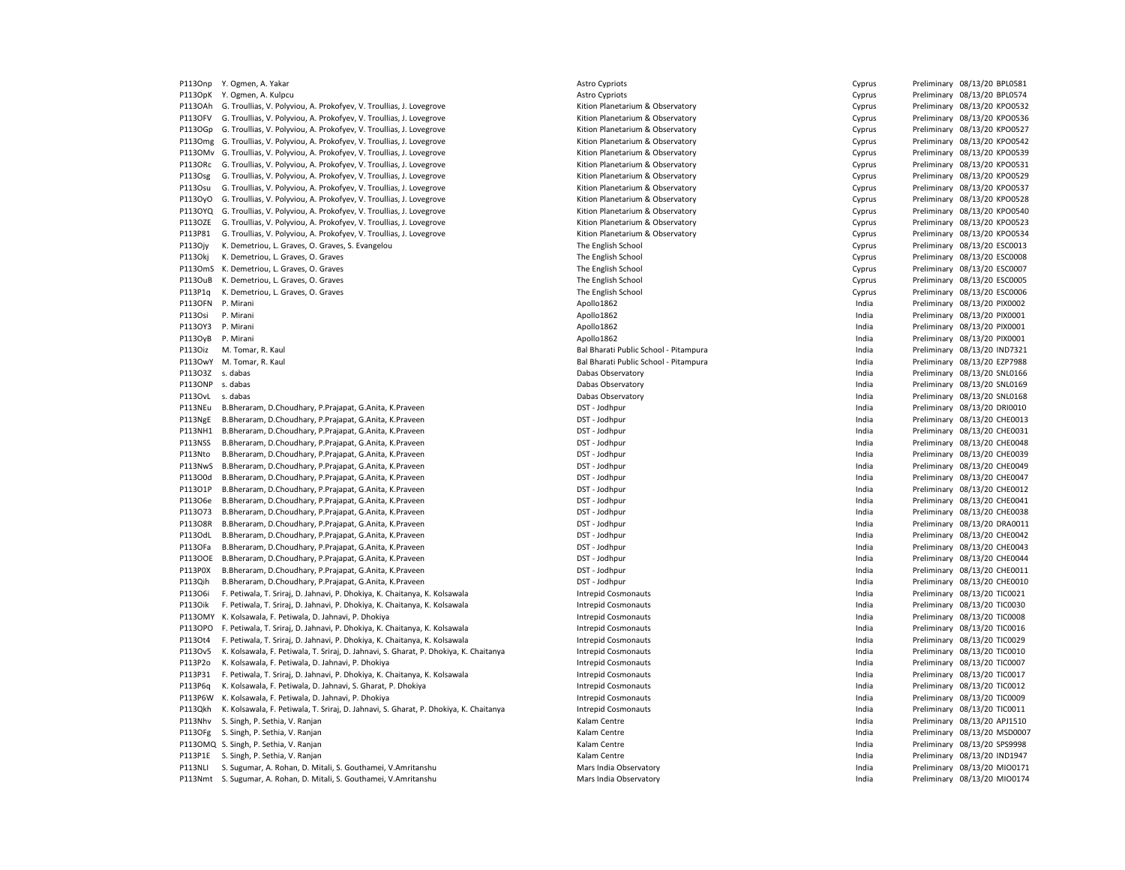P113Onp Y. Ogmen, A. Yakar Natural Astro Cypriots Astro Cypriots Cypriots Cyprus Preliminary 08/13/20 BPL0581 P113OpK Y. Ogmen, A. Kulpcu Cyprus Cyprus Cyprus Cyprus Preliminary 08/13/20 BPL0574 P113OAh G. Troullias, V. Polyviou, A. Prokofyev, V. Troullias, J. Lovegrove Cyprus Rition Planetarium & Observatory Cyprus Preliminary 08/13/20 KPO0532 P113OFV G. Troullias, V. Polyviou, A. Prokofyev, V. Troullias, J. Lovegrove Cyprus Cyprus Rition Planetarium & Observatory Cyprus Cyprus Preliminary 08/13/20 KPO0536 P113OGp G. Troullias, V. Polyviou, A. Prokofyev, V. Troullias, J. Lovegrove Cyprus Rition Planetarium & Observatory Cyprus Preliminary 08/13/20 KPO0527 P113Omg G. Troullias, V. Polyviou, A. Prokofyev, V. Troullias, J. Lovegrove Cyprus Cyprus Rition Planetarium & Observatory Cyprus Cyprus Preliminary 08/13/20 KPO0542 P113OMv G. Troullias, V. Polyviou, A. Prokofyev, V. Troullias, J. Lovegrove Cyprus Rition Planetarium & Observatory Cyprus Preliminary 08/13/20 KPO0539 P113ORc G. Troullias, V. Polyviou, A. Prokofyev, V. Troullias, J. Lovegrove Cyprus Rition Planetarium & Observatory Cyprus Preliminary 08/13/20 KPO0531 P113Osg G. Troullias, V. Polyviou, A. Prokofyev, V. Troullias, J. Lovegrove Cyprus Rition Planetarium & Observatory Cyprus Preliminary 08/13/20 KPO0529 P113Osu G. Troullias, V. Polyviou, A. Prokofyev, V. Troullias, J. Lovegrove Cyprus Rition Planetarium & Observatory Cyprus Preliminary 08/13/20 KPO0537 P113OyO G. Troullias, V. Polyviou, A. Prokofyev, V. Troullias, J. Lovegrove Cyprus Rition Planetarium & Observatory Cyprus Preliminary 08/13/20 KPO0528 P113OYQ G. Troullias, V. Polyviou, A. Prokofyev, V. Troullias, J. Lovegrove Cyprus Cyprus Rition Planetarium & Observatory Cyprus Preliminary 08/13/20 KPO0540 P113OZE G. Troullias, V. Polyviou, A. Prokofyev, V. Troullias, J. Lovegrove Cyprus Rition Planetarium & Observatory Cyprus Preliminary 08/13/20 KPO0523 P113P81 G. Troullias, V. Polyviou, A. Prokofyev, V. Troullias, J. Lovegrove Cyprus Cyprus Rition Planetarium & Observatory Cyprus Cyprus Preliminary 08/13/20 KPO0534 P113Ojy K. Demetriou, L. Graves, O. Graves, S. Evangelou The The English School The English School Cyprus Preliminary 08/13/20 ESC0013 P113Okj K. Demetriou, L. Graves, O. Graves entertial control of the English School The English School Cyprus Preliminary 08/13/20 ESC0008 P113OmS K. Demetriou, L. Graves, O. Graves entertainment and the English School The English School Cyprus Preliminary 08/13/20 ESC0007 P113OuB K. Demetriou, L. Graves, O. Graves entertainment and the English School The English School Cyprus Preliminary 08/13/20 ESC0005 P113P1q K. Demetriou, L. Graves, O. Graves entertainment and the English School The English School Cyprus Preliminary 08/13/20 ESC0006 P113OFN P. Mirani 2021/20 PIX0002 PRODUCTER Apollo1862 Apollo1862 Apollo1862 Preliminary 08/13/20 PIX0002 P113Osi P. Mirani 2012/12/PHOTO PRODUCT Apollo1862 Apollo1862 Apollo1862 Preliminary 08/13/20 PIX0001 P113OY3 P. Mirani 2012/12/20 PIX0001 Photo and the set of the Apollo1862 Apollo1862 Preliminary 08/13/20 PIX0001 P113OyB P. Mirani Apollo1862 India Preliminary 08/13/20 PIX0001 P113Oiz M. Tomar, R. Kaul **Bal Bharati Public School - Pitampura** Preliminary 08/13/20 IND7321 P113OwY M. Tomar, R. Kaul **Bal Brack Bal Bharati Public School - Pitampura** India Preliminary 08/13/20 EZP7988 P113O3Z s. dabas Dabas Observatory India Preliminary 08/13/20 SNL0166 P113ONP s. dabas examples and the preliminary 08/13/20 SNL0169 and the Dabas Observatory and the Dabas Observatory and the Preliminary 08/13/20 SNL0169 P113OvL s. dabas examples and the preliminary 08/13/20 SNL0168 and the Dabas Observatory Chapters and the Preliminary 08/13/20 SNL0168 P113NEu B.Bheraram, D.Choudhary, P.Prajapat, G.Anita, K.Praveen DST - Jodhpur DST - Jodhpur India Preliminary 08/13/20 DRI0010 P113NgE B.Bheraram, D.Choudhary, P.Prajapat, G.Anita, K.Praveen **DST - Doman DET - Jodhpur** DST - Jodhpur **India** Preliminary 08/13/20 CHE0013 P113NH1 B.Bheraram, D.Choudhary, P.Prajapat, G.Anita, K.Praveen DST - Jodhpur DST - Jodhpur India Preliminary 08/13/20 CHE0031 P113NSS B.Bheraram, D.Choudhary, P.Prajapat, G.Anita, K.Praveen DST - Jodhpur DST - Jodhpur India Preliminary 08/13/20 CHE0048 P113Nto B.Bheraram, D.Choudhary, P.Prajapat, G.Anita, K.Praveen **DST - Jodhpur India** Preliminary 08/13/20 CHE0039 P113NwS B.Bheraram, D.Choudhary, P.Prajapat, G.Anita, K.Praveen **DST - DOST - Jodhpur India** Preliminary 08/13/20 CHE0049 P113O0d B.Bheraram, D.Choudhary, P.Prajapat, G.Anita, K.Praveen **DST - DOST - Jodhpur India** Preliminary 08/13/20 CHE0047 P113O1P B.Bheraram, D.Choudhary, P.Prajapat, G.Anita, K.Praveen **DST - Jodhpur India** Preliminary 08/13/20 CHEO012 P113O6e B.Bheraram, D.Choudhary, P.Prajapat, G.Anita, K.Praveen **DST - Doman DET - Jodhpur India** Preliminary 08/13/20 CHE0041 P113O73 B.Bheraram, D.Choudhary, P.Prajapat, G.Anita, K.Praveen DST - Dochpur DST - Jodhpur DST - Jodhpur DST - Jodhpur DST - Jodhpur India Preliminary 08/13/20 CHE0038 P113O8R B.Bheraram, D.Choudhary, P.Prajapat, G.Anita, K.Praveen DST - Jodhpur DST - Jodhpur India Preliminary 08/13/20 DRA0011 P113OdL B.Bheraram, D.Choudhary, P.Prajapat, G.Anita, K.Praveen DST - Jodhpur DST - Jodhpur India Preliminary 08/13/20 CHE0042 P113OFa B.Bheraram, D.Choudhary, P.Prajapat, G.Anita, K.Praveen DST - Jodhpur DST - Jodhpur DST - Jodhpur DST - Jodhpur DST - Jodhpur DST - Jodhpur DST - Jodhpur DST - Jodhpur DST - Jodhpur DST - Jodhpur DST - Jodhpur DST P113OOE B.Bheraram, D.Choudhary, P.Prajapat, G.Anita, K.Praveen **DST - DOST - Jodhpur India** Preliminary 08/13/20 CHE0044 P113P0X B.Bheraram, D.Choudhary, P.Prajapat, G.Anita, K.Praveen DST - Jodhpur DST - Jodhpur **Preliminary 08/13/20 CHEOO11** Preliminary 08/13/20 CHE0011 P113Qih B.Bheraram, D.Choudhary, P.Prajapat, G.Anita, K.Praveen **DST - Jodhpur India** Preliminary 08/13/20 CHE0010 P113O6i F. Petiwala, T. Sriraj, D. Jahnavi, P. Dhokiya, K. Chaitanya, K. Kolsawala Intrepid Cosmonauts Intrepid Cosmonauts India Preliminary 08/13/20 TIC0021 P113Oik F. Petiwala, T. Sriraj, D. Jahnavi, P. Dhokiya, K. Chaitanya, K. Kolsawala Intrepid Cosmonauts Intepid Cosmonauts Interpid Cosmonauts India Preliminary 08/13/20 TIC0030 P113OMY K. Kolsawala, F. Petiwala, D. Jahnavi, P. Dhokiya Intrepid Cosmonauts Intrepid Cosmonauts Cosmonauts and the entiminary 08/13/20 TIC0008 P113OPO F. Petiwala, T. Sriraj, D. Jahnavi, P. Dhokiya, K. Chaitanya, K. Kolsawala Intrepid Cosmonauts Intepid Cosmonauts Interpid Cosmonauts Interpid Cosmonauts Interpid Cosmonauts Interpid Cosmonauts Interpriminary 08/13 P113Ot4 F. Petiwala, T. Sriraj, D. Jahnavi, P. Dhokiya, K. Chaitanya, K. Kolsawala Intrepid Cosmonauts Intrepid Cosmonauts India Preliminary 08/13/20 TIC0029 P113Ov5 K. Kolsawala, F. Petiwala, T. Sriraj, D. Jahnavi, S. Gharat, P. Dhokiya, K. Chaitanya Intrepid Cosmonauts India Intrepid Cosmonauts India Preliminary 08/13/20 TIC0010 P113P2o K. Kolsawala, F. Petiwala, D. Jahnavi, P. Dhokiya Intervid Cosmonauts Intrepid Cosmonauts Cosmonauts India Preliminary 08/13/20 TIC0007 P113P31 F. Petiwala, T. Sriraj, D. Jahnavi, P. Dhokiya, K. Chaitanya, K. Kolsawala Intervid Cosmonauts Intrepid Cosmonauts India Preliminary 08/13/20 TIC0017 P113P6q K. Kolsawala, F. Petiwala, D. Jahnavi, S. Gharat, P. Dhokiya Intervid Cosmonauts Intrepid Cosmonauts India Preliminary 08/13/20 TIC0012 P113P6W K. Kolsawala, F. Petiwala, D. Jahnavi, P. Dhokiya Intrepid Cosmonauts Intrepid Cosmonauts Cosmonauts and the entiminary 08/13/20 TIC0009 P113Qkh K. Kolsawala, F. Petiwala, T. Sriraj, D. Jahnavi, S. Gharat, P. Dhokiya, K. Chaitanya Intrepid Cosmonauts India Preliminary 08/13/20 TIC0011 P113Nhv S. Singh, P. Sethia, V. Ranjan Kalam Centre Christian Centre Christian Centre Christian Centre Christian Centre Christian Centre Christian Preliminary 08/13/20 APJ1510 P113OFg S. Singh, P. Sethia, V. Ranjan Nashvid Shanghari Shahara Kalam Centre Shahara Centre Shahara Shahara Preliminary 08/13/20 MSD0007 P113OMQ S. Singh, P. Sethia, V. Ranjan Kalam Centre Channel Centre Channel Centre Channel Centre Channel Centre Channel Centre Channel Centre Preliminary 08/13/20 SPS9998 P113P1E S. Singh, P. Sethia, V. Ranjan Naman Kalam Centre Communications of the Capital Archives of the Preliminary 08/13/20 IND1947 P113NLI S. Sugumar, A. Rohan, D. Mitali, S. Gouthamei, V.Amritanshu Mars India Dhervatory Mars India Preliminary 08/13/20 MIO0171 P113Nmt S. Sugumar, A. Rohan, D. Mitali, S. Gouthamei, V.Amritanshu Mars India Dhervatory Mars India Preliminary 08/13/20 MIO0174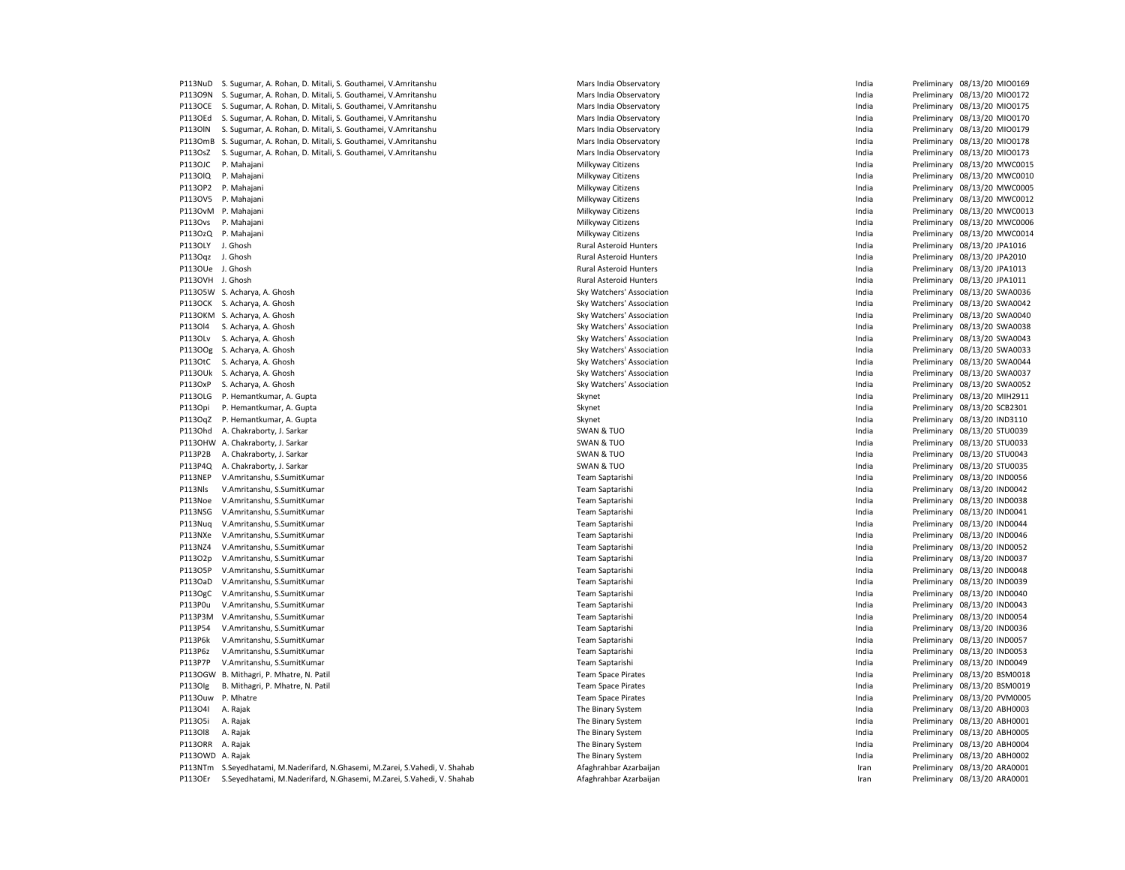|                  | P113NuD S. Sugumar, A. Rohan, D. Mitali, S. Gouthamei, V.Amritanshu          | Mars India Observatory        | India | Preliminary 08/13/20 MIO0169 |
|------------------|------------------------------------------------------------------------------|-------------------------------|-------|------------------------------|
|                  | P113O9N S. Sugumar, A. Rohan, D. Mitali, S. Gouthamei, V.Amritanshu          | Mars India Observatory        | India | Preliminary 08/13/20 MIO0172 |
| <b>P113OCE</b>   | S. Sugumar, A. Rohan, D. Mitali, S. Gouthamei, V.Amritanshu                  | Mars India Observatory        | India | Preliminary 08/13/20 MIO0175 |
| P1130Ed          | S. Sugumar, A. Rohan, D. Mitali, S. Gouthamei, V.Amritanshu                  | Mars India Observatory        | India | Preliminary 08/13/20 MIO0170 |
| <b>P1130IN</b>   | S. Sugumar, A. Rohan, D. Mitali, S. Gouthamei, V.Amritanshu                  | Mars India Observatory        | India | Preliminary 08/13/20 MIO0179 |
|                  | P113OmB S. Sugumar, A. Rohan, D. Mitali, S. Gouthamei, V.Amritanshu          | Mars India Observatory        | India | Preliminary 08/13/20 MIO0178 |
| P113OsZ          | S. Sugumar, A. Rohan, D. Mitali, S. Gouthamei, V.Amritanshu                  | Mars India Observatory        | India | Preliminary 08/13/20 MIO0173 |
| P113OJC          | P. Mahajani                                                                  | Milkyway Citizens             | India | Preliminary 08/13/20 MWC0015 |
| P1130IQ          | P. Mahajani                                                                  | Milkyway Citizens             | India | Preliminary 08/13/20 MWC0010 |
| P113OP2          | P. Mahajani                                                                  | Milkyway Citizens             | India | Preliminary 08/13/20 MWC0005 |
|                  | P113OV5 P. Mahajani                                                          | Milkyway Citizens             | India | Preliminary 08/13/20 MWC0012 |
|                  | P113OvM P. Mahajani                                                          | Milkyway Citizens             | India | Preliminary 08/13/20 MWC0013 |
| P113Ovs          | P. Mahajani                                                                  | Milkyway Citizens             | India | Preliminary 08/13/20 MWC0006 |
| P113OzQ          | P. Mahajani                                                                  | Milkyway Citizens             | India | Preliminary 08/13/20 MWC0014 |
| P113OLY          | J. Ghosh                                                                     | <b>Rural Asteroid Hunters</b> | India | Preliminary 08/13/20 JPA1016 |
| P113Oqz          | J. Ghosh                                                                     | <b>Rural Asteroid Hunters</b> | India | Preliminary 08/13/20 JPA2010 |
| P113OUe J. Ghosh |                                                                              | <b>Rural Asteroid Hunters</b> | India | Preliminary 08/13/20 JPA1013 |
|                  |                                                                              |                               |       |                              |
| P113OVH J. Ghosh |                                                                              | <b>Rural Asteroid Hunters</b> | India | Preliminary 08/13/20 JPA1011 |
|                  | P113O5W S. Acharya, A. Ghosh                                                 | Sky Watchers' Association     | India | Preliminary 08/13/20 SWA0036 |
|                  | P113OCK S. Acharya, A. Ghosh                                                 | Sky Watchers' Association     | India | Preliminary 08/13/20 SWA0042 |
| <b>P113OKM</b>   | S. Acharya, A. Ghosh                                                         | Sky Watchers' Association     | India | Preliminary 08/13/20 SWA0040 |
| P113014          | S. Acharya, A. Ghosh                                                         | Sky Watchers' Association     | India | Preliminary 08/13/20 SWA0038 |
| P1130Lv          | S. Acharya, A. Ghosh                                                         | Sky Watchers' Association     | India | Preliminary 08/13/20 SWA0043 |
|                  | P113OOg S. Acharya, A. Ghosh                                                 | Sky Watchers' Association     | India | Preliminary 08/13/20 SWA0033 |
| P113OtC          | S. Acharya, A. Ghosh                                                         | Sky Watchers' Association     | India | Preliminary 08/13/20 SWA0044 |
| P113OUk          | S. Acharya, A. Ghosh                                                         | Sky Watchers' Association     | India | Preliminary 08/13/20 SWA0037 |
| P113OxP          | S. Acharya, A. Ghosh                                                         | Sky Watchers' Association     | India | Preliminary 08/13/20 SWA0052 |
| P113OLG          | P. Hemantkumar, A. Gupta                                                     | Skynet                        | India | Preliminary 08/13/20 MIH2911 |
| P113Opi          | P. Hemantkumar, A. Gupta                                                     | Skynet                        | India | Preliminary 08/13/20 SCB2301 |
| P113OqZ          | P. Hemantkumar, A. Gupta                                                     | Skynet                        | India | Preliminary 08/13/20 IND3110 |
| P1130hd          | A. Chakraborty, J. Sarkar                                                    | <b>SWAN &amp; TUO</b>         | India | Preliminary 08/13/20 STU0039 |
|                  | P113OHW A. Chakraborty, J. Sarkar                                            | <b>SWAN &amp; TUO</b>         | India | Preliminary 08/13/20 STU0033 |
| P113P2B          | A. Chakraborty, J. Sarkar                                                    | <b>SWAN &amp; TUO</b>         | India | Preliminary 08/13/20 STU0043 |
| P113P4Q          | A. Chakraborty, J. Sarkar                                                    | <b>SWAN &amp; TUO</b>         | India | Preliminary 08/13/20 STU0035 |
| P113NEP          | V.Amritanshu, S.SumitKumar                                                   | Team Saptarishi               | India | Preliminary 08/13/20 IND0056 |
| P113Nls          | V.Amritanshu, S.SumitKumar                                                   | Team Saptarishi               | India | Preliminary 08/13/20 IND0042 |
| P113Noe          | V.Amritanshu, S.SumitKumar                                                   | Team Saptarishi               | India | Preliminary 08/13/20 IND0038 |
| P113NSG          | V.Amritanshu, S.SumitKumar                                                   | Team Saptarishi               | India | Preliminary 08/13/20 IND0041 |
| P113Nuq          | V.Amritanshu, S.SumitKumar                                                   | Team Saptarishi               | India | Preliminary 08/13/20 IND0044 |
| P113NXe          | V.Amritanshu, S.SumitKumar                                                   | Team Saptarishi               | India | Preliminary 08/13/20 IND0046 |
| P113NZ4          | V.Amritanshu, S.SumitKumar                                                   | Team Saptarishi               | India | Preliminary 08/13/20 IND0052 |
| P113O2p          | V.Amritanshu, S.SumitKumar                                                   | Team Saptarishi               | India | Preliminary 08/13/20 IND0037 |
| P113O5P          |                                                                              |                               | India |                              |
|                  | V.Amritanshu, S.SumitKumar                                                   | Team Saptarishi               |       | Preliminary 08/13/20 IND0048 |
| P113OaD          | V.Amritanshu, S.SumitKumar                                                   | Team Saptarishi               | India | Preliminary 08/13/20 IND0039 |
| P113OgC          | V.Amritanshu, S.SumitKumar                                                   | Team Saptarishi               | India | Preliminary 08/13/20 IND0040 |
| P113P0u          | V.Amritanshu, S.SumitKumar                                                   | Team Saptarishi               | India | Preliminary 08/13/20 IND0043 |
| P113P3M          | V.Amritanshu, S.SumitKumar                                                   | Team Saptarishi               | India | Preliminary 08/13/20 IND0054 |
| P113P54          | V.Amritanshu, S.SumitKumar                                                   | Team Saptarishi               | India | Preliminary 08/13/20 IND0036 |
| P113P6k          | V.Amritanshu, S.SumitKumar                                                   | Team Saptarishi               | India | Preliminary 08/13/20 IND0057 |
| P113P6z          | V.Amritanshu, S.SumitKumar                                                   | Team Saptarishi               | India | Preliminary 08/13/20 IND0053 |
| P113P7P          | V.Amritanshu, S.SumitKumar                                                   | Team Saptarishi               | India | Preliminary 08/13/20 IND0049 |
| P1130GW          | B. Mithagri, P. Mhatre, N. Patil                                             | <b>Team Space Pirates</b>     | India | Preliminary 08/13/20 BSM0018 |
| P1130lg          | B. Mithagri, P. Mhatre, N. Patil                                             | <b>Team Space Pirates</b>     | India | Preliminary 08/13/20 BSM0019 |
|                  | P113Ouw P. Mhatre                                                            | <b>Team Space Pirates</b>     | India | Preliminary 08/13/20 PVM0005 |
| P11304I          | A. Rajak                                                                     | The Binary System             | India | Preliminary 08/13/20 ABH0003 |
| P113O5i          | A. Rajak                                                                     | The Binary System             | India | Preliminary 08/13/20 ABH0001 |
| P113018          | A. Rajak                                                                     | The Binary System             | India | Preliminary 08/13/20 ABH0005 |
| P113ORR          | A. Rajak                                                                     | The Binary System             | India | Preliminary 08/13/20 ABH0004 |
| P113OWD          | A. Rajak                                                                     | The Binary System             | India | Preliminary 08/13/20 ABH0002 |
|                  | P113NTm S.Seyedhatami, M.Naderifard, N.Ghasemi, M.Zarei, S.Vahedi, V. Shahab | Afaghrahbar Azarbaijar        | Iran  | Preliminary 08/13/20 ARA0001 |
| P1130Er          | S.Seyedhatami, M.Naderifard, N.Ghasemi, M.Zarei, S.Vahedi, V. Shahab         | Afaghrahbar Azarbaijan        | Iran  | Preliminary 08/13/20 ARA0001 |

| <b>IVIAIS IIIUIA UUSEI VALUI V</b> | шию   | r i eilimiliai y | <b>DOLTON INTOXICE</b> |                  |
|------------------------------------|-------|------------------|------------------------|------------------|
| Mars India Observatory             | India | Preliminary      | 08/13/20 MIO0172       |                  |
| Mars India Observatory             | India | Preliminary      | 08/13/20 MIO0175       |                  |
| Mars India Observatory             | India | Preliminary      | 08/13/20 MIO0170       |                  |
| Mars India Observatory             | India | Preliminary      | 08/13/20 MIO0179       |                  |
| Mars India Observatory             | India | Preliminary      | 08/13/20 MIO0178       |                  |
| Mars India Observatory             | India | Preliminary      | 08/13/20 MIO0173       |                  |
| Milkyway Citizens                  | India | Preliminary      |                        | 08/13/20 MWC0015 |
| Milkyway Citizens                  | India | Preliminary      |                        | 08/13/20 MWC0010 |
| Milkyway Citizens                  | India | Preliminary      |                        | 08/13/20 MWC0005 |
| Milkyway Citizens                  | India | Preliminary      |                        | 08/13/20 MWC0012 |
| Milkyway Citizens                  | India | Preliminary      |                        | 08/13/20 MWC0013 |
| Milkyway Citizens                  | India | Preliminary      |                        | 08/13/20 MWC0006 |
| Milkyway Citizens                  | India | Preliminary      |                        | 08/13/20 MWC0014 |
| <b>Rural Asteroid Hunters</b>      | India | Preliminary      | 08/13/20 JPA1016       |                  |
| Rural Asteroid Hunters             | India | Preliminary      | 08/13/20 JPA2010       |                  |
| Rural Asteroid Hunters             | India | Preliminary      | 08/13/20 JPA1013       |                  |
| Rural Asteroid Hunters             | India | Preliminary      | 08/13/20 JPA1011       |                  |
| Sky Watchers' Association          | India | Preliminary      |                        | 08/13/20 SWA0036 |
| Sky Watchers' Association          | India | Preliminary      |                        | 08/13/20 SWA0042 |
| Sky Watchers' Association          | India | Preliminary      |                        | 08/13/20 SWA0040 |
| Sky Watchers' Association          | India | Preliminary      |                        | 08/13/20 SWA0038 |
|                                    | India |                  |                        |                  |
| Sky Watchers' Association          |       | Preliminary      |                        | 08/13/20 SWA0043 |
| Sky Watchers' Association          | India | Preliminary      |                        | 08/13/20 SWA0033 |
| Sky Watchers' Association          | India | Preliminary      |                        | 08/13/20 SWA0044 |
| Sky Watchers' Association          | India | Preliminary      |                        | 08/13/20 SWA0037 |
| Sky Watchers' Association          | India | Preliminary      |                        | 08/13/20 SWA0052 |
| Skynet                             | India | Preliminary      | 08/13/20 MIH2911       |                  |
| Skynet                             | India | Preliminary      | 08/13/20 SCB2301       |                  |
| Skynet                             | India | Preliminary      | 08/13/20 IND3110       |                  |
| SWAN & TUO                         | India | Preliminary      | 08/13/20 STU0039       |                  |
| SWAN & TUO                         | India | Preliminary      | 08/13/20 STU0033       |                  |
| SWAN & TUO                         | India | Preliminary      | 08/13/20 STU0043       |                  |
| SWAN & TUO                         | India | Preliminary      | 08/13/20 STU0035       |                  |
| Team Saptarishi                    | India | Preliminary      | 08/13/20 IND0056       |                  |
| Team Saptarishi                    | India | Preliminary      | 08/13/20 IND0042       |                  |
| Team Saptarishi                    | India | Preliminary      | 08/13/20 IND0038       |                  |
| Team Saptarishi                    | India | Preliminary      | 08/13/20 IND0041       |                  |
| Team Saptarishi                    | India | Preliminary      | 08/13/20 IND0044       |                  |
| Team Saptarishi                    | India | Preliminary      | 08/13/20 IND0046       |                  |
| Team Saptarishi                    | India | Preliminary      | 08/13/20 IND0052       |                  |
| Team Saptarishi                    | India | Preliminary      | 08/13/20 IND0037       |                  |
| Team Saptarishi                    | India | Preliminary      | 08/13/20 IND0048       |                  |
| Team Saptarishi                    | India | Preliminary      | 08/13/20 IND0039       |                  |
| Team Saptarishi                    | India | Preliminary      | 08/13/20 IND0040       |                  |
| Team Saptarishi                    | India | Preliminary      | 08/13/20 IND0043       |                  |
| Team Saptarishi                    | India | Preliminary      | 08/13/20 IND0054       |                  |
| Team Saptarishi                    | India | Preliminary      | 08/13/20 IND0036       |                  |
| Team Saptarishi                    | India | Preliminary      | 08/13/20 IND0057       |                  |
| Team Saptarishi                    | India | Preliminary      | 08/13/20 IND0053       |                  |
| Team Saptarishi                    | India | Preliminary      | 08/13/20 IND0049       |                  |
| <b>Team Space Pirates</b>          | India | Preliminary      | 08/13/20 BSM0018       |                  |
| <b>Team Space Pirates</b>          | India | Preliminary      | 08/13/20 BSM0019       |                  |
| <b>Team Space Pirates</b>          | India | Preliminary      |                        | 08/13/20 PVM0005 |
| The Binary System                  | India | Preliminary      | 08/13/20 ABH0003       |                  |
| The Binary System                  | India | Preliminary      | 08/13/20 ABH0001       |                  |
| The Binary System                  | India | Preliminary      | 08/13/20 ABH0005       |                  |
| The Binary System                  | India | Preliminary      | 08/13/20 ABH0004       |                  |
| The Binary System                  | India | Preliminary      | 08/13/20 ABH0002       |                  |
| Afaghrahbar Azarbaijan             | Iran  | Preliminary      | 08/13/20 ARA0001       |                  |
| Afaghrahbar Azarbaijan             | Iran  | Preliminary      | 08/13/20 ARA0001       |                  |
|                                    |       |                  |                        |                  |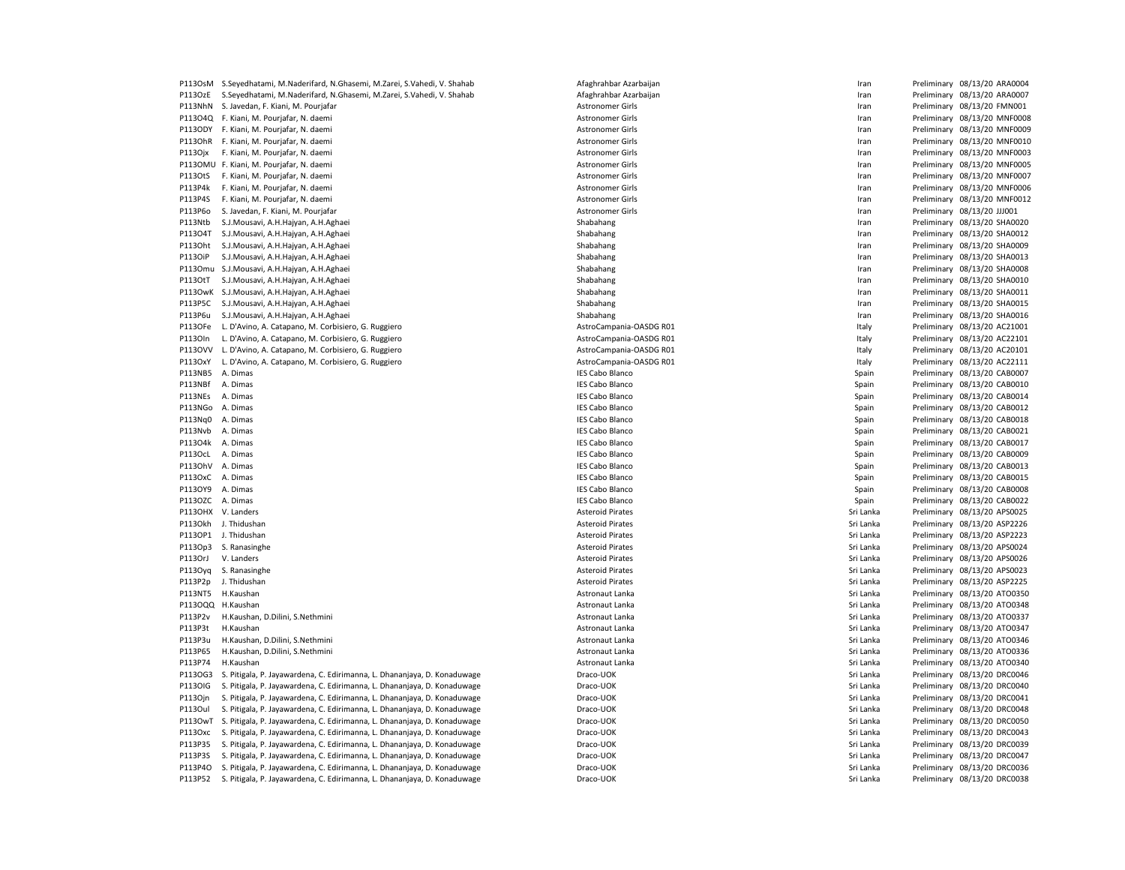| P113OsM        | S.Seyedhatami, M.Naderifard, N.Ghasemi, M.Zarei, S.Vahedi, V. Shahab     | Afaghrahbar Azarbaijan  | Iran      | Preliminary 08/13/20 ARA0004 |
|----------------|--------------------------------------------------------------------------|-------------------------|-----------|------------------------------|
| P113OzE        | S.Seyedhatami, M.Naderifard, N.Ghasemi, M.Zarei, S.Vahedi, V. Shahab     | Afaghrahbar Azarbaijan  | Iran      | Preliminary 08/13/20 ARA0007 |
| P113NhN        | S. Javedan, F. Kiani, M. Pourjafar                                       | <b>Astronomer Girls</b> | Iran      | Preliminary 08/13/20 FMN001  |
|                | P113O4Q F. Kiani, M. Pourjafar, N. daemi                                 | Astronomer Girls        | Iran      | Preliminary 08/13/20 MNF0008 |
|                | P113ODY F. Kiani, M. Pourjafar, N. daemi                                 | <b>Astronomer Girls</b> | Iran      | Preliminary 08/13/20 MNF0009 |
|                | P113OhR F. Kiani, M. Pourjafar, N. daemi                                 | <b>Astronomer Girls</b> | Iran      | Preliminary 08/13/20 MNF0010 |
| P113Ojx        | F. Kiani, M. Pourjafar, N. daemi                                         | Astronomer Girls        | Iran      | Preliminary 08/13/20 MNF0003 |
|                | P113OMU F. Kiani, M. Pourjafar, N. daemi                                 | <b>Astronomer Girls</b> | Iran      | Preliminary 08/13/20 MNF0005 |
| P113OtS        | F. Kiani, M. Pourjafar, N. daemi                                         | <b>Astronomer Girls</b> | Iran      | Preliminary 08/13/20 MNF0007 |
| P113P4k        | F. Kiani, M. Pourjafar, N. daemi                                         | <b>Astronomer Girls</b> | Iran      | Preliminary 08/13/20 MNF0006 |
| P113P4S        | F. Kiani, M. Pourjafar, N. daemi                                         | <b>Astronomer Girls</b> | Iran      | Preliminary 08/13/20 MNF0012 |
| P113P6o        | S. Javedan, F. Kiani, M. Pourjafar                                       | <b>Astronomer Girls</b> | Iran      | Preliminary 08/13/20 JJJ001  |
| P113Ntb        | S.J.Mousavi, A.H.Hajyan, A.H.Aghaei                                      | Shabahang               | Iran      | Preliminary 08/13/20 SHA0020 |
| P113O4T        | S.J.Mousavi, A.H.Hajyan, A.H.Aghaei                                      | Shabahang               | Iran      | Preliminary 08/13/20 SHA0012 |
| P1130ht        |                                                                          | Shabahang               |           | Preliminary 08/13/20 SHA0009 |
|                | S.J.Mousavi, A.H.Hajyan, A.H.Aghaei                                      |                         | Iran      |                              |
| P113OiP        | S.J.Mousavi, A.H.Hajyan, A.H.Aghaei                                      | Shabahang               | Iran      | Preliminary 08/13/20 SHA0013 |
| P1130mu        | S.J.Mousavi, A.H.Hajyan, A.H.Aghaei                                      | Shabahang               | Iran      | Preliminary 08/13/20 SHA0008 |
| P113OtT        | S.J.Mousavi, A.H.Hajyan, A.H.Aghaei                                      | Shabahang               | Iran      | Preliminary 08/13/20 SHA0010 |
| <b>P113OwK</b> | S.J.Mousavi, A.H.Hajyan, A.H.Aghaei                                      | Shabahang               | Iran      | Preliminary 08/13/20 SHA0011 |
| P113P5C        | S.J.Mousavi, A.H.Hajyan, A.H.Aghaei                                      | Shabahang               | Iran      | Preliminary 08/13/20 SHA0015 |
| P113P6u        | S.J.Mousavi, A.H.Hajyan, A.H.Aghaei                                      | Shabahang               | Iran      | Preliminary 08/13/20 SHA0016 |
| P113OFe        | L. D'Avino, A. Catapano, M. Corbisiero, G. Ruggiero                      | AstroCampania-OASDG R01 | Italy     | Preliminary 08/13/20 AC21001 |
| P1130In        | L. D'Avino, A. Catapano, M. Corbisiero, G. Ruggiero                      | AstroCampania-OASDG R01 | Italy     | Preliminary 08/13/20 AC22101 |
| P1130VV        | L. D'Avino, A. Catapano, M. Corbisiero, G. Ruggiero                      | AstroCampania-OASDG R01 | Italy     | Preliminary 08/13/20 AC20101 |
| P113OxY        | L. D'Avino, A. Catapano, M. Corbisiero, G. Ruggiero                      | AstroCampania-OASDG R01 | Italy     | Preliminary 08/13/20 AC22111 |
| P113NB5        | A. Dimas                                                                 | <b>IES Cabo Blanco</b>  | Spain     | Preliminary 08/13/20 CAB0007 |
| P113NBf        | A. Dimas                                                                 | <b>IES Cabo Blanco</b>  | Spain     | Preliminary 08/13/20 CAB0010 |
| P113NEs        | A. Dimas                                                                 | <b>IES Cabo Blanco</b>  | Spain     | Preliminary 08/13/20 CAB0014 |
| P113NGo        | A. Dimas                                                                 | <b>IES Cabo Blanco</b>  | Spain     | Preliminary 08/13/20 CAB0012 |
| P113Nq0        | A. Dimas                                                                 | <b>IES Cabo Blanco</b>  | Spain     | Preliminary 08/13/20 CAB0018 |
|                |                                                                          |                         |           |                              |
| P113Nvb        | A. Dimas                                                                 | <b>IES Cabo Blanco</b>  | Spain     | Preliminary 08/13/20 CAB0021 |
| P113O4k        | A. Dimas                                                                 | <b>IES Cabo Blanco</b>  | Spain     | Preliminary 08/13/20 CAB0017 |
| P113OcL        | A. Dimas                                                                 | <b>IES Cabo Blanco</b>  | Spain     | Preliminary 08/13/20 CAB0009 |
| P1130hV        | A. Dimas                                                                 | <b>IES Cabo Blanco</b>  | Spain     | Preliminary 08/13/20 CAB0013 |
| P113OxC        | A. Dimas                                                                 | <b>IES Cabo Blanco</b>  | Spain     | Preliminary 08/13/20 CAB0015 |
| P113OY9        | A. Dimas                                                                 | <b>IES Cabo Blanco</b>  | Spain     | Preliminary 08/13/20 CAB0008 |
| P113OZC        | A. Dimas                                                                 | <b>IES Cabo Blanco</b>  | Spain     | Preliminary 08/13/20 CAB0022 |
| P113OHX        | V. Landers                                                               | <b>Asteroid Pirates</b> | Sri Lanka | Preliminary 08/13/20 APS0025 |
| P113Okh        | J. Thidushan                                                             | <b>Asteroid Pirates</b> | Sri Lanka | Preliminary 08/13/20 ASP2226 |
| P113OP1        | J. Thidushan                                                             | <b>Asteroid Pirates</b> | Sri Lanka | Preliminary 08/13/20 ASP2223 |
| P113Op3        | S. Ranasinghe                                                            | <b>Asteroid Pirates</b> | Sri Lanka | Preliminary 08/13/20 APS0024 |
| P113OrJ        | V. Landers                                                               | <b>Asteroid Pirates</b> | Sri Lanka | Preliminary 08/13/20 APS0026 |
| P113Oyq        | S. Ranasinghe                                                            | <b>Asteroid Pirates</b> | Sri Lanka | Preliminary 08/13/20 APS0023 |
| P113P2p        | J. Thidushan                                                             | <b>Asteroid Pirates</b> | Sri Lanka | Preliminary 08/13/20 ASP2225 |
| P113NT5        | H.Kaushan                                                                | Astronaut Lanka         | Sri Lanka | Preliminary 08/13/20 ATO0350 |
| P113OQQ        | H.Kaushan                                                                | Astronaut Lanka         | Sri Lanka | Preliminary 08/13/20 ATO0348 |
| P113P2v        | H.Kaushan, D.Dilini, S.Nethmini                                          | Astronaut Lanka         | Sri Lanka | Preliminary 08/13/20 ATO0337 |
|                | H.Kaushan                                                                |                         |           | Preliminary 08/13/20 ATO0347 |
| P113P3t        |                                                                          | Astronaut Lanka         | Sri Lanka |                              |
| P113P3u        | H.Kaushan, D.Dilini, S.Nethmini                                          | Astronaut Lanka         | Sri Lanka | Preliminary 08/13/20 ATO0346 |
| P113P65        | H.Kaushan, D.Dilini, S.Nethmini                                          | Astronaut Lanka         | Sri Lanka | Preliminary 08/13/20 ATO0336 |
| P113P74        | H.Kaushan                                                                | Astronaut Lanka         | Sri Lanka | Preliminary 08/13/20 ATO0340 |
| P1130G3        | S. Pitigala, P. Jayawardena, C. Edirimanna, L. Dhananjaya, D. Konaduwage | Draco-UOK               | Sri Lanka | Preliminary 08/13/20 DRC0046 |
| P1130IG        | S. Pitigala, P. Jayawardena, C. Edirimanna, L. Dhananjaya, D. Konaduwage | Draco-UOK               | Sri Lanka | Preliminary 08/13/20 DRC0040 |
| P1130jn        | S. Pitigala, P. Jayawardena, C. Edirimanna, L. Dhananjaya, D. Konaduwage | Draco-UOK               | Sri Lanka | Preliminary 08/13/20 DRC0041 |
| P1130ul        | S. Pitigala, P. Jayawardena, C. Edirimanna, L. Dhananjaya, D. Konaduwage | Draco-UOK               | Sri Lanka | Preliminary 08/13/20 DRC0048 |
| P1130wT        | S. Pitigala, P. Jayawardena, C. Edirimanna, L. Dhananjaya, D. Konaduwage | Draco-UOK               | Sri Lanka | Preliminary 08/13/20 DRC0050 |
| P113Oxc        | S. Pitigala, P. Jayawardena, C. Edirimanna, L. Dhananjaya, D. Konaduwage | Draco-UOK               | Sri Lanka | Preliminary 08/13/20 DRC0043 |
| P113P35        | S. Pitigala, P. Jayawardena, C. Edirimanna, L. Dhananjaya, D. Konaduwage | Draco-UOK               | Sri Lanka | Preliminary 08/13/20 DRC0039 |
| P113P3S        | S. Pitigala, P. Jayawardena, C. Edirimanna, L. Dhananjaya, D. Konaduwage | Draco-UOK               | Sri Lanka | Preliminary 08/13/20 DRC0047 |
| P113P4O        | S. Pitigala, P. Jayawardena, C. Edirimanna, L. Dhananjaya, D. Konaduwage | Draco-UOK               | Sri Lanka | Preliminary 08/13/20 DRC0036 |
| P113P52        | S. Pitigala, P. Jayawardena, C. Edirimanna, L. Dhananjaya, D. Konaduwage | Draco-UOK               | Sri Lanka | Preliminary 08/13/20 DRC0038 |
|                |                                                                          |                         |           |                              |

| faghrahbar Azarbaijan  |
|------------------------|
| faghrahbar Azarbaijan  |
| stronomer Girls        |
| stronomer Girls        |
| stronomer Girls        |
| stronomer Girls        |
| stronomer Girls        |
| stronomer Girls        |
| stronomer Girls        |
| stronomer Girls        |
| stronomer Girls        |
| stronomer Girls        |
| habahang               |
| habahang               |
| habahang               |
| habahang               |
| habahang               |
| habahang               |
| habahang               |
| habahang               |
| habahang               |
| stroCampania-OASDG R01 |
| stroCampania-OASDG R0: |
| stroCampania-OASDG R0: |
| stroCampania-OASDG R01 |
| ES Cabo Blanco         |
| ES Cabo Blanco         |
| ES Cabo Blanco         |
| ES Cabo Blanco         |
| ES Cabo Blanco         |
| ES Cabo Blanco         |
| ES Cabo Blanco         |
| ES Cabo Blanco         |
| ES Cabo Blanco         |
| ES Cabo Blanco         |
| ES Cabo Blanco         |
| ES Cabo Blanco         |
| steroid Pirates        |
| steroid Pirates        |
| steroid Pirates        |
| steroid Pirates        |
| steroid Pirates        |
| steroid Pirates        |
| steroid Pirates        |
| stronaut Lanka         |
| stronaut Lanka         |
| stronaut Lanka         |
| stronaut Lanka،        |
| stronaut Lanka         |
| stronaut Lanka         |
| stronaut Lanka         |
| raco-UOK               |
| raco-UOK               |
| raco-UOK               |
| raco-UOK               |
| raco-UOK               |
| raco-UOK               |
| raco-UOK               |
| raco-UOK               |
| raco-UOK               |

|   | Preliminary | 08/13/20 ARA0004 |         |
|---|-------------|------------------|---------|
|   | Preliminary | 08/13/20 ARA0007 |         |
|   | Preliminary | 08/13/20 FMN001  |         |
|   | Preliminary | 08/13/20 MNF000  |         |
|   | Preliminary | 08/13/20 MNF000  |         |
|   | Preliminary | 08/13/20 MNF001  |         |
|   | Preliminary | 08/13/20 MNF000  |         |
|   | Preliminary | 08/13/20 MNF000  |         |
|   | Preliminary | 08/13/20 MNF000  |         |
|   | Preliminary | 08/13/20 MNF000  |         |
|   | Preliminary | 08/13/20 MNF001  |         |
|   | Preliminary | 08/13/20 JJJ001  |         |
|   | Preliminary | 08/13/20 SHA0020 |         |
|   | Preliminary | 08/13/20 SHA0012 |         |
|   | Preliminary | 08/13/20 SHA0009 |         |
|   | Preliminary | 08/13/20 SHA0013 |         |
|   |             |                  |         |
|   | Preliminary | 08/13/20 SHA0008 |         |
|   | Preliminary | 08/13/20 SHA0010 |         |
|   | Preliminary | 08/13/20 SHA0011 |         |
|   | Preliminary | 08/13/20 SHA0015 |         |
|   | Preliminary | 08/13/20 SHA0016 |         |
|   | Preliminary | 08/13/20 AC21001 |         |
|   | Preliminary | 08/13/20 AC22101 |         |
|   | Preliminary | 08/13/20 AC20101 |         |
|   | Preliminary | 08/13/20 AC22111 |         |
|   | Preliminary | 08/13/20 CAB0007 |         |
|   | Preliminary | 08/13/20 CAB0010 |         |
|   | Preliminary | 08/13/20 CAB0014 |         |
|   | Preliminary | 08/13/20 CAB0012 |         |
|   | Preliminary | 08/13/20 CAB0018 |         |
|   | Preliminary | 08/13/20 CAB0021 |         |
|   | Preliminary | 08/13/20 CAB0017 |         |
|   | Preliminary | 08/13/20 CAB0009 |         |
|   | Preliminary | 08/13/20 CAB0013 |         |
|   | Preliminary | 08/13/20 CAB0015 |         |
|   | Preliminary | 08/13/20 CAB0008 |         |
|   | Preliminary | 08/13/20 CAB0022 |         |
|   | Preliminary | 08/13/20 APS0025 |         |
|   | Preliminary | 08/13/20 ASP2226 |         |
|   | Preliminary | 08/13/20 ASP2223 |         |
|   | Preliminary | 08/13/20 APS0024 |         |
|   | Preliminary | 08/13/20 APS0026 |         |
|   | Preliminary | 08/13/20 APS0023 |         |
|   | Preliminary | 08/13/20 ASP2225 |         |
|   | Preliminary | 08/13/20 ATO0350 |         |
| l | Preliminary | 08/13/20 ATO0348 |         |
|   | Preliminary | 08/13/20 ATO0337 |         |
| l |             | 08/13/20 ATO0347 |         |
| l | Preliminary |                  |         |
| l | Preliminary | 08/13/20 ATO0346 |         |
|   | Preliminary | 08/13/20 ATO0336 |         |
|   | Preliminary | 08/13/20 ATO0340 |         |
|   | Preliminary | 08/13/20 DRC0046 |         |
|   | Preliminary | 08/13/20 DRC0040 |         |
|   | Preliminary | 08/13/20 DRC0041 |         |
|   | Preliminary | 08/13/20 DRC0048 |         |
|   | Preliminary | 08/13/20 DRC0050 |         |
|   | Preliminary | 08/13/20 DRC0043 |         |
|   | Preliminary | 08/13/20 DRC0039 |         |
|   | Preliminary | 08/13/20 DRC0047 |         |
|   | Preliminary | 08/13/20 DRC0036 |         |
|   | Preliminary | 08/13/20         | DRC0038 |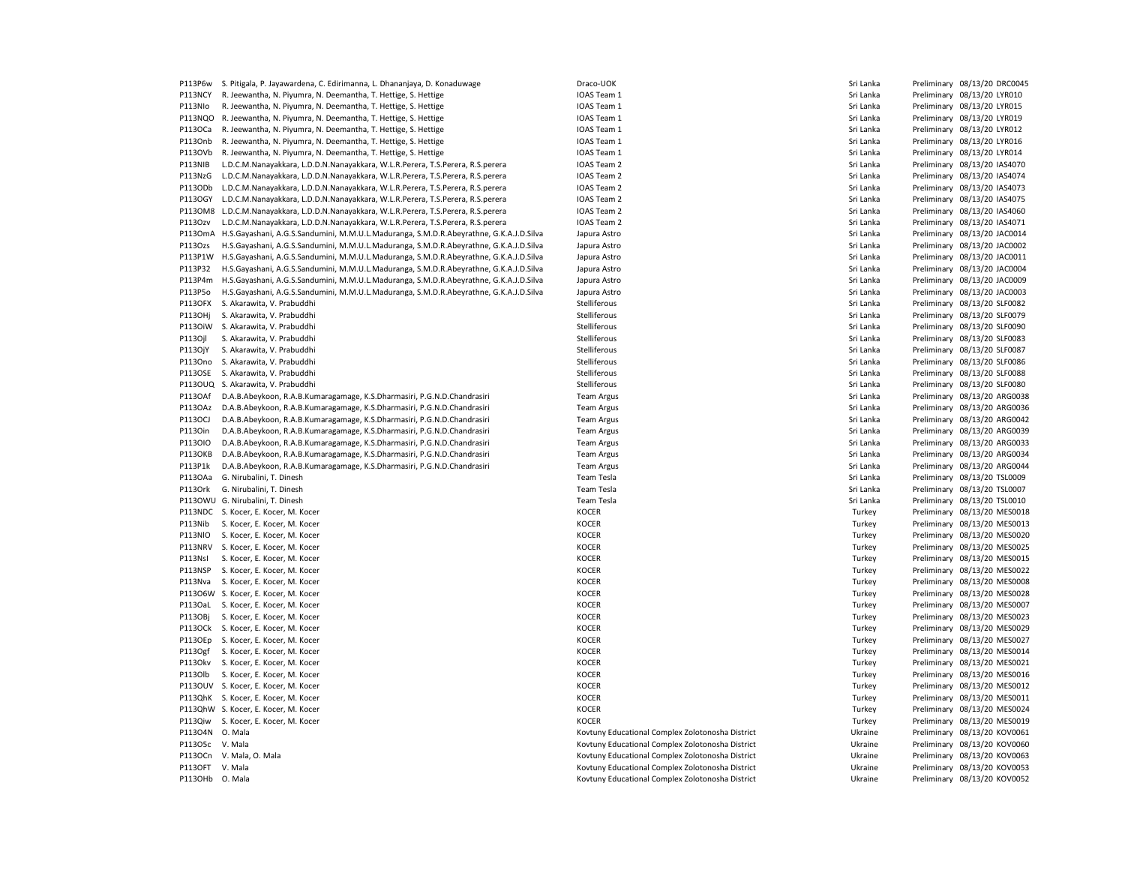| P113P6w         | S. Pitigala, P. Jayawardena, C. Edirimanna, L. Dhananjaya, D. Konaduwage               | Draco-UOK                                        | Sri Lanka | Preliminary 08/13/20 DRC0045 |
|-----------------|----------------------------------------------------------------------------------------|--------------------------------------------------|-----------|------------------------------|
| P113NCY         | R. Jeewantha, N. Piyumra, N. Deemantha, T. Hettige, S. Hettige                         | IOAS Team 1                                      | Sri Lanka | Preliminary 08/13/20 LYR010  |
| P113Nlo         | R. Jeewantha, N. Piyumra, N. Deemantha, T. Hettige, S. Hettige                         | IOAS Team 1                                      | Sri Lanka | Preliminary 08/13/20 LYR015  |
| P113NQO         | R. Jeewantha, N. Piyumra, N. Deemantha, T. Hettige, S. Hettige                         | IOAS Team 1                                      | Sri Lanka | Preliminary 08/13/20 LYR019  |
| P113OCa         | R. Jeewantha, N. Piyumra, N. Deemantha, T. Hettige, S. Hettige                         | IOAS Team 1                                      | Sri Lanka | Preliminary 08/13/20 LYR012  |
| P113Onb         | R. Jeewantha, N. Piyumra, N. Deemantha, T. Hettige, S. Hettige                         | IOAS Team 1                                      | Sri Lanka | Preliminary 08/13/20 LYR016  |
| P113OVb         | R. Jeewantha, N. Piyumra, N. Deemantha, T. Hettige, S. Hettige                         | IOAS Team 1                                      | Sri Lanka | Preliminary 08/13/20 LYR014  |
| P113NIB         | L.D.C.M.Nanayakkara, L.D.D.N.Nanayakkara, W.L.R.Perera, T.S.Perera, R.S.perera         | IOAS Team 2                                      | Sri Lanka | Preliminary 08/13/20 IAS4070 |
| P113NzG         | L.D.C.M.Nanayakkara, L.D.D.N.Nanayakkara, W.L.R.Perera, T.S.Perera, R.S.perera         | IOAS Team 2                                      | Sri Lanka | Preliminary 08/13/20 IAS4074 |
| P113ODb         | L.D.C.M.Nanayakkara, L.D.D.N.Nanayakkara, W.L.R.Perera, T.S.Perera, R.S.perera         | IOAS Team 2                                      | Sri Lanka | Preliminary 08/13/20 IAS4073 |
| P113OGY         | L.D.C.M.Nanayakkara, L.D.D.N.Nanayakkara, W.L.R.Perera, T.S.Perera, R.S.perera         | IOAS Team 2                                      | Sri Lanka | Preliminary 08/13/20 IAS4075 |
| P1130M8         | L.D.C.M.Nanayakkara, L.D.D.N.Nanayakkara, W.L.R.Perera, T.S.Perera, R.S.perera         | IOAS Team 2                                      | Sri Lanka | Preliminary 08/13/20 IAS4060 |
| P1130zv         | L.D.C.M.Nanayakkara, L.D.D.N.Nanayakkara, W.L.R.Perera, T.S.Perera, R.S.perera         | IOAS Team 2                                      | Sri Lanka | Preliminary 08/13/20 IAS4071 |
| P1130mA         | H.S.Gayashani, A.G.S.Sandumini, M.M.U.L.Maduranga, S.M.D.R.Abeyrathne, G.K.A.J.D.Silva | Japura Astro                                     | Sri Lanka | Preliminary 08/13/20 JAC0014 |
| P113Ozs         | H.S.Gayashani, A.G.S.Sandumini, M.M.U.L.Maduranga, S.M.D.R.Abeyrathne, G.K.A.J.D.Silva | Japura Astro                                     | Sri Lanka | Preliminary 08/13/20 JAC0002 |
| P113P1W         | H.S.Gayashani, A.G.S.Sandumini, M.M.U.L.Maduranga, S.M.D.R.Abeyrathne, G.K.A.J.D.Silva | Japura Astro                                     | Sri Lanka | Preliminary 08/13/20 JAC0011 |
| P113P32         | H.S.Gayashani, A.G.S.Sandumini, M.M.U.L.Maduranga, S.M.D.R.Abeyrathne, G.K.A.J.D.Silva | Japura Astro                                     | Sri Lanka | Preliminary 08/13/20 JAC0004 |
| P113P4m         | H.S.Gayashani, A.G.S.Sandumini, M.M.U.L.Maduranga, S.M.D.R.Abeyrathne, G.K.A.J.D.Silva | Japura Astro                                     | Sri Lanka | Preliminary 08/13/20 JAC0009 |
| P113P5o         | H.S.Gayashani, A.G.S.Sandumini, M.M.U.L.Maduranga, S.M.D.R.Abeyrathne, G.K.A.J.D.Silva | Japura Astro                                     | Sri Lanka | Preliminary 08/13/20 JAC0003 |
| <b>P113OFX</b>  | S. Akarawita, V. Prabuddhi                                                             | Stelliferous                                     | Sri Lanka | Preliminary 08/13/20 SLF0082 |
| P113OHj         | S. Akarawita, V. Prabuddhi                                                             | Stelliferous                                     | Sri Lanka | Preliminary 08/13/20 SLF0079 |
| P1130iW         | S. Akarawita, V. Prabuddhi                                                             | Stelliferous                                     | Sri Lanka | Preliminary 08/13/20 SLF0090 |
| P1130jl         | S. Akarawita, V. Prabuddhi                                                             | Stelliferous                                     | Sri Lanka | Preliminary 08/13/20 SLF0083 |
|                 |                                                                                        |                                                  |           |                              |
| P113OjY         | S. Akarawita, V. Prabuddhi                                                             | Stelliferous                                     | Sri Lanka | Preliminary 08/13/20 SLF0087 |
| P1130no         | S. Akarawita, V. Prabuddhi                                                             | Stelliferous                                     | Sri Lanka | Preliminary 08/13/20 SLF0086 |
| <b>P113OSE</b>  | S. Akarawita, V. Prabuddhi                                                             | Stelliferous                                     | Sri Lanka | Preliminary 08/13/20 SLF0088 |
| <b>P113OUQ</b>  | S. Akarawita, V. Prabuddhi                                                             | Stelliferous                                     | Sri Lanka | Preliminary 08/13/20 SLF0080 |
| P113OAf         | D.A.B.Abeykoon, R.A.B.Kumaragamage, K.S.Dharmasiri, P.G.N.D.Chandrasiri                | <b>Team Argus</b>                                | Sri Lanka | Preliminary 08/13/20 ARG0038 |
| P113OAz         | D.A.B.Abeykoon, R.A.B.Kumaragamage, K.S.Dharmasiri, P.G.N.D.Chandrasiri                | <b>Team Argus</b>                                | Sri Lanka | Preliminary 08/13/20 ARG0036 |
| P113OCJ         | D.A.B.Abeykoon, R.A.B.Kumaragamage, K.S.Dharmasiri, P.G.N.D.Chandrasiri                | <b>Team Argus</b>                                | Sri Lanka | Preliminary 08/13/20 ARG0042 |
| P1130in         | D.A.B.Abeykoon, R.A.B.Kumaragamage, K.S.Dharmasiri, P.G.N.D.Chandrasiri                | <b>Team Argus</b>                                | Sri Lanka | Preliminary 08/13/20 ARG0039 |
| P1130IO         | D.A.B.Abeykoon, R.A.B.Kumaragamage, K.S.Dharmasiri, P.G.N.D.Chandrasiri                | <b>Team Argus</b>                                | Sri Lanka | Preliminary 08/13/20 ARG0033 |
| P113OKB         | D.A.B.Abeykoon, R.A.B.Kumaragamage, K.S.Dharmasiri, P.G.N.D.Chandrasiri                | <b>Team Argus</b>                                | Sri Lanka | Preliminary 08/13/20 ARG0034 |
| P113P1k         | D.A.B.Abeykoon, R.A.B.Kumaragamage, K.S.Dharmasiri, P.G.N.D.Chandrasiri                | <b>Team Argus</b>                                | Sri Lanka | Preliminary 08/13/20 ARG0044 |
| P1130Aa         | G. Nirubalini, T. Dinesh                                                               | Team Tesla                                       | Sri Lanka | Preliminary 08/13/20 TSL0009 |
| P113Ork         | G. Nirubalini, T. Dinesh                                                               | Team Tesla                                       | Sri Lanka | Preliminary 08/13/20 TSL0007 |
|                 | P113OWU G. Nirubalini, T. Dinesh                                                       | Team Tesla                                       | Sri Lanka | Preliminary 08/13/20 TSL0010 |
|                 | P113NDC S. Kocer, E. Kocer, M. Kocer                                                   | <b>KOCER</b>                                     | Turkey    | Preliminary 08/13/20 MES0018 |
| P113Nib         | S. Kocer, E. Kocer, M. Kocer                                                           | <b>KOCER</b>                                     | Turkey    | Preliminary 08/13/20 MES0013 |
| P113NIO         | S. Kocer, E. Kocer, M. Kocer                                                           | <b>KOCER</b>                                     | Turkey    | Preliminary 08/13/20 MES0020 |
| P113NRV         | S. Kocer, E. Kocer, M. Kocer                                                           | <b>KOCER</b>                                     | Turkey    | Preliminary 08/13/20 MES0025 |
| P113NsI         | S. Kocer, E. Kocer, M. Kocer                                                           | KOCER                                            | Turkey    | Preliminary 08/13/20 MES0015 |
| P113NSP         | S. Kocer, E. Kocer, M. Kocer                                                           | <b>KOCER</b>                                     | Turkey    | Preliminary 08/13/20 MES0022 |
| P113Nva         | S. Kocer, E. Kocer, M. Kocer                                                           | <b>KOCER</b>                                     | Turkey    | Preliminary 08/13/20 MES0008 |
|                 | P113O6W S. Kocer, E. Kocer, M. Kocer                                                   | <b>KOCER</b>                                     | Turkey    | Preliminary 08/13/20 MES0028 |
|                 | P113OaL S. Kocer, E. Kocer, M. Kocer                                                   | <b>KOCER</b>                                     | Turkey    | Preliminary 08/13/20 MES0007 |
| P113OBj         | S. Kocer, E. Kocer, M. Kocer                                                           | <b>KOCER</b>                                     | Turkey    | Preliminary 08/13/20 MES0023 |
|                 | P113OCk S. Kocer, E. Kocer, M. Kocer                                                   | <b>KOCER</b>                                     | Turkey    | Preliminary 08/13/20 MES0029 |
| P1130Ep         | S. Kocer, E. Kocer, M. Kocer                                                           | <b>KOCER</b>                                     | Turkey    | Preliminary 08/13/20 MES0027 |
| P113Ogf         | S. Kocer, E. Kocer, M. Kocer                                                           | KOCER                                            | Turkey    | Preliminary 08/13/20 MES0014 |
|                 | P113Okv S. Kocer, E. Kocer, M. Kocer                                                   | KOCER                                            | Turkey    | Preliminary 08/13/20 MES0021 |
| P1130lb         | S. Kocer, E. Kocer, M. Kocer                                                           | <b>KOCER</b>                                     | Turkey    | Preliminary 08/13/20 MES0016 |
|                 | P113OUV S. Kocer, E. Kocer, M. Kocer                                                   | <b>KOCER</b>                                     | Turkey    | Preliminary 08/13/20 MES0012 |
|                 | P113QhK S. Kocer, E. Kocer, M. Kocer                                                   | <b>KOCER</b>                                     | Turkey    | Preliminary 08/13/20 MES0011 |
|                 | P113QhW S. Kocer, E. Kocer, M. Kocer                                                   | <b>KOCER</b>                                     | Turkey    | Preliminary 08/13/20 MES0024 |
|                 | P113Qiw S. Kocer, E. Kocer, M. Kocer                                                   | <b>KOCER</b>                                     | Turkey    | Preliminary 08/13/20 MES0019 |
| P113O4N O. Mala |                                                                                        | Kovtuny Educational Complex Zolotonosha District | Ukraine   | Preliminary 08/13/20 KOV0061 |
| P113O5c V. Mala |                                                                                        | Kovtuny Educational Complex Zolotonosha District | Ukraine   | Preliminary 08/13/20 KOV0060 |
|                 | P113OCn V. Mala, O. Mala                                                               | Kovtuny Educational Complex Zolotonosha District | Ukraine   | Preliminary 08/13/20 KOV0063 |
| P113OFT V. Mala |                                                                                        | Kovtuny Educational Complex Zolotonosha District | Ukraine   | Preliminary 08/13/20 KOV0053 |
| P113OHb O. Mala |                                                                                        | Kovtuny Educational Complex Zolotonosha District | Ukraine   | Preliminary 08/13/20 KOV0052 |
|                 |                                                                                        |                                                  |           |                              |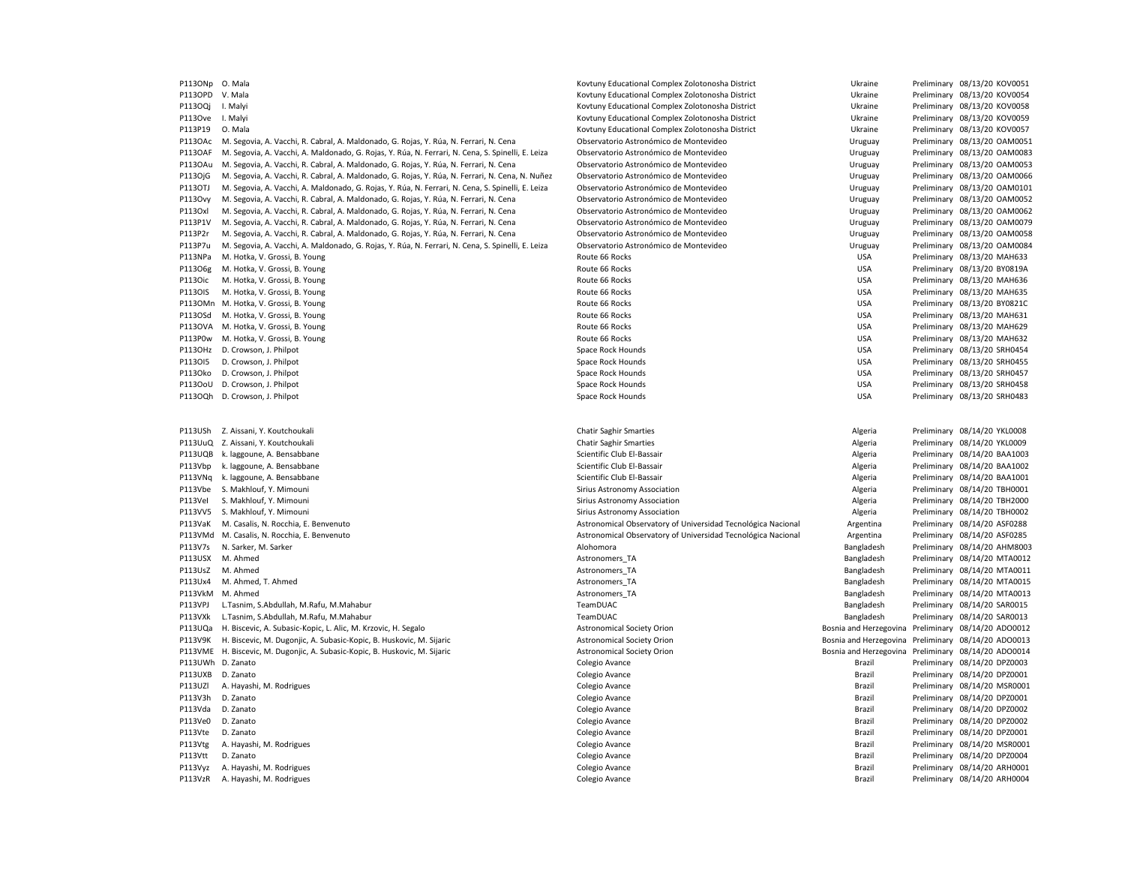| P113ONp            | O. Mala                                                                                           | Kovtuny Educational Complex Zolotonosha District             | Ukraine                                             | Preliminary 08/13/20 KOV0051                                 |  |
|--------------------|---------------------------------------------------------------------------------------------------|--------------------------------------------------------------|-----------------------------------------------------|--------------------------------------------------------------|--|
| P113OPD            | V. Mala                                                                                           | Kovtuny Educational Complex Zolotonosha District             | Ukraine                                             | Preliminary 08/13/20 KOV0054                                 |  |
| P1130Qi            | I. Malyi                                                                                          | Kovtuny Educational Complex Zolotonosha District             | Ukraine                                             | Preliminary 08/13/20 KOV0058                                 |  |
| P113Ove            | I. Malyi                                                                                          | Kovtuny Educational Complex Zolotonosha District             | Ukraine                                             | Preliminary 08/13/20 KOV0059                                 |  |
| P113P19            | O. Mala                                                                                           | Kovtuny Educational Complex Zolotonosha District             | Ukraine                                             | Preliminary 08/13/20 KOV0057                                 |  |
| P113OAc            | M. Segovia, A. Vacchi, R. Cabral, A. Maldonado, G. Rojas, Y. Rúa, N. Ferrari, N. Cena             | Observatorio Astronómico de Montevideo                       | Uruguay                                             | Preliminary 08/13/20 OAM0051                                 |  |
| <b>P113OAF</b>     | M. Segovia, A. Vacchi, A. Maldonado, G. Rojas, Y. Rúa, N. Ferrari, N. Cena, S. Spinelli, E. Leiza | Observatorio Astronómico de Montevideo                       | Uruguay                                             | Preliminary 08/13/20 OAM0083                                 |  |
| P1130Au            | M. Segovia, A. Vacchi, R. Cabral, A. Maldonado, G. Rojas, Y. Rúa, N. Ferrari, N. Cena             | Observatorio Astronómico de Montevideo                       | Uruguay                                             | Preliminary 08/13/20 OAM0053                                 |  |
| P113OjG            | M. Segovia, A. Vacchi, R. Cabral, A. Maldonado, G. Rojas, Y. Rúa, N. Ferrari, N. Cena, N. Nuñez   | Observatorio Astronómico de Montevideo                       | Uruguay                                             | Preliminary 08/13/20 OAM0066                                 |  |
| P113OTJ            | M. Segovia, A. Vacchi, A. Maldonado, G. Rojas, Y. Rúa, N. Ferrari, N. Cena, S. Spinelli, E. Leiza | Observatorio Astronómico de Montevideo                       | Uruguay                                             | Preliminary 08/13/20 OAM0101                                 |  |
| P1130vy            | M. Segovia, A. Vacchi, R. Cabral, A. Maldonado, G. Rojas, Y. Rúa, N. Ferrari, N. Cena             | Observatorio Astronómico de Montevideo                       | Uruguay                                             | Preliminary 08/13/20 OAM0052                                 |  |
| P113Oxl            | M. Segovia, A. Vacchi, R. Cabral, A. Maldonado, G. Rojas, Y. Rúa, N. Ferrari, N. Cena             | Observatorio Astronómico de Montevideo                       | Uruguay                                             | Preliminary 08/13/20 OAM0062                                 |  |
| P113P1V            | M. Segovia, A. Vacchi, R. Cabral, A. Maldonado, G. Rojas, Y. Rúa, N. Ferrari, N. Cena             | Observatorio Astronómico de Montevideo                       | Uruguay                                             | Preliminary 08/13/20 OAM0079                                 |  |
| P113P2r            | M. Segovia, A. Vacchi, R. Cabral, A. Maldonado, G. Rojas, Y. Rúa, N. Ferrari, N. Cena             | Observatorio Astronómico de Montevideo                       | Uruguay                                             | Preliminary 08/13/20 OAM0058                                 |  |
| P113P7u            | M. Segovia, A. Vacchi, A. Maldonado, G. Rojas, Y. Rúa, N. Ferrari, N. Cena, S. Spinelli, E. Leiza | Observatorio Astronómico de Montevideo                       | Uruguay                                             | Preliminary 08/13/20 OAM0084                                 |  |
| P113NPa            | M. Hotka, V. Grossi, B. Young                                                                     | Route 66 Rocks                                               | <b>USA</b>                                          | Preliminary 08/13/20 MAH633                                  |  |
| P11306g            | M. Hotka, V. Grossi, B. Young                                                                     | Route 66 Rocks                                               | <b>USA</b>                                          | Preliminary 08/13/20 BY0819A                                 |  |
| P1130ic            | M. Hotka, V. Grossi, B. Young                                                                     | Route 66 Rocks                                               | <b>USA</b>                                          | Preliminary 08/13/20 MAH636                                  |  |
| P1130IS            | M. Hotka, V. Grossi, B. Young                                                                     | Route 66 Rocks                                               | <b>USA</b>                                          | Preliminary 08/13/20 MAH635                                  |  |
| P1130Mn            | M. Hotka, V. Grossi, B. Young                                                                     | Route 66 Rocks                                               | <b>USA</b>                                          | Preliminary 08/13/20 BY0821C                                 |  |
| P113OSd            | M. Hotka, V. Grossi, B. Young                                                                     | Route 66 Rocks                                               | <b>USA</b>                                          | Preliminary 08/13/20 MAH631                                  |  |
| P1130VA            | M. Hotka, V. Grossi, B. Young                                                                     | Route 66 Rocks                                               | <b>USA</b>                                          | Preliminary 08/13/20 MAH629                                  |  |
| P113P0w            | M. Hotka, V. Grossi, B. Young                                                                     | Route 66 Rocks                                               | <b>USA</b>                                          | Preliminary 08/13/20 MAH632                                  |  |
| P113OHz            | D. Crowson, J. Philpot                                                                            | Space Rock Hounds                                            | <b>USA</b>                                          | Preliminary 08/13/20 SRH0454                                 |  |
| P113015            | D. Crowson, J. Philpot                                                                            | Space Rock Hounds                                            | <b>USA</b>                                          | Preliminary 08/13/20 SRH0455                                 |  |
| P1130ko            | D. Crowson, J. Philpot                                                                            | Space Rock Hounds                                            | <b>USA</b>                                          | Preliminary 08/13/20 SRH0457                                 |  |
| P1130oU            | D. Crowson, J. Philpot                                                                            | Space Rock Hounds                                            | <b>USA</b>                                          | Preliminary 08/13/20 SRH0458                                 |  |
| P1130Qh            | D. Crowson, J. Philpot                                                                            | Space Rock Hounds                                            | <b>USA</b>                                          | Preliminary 08/13/20 SRH0483                                 |  |
|                    |                                                                                                   |                                                              |                                                     |                                                              |  |
|                    |                                                                                                   |                                                              |                                                     |                                                              |  |
| P113USh            | Z. Aissani, Y. Koutchoukali<br>Z. Aissani, Y. Koutchoukali                                        | <b>Chatir Saghir Smarties</b>                                | Algeria                                             | Preliminary 08/14/20 YKL0008                                 |  |
| P113UuQ<br>P113UQB | k. laggoune, A. Bensabbane                                                                        | <b>Chatir Saghir Smarties</b><br>Scientific Club El-Bassair  | Algeria<br>Algeria                                  | Preliminary 08/14/20 YKL0009<br>Preliminary 08/14/20 BAA1003 |  |
| P113Vbp            | k. laggoune, A. Bensabbane                                                                        | Scientific Club El-Bassair                                   | Algeria                                             | Preliminary 08/14/20 BAA1002                                 |  |
| P113VNq            | k. laggoune, A. Bensabbane                                                                        | Scientific Club El-Bassair                                   |                                                     | Preliminary 08/14/20 BAA1001                                 |  |
| P113Vbe            | S. Makhlouf, Y. Mimouni                                                                           | Sirius Astronomy Association                                 | Algeria<br>Algeria                                  | Preliminary 08/14/20 TBH0001                                 |  |
| P113Vel            | S. Makhlouf, Y. Mimouni                                                                           | Sirius Astronomy Association                                 | Algeria                                             | Preliminary 08/14/20 TBH2000                                 |  |
| P113VV5            | S. Makhlouf, Y. Mimouni                                                                           | Sirius Astronomy Association                                 | Algeria                                             | Preliminary 08/14/20 TBH0002                                 |  |
| P113VaK            | M. Casalis, N. Rocchia, E. Benvenuto                                                              | Astronomical Observatory of Universidad Tecnológica Nacional | Argentina                                           | Preliminary 08/14/20 ASF0288                                 |  |
| P113VMd            | M. Casalis, N. Rocchia, E. Benvenuto                                                              | Astronomical Observatory of Universidad Tecnológica Nacional | Argentina                                           | Preliminary 08/14/20 ASF0285                                 |  |
| P113V7s            | N. Sarker, M. Sarker                                                                              | Alohomora                                                    | Bangladesh                                          | Preliminary 08/14/20 AHM8003                                 |  |
| P113USX            | M. Ahmed                                                                                          | Astronomers_TA                                               | Bangladesh                                          | Preliminary 08/14/20 MTA0012                                 |  |
| P113UsZ            | M. Ahmed                                                                                          | Astronomers_TA                                               | Bangladesh                                          | Preliminary 08/14/20 MTA0011                                 |  |
| P113Ux4            | M. Ahmed, T. Ahmed                                                                                | Astronomers TA                                               | Bangladesh                                          | Preliminary 08/14/20 MTA0015                                 |  |
| P113VkM            | M. Ahmed                                                                                          | Astronomers TA                                               | Bangladesh                                          | Preliminary 08/14/20 MTA0013                                 |  |
| P113VPJ            | L.Tasnim, S.Abdullah, M.Rafu, M.Mahabur                                                           | TeamDUAC                                                     | Bangladesh                                          | Preliminary 08/14/20 SAR0015                                 |  |
| P113VXk            | L.Tasnim, S.Abdullah, M.Rafu, M.Mahabur                                                           | TeamDUAC                                                     | Bangladesh                                          | Preliminary 08/14/20 SAR0013                                 |  |
| P113UQa            | H. Biscevic, A. Subasic-Kopic, L. Alic, M. Krzovic, H. Segalo                                     | <b>Astronomical Society Orion</b>                            | Bosnia and Herzegovina Preliminary 08/14/20 ADO0012 |                                                              |  |
| P113V9K            | H. Biscevic, M. Dugonjic, A. Subasic-Kopic, B. Huskovic, M. Sijaric                               | <b>Astronomical Society Orion</b>                            | Bosnia and Herzegovina                              | Preliminary 08/14/20 ADO0013                                 |  |
|                    | P113VME H. Biscevic, M. Dugonjic, A. Subasic-Kopic, B. Huskovic, M. Sijaric                       | <b>Astronomical Society Orion</b>                            | Bosnia and Herzegovina Preliminary 08/14/20 ADO0014 |                                                              |  |
| P113UWh            | D. Zanato                                                                                         | Colegio Avance                                               | Brazil                                              | Preliminary 08/14/20 DPZ0003                                 |  |
| P113UXB            | D. Zanato                                                                                         | Colegio Avance                                               | Brazil                                              | Preliminary 08/14/20 DPZ0001                                 |  |
| P113UZI            | A. Hayashi, M. Rodrigues                                                                          | Colegio Avance                                               | Brazil                                              | Preliminary 08/14/20 MSR0001                                 |  |
| P113V3h            | D. Zanato                                                                                         | Colegio Avance                                               | Brazil                                              | Preliminary 08/14/20 DPZ0001                                 |  |
| P113Vda            | D. Zanato                                                                                         | Colegio Avance                                               | Brazil                                              | Preliminary 08/14/20 DPZ0002                                 |  |
| P113Ve0            | D. Zanato                                                                                         | Colegio Avance                                               | Brazil                                              | Preliminary 08/14/20 DPZ0002                                 |  |
| P113Vte            | D. Zanato                                                                                         | Colegio Avance                                               | <b>Brazil</b>                                       | Preliminary 08/14/20 DPZ0001                                 |  |
| P113Vtg            | A. Hayashi, M. Rodrigues                                                                          | Colegio Avance                                               | Brazil                                              | Preliminary 08/14/20 MSR0001                                 |  |
| P113Vtt            | D. Zanato                                                                                         | Colegio Avance                                               | Brazil                                              | Preliminary 08/14/20 DPZ0004                                 |  |
| P113Vyz            | A. Hayashi, M. Rodrigues                                                                          | Colegio Avance                                               | Brazil                                              | Preliminary 08/14/20 ARH0001                                 |  |
| P113VzR            | A. Hayashi, M. Rodrigues                                                                          | Colegio Avance                                               | Brazil                                              | Preliminary 08/14/20 ARH0004                                 |  |
|                    |                                                                                                   |                                                              |                                                     |                                                              |  |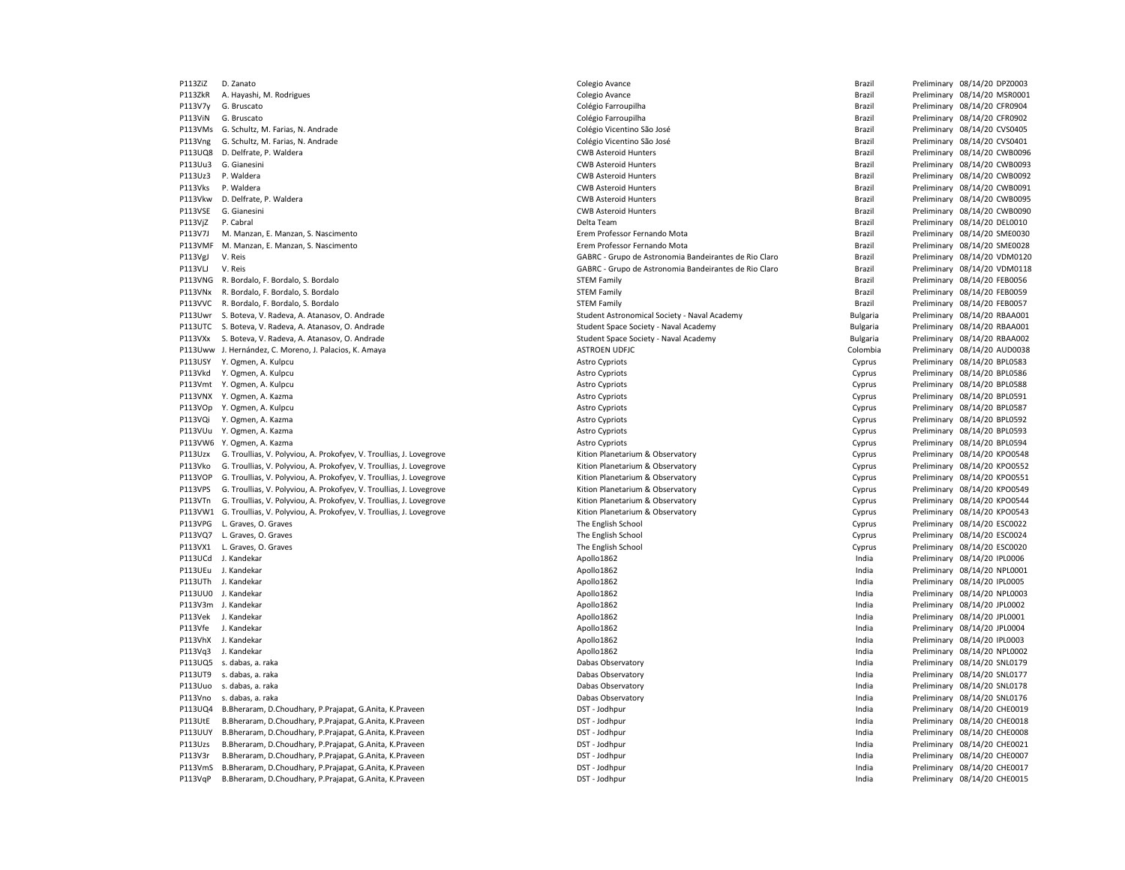P113ZiZ D. Zanato Colegio Avance Brazil Preliminary 08/14/20 DPZ0003 P113ZkR A. Hayashi, M. Rodrigues et al. et al. et al. et al. et al. et al. et al. et al. et al. et al. et al. et al. et al. et al. et al. et al. et al. et al. et al. et al. et al. et al. et al. et al. et al. et al. et al. P113V7y G. Bruscato entroprior colégio Farroupilha Colégio Farroupilha entroprior entroprior de Brazil Preliminary 08/14/20 CFR0904 P113ViN G. Bruscato **Colégio Farroupilha** Colégio Farroupilha Colégio Farroupilha Brazil Preliminary 08/14/20 CFR0902 P113VMs G. Schultz, M. Farias, N. Andrade Colégio Vicentino São José Colégio Vicentino São José Colégio Vicentino São José Brazil Preliminary 08/14/20 CVS0405 P113Vng G. Schultz, M. Farias, N. Andrade Colégio Vicentino São José Colégio Vicentino São José Brazil Preliminary 08/14/20 CVS0401 P113UQ8 D. Delfrate, P. Waldera entertainment control and the CWB Asteroid Hunters CWB Asteroid Hunters and the CWB0096 CWB0096 Preliminary 08/14/20 CWB0096 P113Uu3 G. Gianesini entitled and the state of the CWB Asteroid Hunters CWB Asteroid Hunters and the State of the Brazil Preliminary 08/14/20 CWB0093 P113Uz3 P. Waldera **CWB** Asteroid Hunters CWB Asteroid Hunters **CWB** Asteroid Hunters **Brazil Preliminary 08/14/20 CWB0092** P113Vks P. Waldera **CWB** Asteroid Hunters CWB Asteroid Hunters **CWB** Asteroid Hunters **Brazil Preliminary 08/14/20 CWB0091** P113Vkw D. Delfrate, P. Waldera entertainment control to the CWB Asteroid Hunters CWB Asteroid Hunters and the Brazil Preliminary 08/14/20 CWB0095 P113VSE G. Gianesini **CWB Asteroid Hunters** CWB Asteroid Hunters **CWB Asteroid Hunters** Brazil Preliminary 08/14/20 CWB0090 P113VjZ P. Cabral Preliminary 08/14/20 DEL0010<br>P113V7J M. Manzan. E. Manzan. S. Nascimento P113V7J M. Manzan, E. Manzan, S. Nascimento en Erem Erem Professor Fernando Mota Brazil Brazil Preliminary 08/14/20 SME0030 P113VMF M. Manzan, E. Manzan, S. Nascimento entropy and the exercise exercise of the Professor Fernando Mota entropy and Brazil Preliminary 08/14/20 SME0028 P113VgJ V. Reis external constructions of the GABRC - Grupo de Astronomia Bandeirantes de Rio Claro Brazil Preliminary 08/14/20 VDM0120 P113VLJ V. Reis external constructions and the GABRC - Grupo de Astronomia Bandeirantes de Rio Claro Brazil Preliminary 08/14/20 VDM0118 P113VNG R. Bordalo, F. Bordalo, S. Bordalo Sterior Steven Steven Steven Steven Steven Steven Steven Steven Steven Steven Steven Steven Steven Steven Brazil Preliminary 08/14/20 FEB0056 P113VNx R. Bordalo, F. Bordalo, S. Bordalo Sterior Steven Steven Steven Steven Steven Steven Steven Steven Steven Steven Steven Steven Steven Steven Steven Brazil Preliminary 08/14/20 FEB0059 P113VVC R. Bordalo, F. Bordalo, S. Bordalo Sterior Steven Steven Steven Steven Steven Steven Steven Steven Steven Steven Steven Steven Steven Steven Brazil Preliminary 08/14/20 FEB0057 P113Uwr S. Boteva, V. Radeva, A. Atanasov, O. Andrade Student Student Astronomical Society - Naval Academy Sulgaria Preliminary 08/14/20 RBAA001 P113UTC S. Boteva, V. Radeva, A. Atanasov, O. Andrade Student Space Society - Naval Academy Student Space Society - Naval Academy Student Space Society - Naval Academy Bulgaria Preliminary 08/14/20 RBAA001 P113VXx S. Boteva, V. Radeva, A. Atanasov, O. Andrade Student Space Society - Naval Academy Student Space Society - Naval Academy Student Space Society - Naval Academy Student Space Society - Naval Academy Student Space So P113Uww J. Hernández, C. Moreno, J. Palacios, K. Amaya ASTROEN UDFJC Colombia Preliminary 08/14/20 AUD0038 P113USY Y. Ogmen, A. Kulpcu **Astro Cypriots** Astro Cypriots **Cypriots** Cypriots Cypriots Cyprus Preliminary 08/14/20 BPL0583 P113Vkd Y. Ogmen, A. Kulpcu **Astro Cypriots** Astro Cypriots **Cypriots** Cypriots Cypriots Cypriots Preliminary 08/14/20 BPL0586 P113Vmt Y. Ogmen, A. Kulpcu **Astro Cypriots** Astro Cypriots **Cypriots** Cypriots Cypriots Cyprus Preliminary 08/14/20 BPL0588 P113VNX Y. Ogmen, A. Kazma **Astro Cypriots** Astro Cypriots **Cypriots** Cypriots Cypriots Cyprus Preliminary 08/14/20 BPL0591 P113VOp Y. Ogmen, A. Kulpcu **Astro Cypriots** Astro Cypriots **Cypriots** Cypriots Cypriots Cypriots Preliminary 08/14/20 BPL0587 P113VQi Y. Ogmen, A. Kazma **Astro Cypriots** Astro Cypriots Cypriots Cypriots Cypriots Cyprus Preliminary 08/14/20 BPL0592 P113VUu Y. Ogmen, A. Kazma **Astro Cypriots** Astro Cypriots **Cypriots** Cypriots Cypriots Cypriots Preliminary 08/14/20 BPL0593 P113VW6 Y. Ogmen, A. Kazma **Astro Cypriots** Astro Cypriots **Cypriots** Cypriots Cypriots Cyprus Preliminary 08/14/20 BPL0594 P113Uzx G. Troullias, V. Polyviou, A. Prokofyev, V. Troullias, J. Lovegrove Cyprus Rition Planetarium & Observatory Cyprus Preliminary 08/14/20 KPO0548 P113Vko G. Troullias, V. Polyviou, A. Prokofyev, V. Troullias, J. Lovegrove Cyprus Rition Planetarium & Observatory Cyprus Preliminary 08/14/20 KPO0552 P113VOP G. Troullias, V. Polyviou, A. Prokofyev, V. Troullias, J. Lovegrove Cyprus Rition Planetarium & Observatory Cyprus Preliminary 08/14/20 KPO0551 P113VPS G. Troullias, V. Polyviou, A. Prokofyev, V. Troullias, J. Lovegrove Cyprus Rition Planetarium & Observatory Cyprus Preliminary 08/14/20 KPO0549 P113VTn G. Troullias, V. Polyviou, A. Prokofyev, V. Troullias, J. Lovegrove Cyprus Rition Planetarium & Observatory Cyprus Preliminary 08/14/20 KPO0544 P113VW1 G. Troullias, V. Polyviou, A. Prokofyev, V. Troullias, J. Lovegrove Cyprus Rition Planetarium & Observatory Cyprus Preliminary 08/14/20 KPO0543 P113VPG L. Graves, O. Graves entertainment of the English School The English School Cyprus Preliminary 1994 of the English School Cyprus Preliminary 1994 of the English School P113VO7 L. Graves. O. Graves Cyprus Preliminar Philadel Philadel Cyprus Preliminary 08/14/20 ESC0024 P113VX1 L. Graves, O. Graves examples and the English School The English School Cyprus Preliminary 08/14/20 ESC0020 P113UCd J. Kandekar Apollo1862 India Preliminary 08/14/20 IPL0006 P113UEu J. Kandekar Apollo1862 India Preliminary 08/14/20 NPL0001 P113UTh J. Kandekar Apollo1862 India Preliminary 08/14/20 IPL0005 P113UU0 J. Kandekar **Apollona Religionary 08/14/20 NPL0003** Apollo1862 **Preliminary 08/14/20 NPL0003** Preliminary 08/14/20 NPL0003 P113V3m J. Kandekar Manus and Manus 20214/20 JPL0002 Apollo1862 Apollo1862 Preliminary 08/14/20 JPL0002 P113Vek J. Kandekar Manusia Preliminary 08/14/20 JPL0001 Preliminary 08/14/20 JPL0001 P113Vfe J. Kandekar Apollo1862 India Preliminary 08/14/20 JPL0004 P113VhX J. Kandekar Apollo1862 India Preliminary 08/14/20 IPL0003 P113Vq3 J. Kandekar **Manufari and Apollon 2012** Apollo1862 Apollo1862 **Preliminary 08/14/20 NPL0002** Preliminary 08/14/20 NPL0002 P113UQ5 s. dabas, a. raka energy a. raka Dabas Observatory and Dabas Observatory and Dabas Observatory and Dabas Observatory and Dabas Observatory and Dabas Observatory and Dabas Observatory and Dabas Observatory and Dabas P113UT9 s. dabas, a. raka **Preliminary 08/14/20 SNL0177 Dabas Observatory** Dabas Observatory **Preliminary 08/14/20 SNL0177** P113Uuo s. dabas, a. raka Dabas Observatory India Preliminary 08/14/20 SNL0178 P113Vno s. dabas, a. raka energy a. raka Dabas Observatory and Dabas Observatory and the metric of the preliminary 08/14/20 SNL0176 P113UQ4 B.Bheraram, D.Choudhary, P.Prajapat, G.Anita, K.Praveen **DST - Doman DET - Jodhpur India** Preliminary 08/14/20 CHE0019 P113UtE B.Bheraram, D.Choudhary, P.Prajapat, G.Anita, K.Praveen **DST - Doman DET - Jodhpur India** Preliminary 08/14/20 CHE0018 P113UUY B.Bheraram, D.Choudhary, P.Prajapat, G.Anita, K.Praveen DST - Jodhpur DST - Jodhpur India Preliminary 08/14/20 CHE0008 P113Uzs B.Bheraram, D.Choudhary, P.Prajapat, G.Anita, K.Praveen **DST - Jodhpur India** Preliminary 08/14/20 CHEO021 P113V3r B.Bheraram, D.Choudhary, P.Prajapat, G.Anita, K.Praveen **DST - Jodhpur India** Preliminary 08/14/20 CHE0007 P113VmS B.Bheraram, D.Choudhary, P.Prajapat, G.Anita, K.Praveen **DST - Jodhpur India** Preliminary 08/14/20 CHE0017 P113VqP B.Bheraram, D.Choudhary, P.Prajapat, G.Anita, K.Praveen **DST - Jodhpur India** Preliminary 08/14/20 CHE0015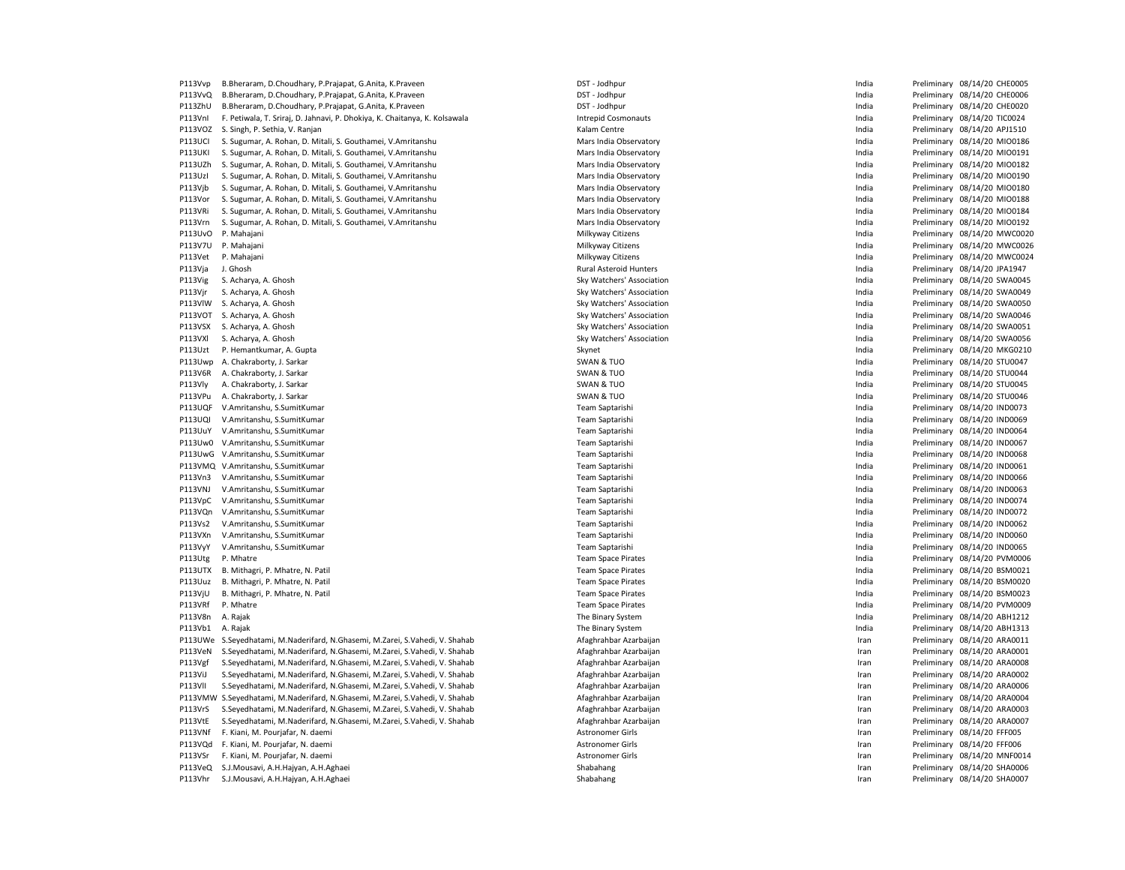P113Vvp B.Bheraram, D.Choudhary, P.Prajapat, G.Anita, K.Praveen **DST - Doman DET - Jodhpur** DST - Jodhpur **Preliminary 08/14/20 CHE0005** P113VvQ B.Bheraram, D.Choudhary, P.Prajapat, G.Anita, K.Praveen **DST - Doman DET - Jodhpur** DST - Jodhpur **Preliminary 08/14/20 CHE0006** P113ZhU B.Bheraram, D.Choudhary, P.Prajapat, G.Anita, K.Praveen **DST - Doman DET - Jodhpur** DST - Jodhpur **Preliminary 08/14/20 CHEOO20** P113VnI F. Petiwala, T. Sriraj, D. Jahnavi, P. Dhokiya, K. Chaitanya, K. Kolsawala Intrepid Cosmonauts Integrid Cosmonauts Cosmonauts India Preliminary 08/14/20 TIC0024 P113VOZ S. Singh, P. Sethia, V. Ranjan Kalam Centre Channel Centre Channel Centre Channel Centre Channel Centre Channel Centre Channel Centre Preliminary 08/14/20 APJ1510 P113UCI S. Sugumar, A. Rohan, D. Mitali, S. Gouthamei, V.Amritanshu Mars India Observatory India Preliminary 08/14/20 MIO0186 P113UKI S. Sugumar, A. Rohan, D. Mitali, S. Gouthamei, V.Amritanshu Mars India Observatory Mars India Observatory Communication and Preliminary 08/14/20 MIO0191 P113UZh S. Sugumar, A. Rohan, D. Mitali, S. Gouthamei, V.Amritanshu Mars India Dhervatory Mars India Preliminary 08/14/20 MIO0182 P113UzI S. Sugumar, A. Rohan, D. Mitali, S. Gouthamei, V.Amritanshu Mars India Dhervatory Mars India Preliminary 08/14/20 MIO0190 P113Vjb S. Sugumar, A. Rohan, D. Mitali, S. Gouthamei, V.Amritanshu Mars India Dhervatory Mars India Preliminary 08/14/20 MIO0180 P113Vor S. Sugumar, A. Rohan, D. Mitali, S. Gouthamei, V.Amritanshu Mars India Dhervatory Mars India Preliminary 08/14/20 MIO0188 P113VRi S. Sugumar, A. Rohan, D. Mitali, S. Gouthamei, V.Amritanshu Mars India Observatory Mars India Observatory Communication and Dreliminary 08/14/20 MIO0184 P113Vrn S. Sugumar, A. Rohan, D. Mitali, S. Gouthamei, V.Amritanshu Mars India Observatory Mars India Observatory Communication and Preliminary 08/14/20 MIO0192 P113UvO P. Mahajani **Milkyway Citizens** Milkyway Citizens Milkyway Citizens and the man of the Preliminary 08/14/20 MWC0020 P113V7U P. Mahajani **Milkyway Citizens Milkyway Citizens** Milkyway Citizens **India** Preliminary 08/14/20 MWC0026 P113Vet P. Mahajani 2021/12/20 MWC0024 Milkyway Citizens Milkyway Citizens and a magazine and the preliminary 08/14/20 MWC0024 P113Vja J. Ghosh Preliminary 08/14/20 JPA1947 P113Vig S. Acharya, A. Ghosh Sky Watchers' Association Sky Watchers' Association Channel Design and the Preliminary 08/14/20 SWA0045 P113Vjr S. Acharya, A. Ghosh Sky Watchers' Association Sky Watchers' Association Sky Watchers' Association Changes and the end of the Preliminary 08/14/20 SWA0049 P113VlW S. Acharya, A. Ghosh Sky Watchers' Association Sky Watchers' Association Sky Watchers' Association Sky Watchers' Association India Preliminary 08/14/20 SWA0050 P113VOT S. Acharya, A. Ghosh Sky Watchers' Association Sky Watchers' Association Sky Watchers' Association and the structure of the Preliminary 08/14/20 SWA0046 P113VSX S. Acharya, A. Ghosh Sky Watchers' Association Sky Watchers' Association Sky Watchers' Association Sky Watchers' Association India Preliminary 08/14/20 SWA0051 P113VXl S. Acharya, A. Ghosh Sky Watchers' Association India Preliminary 08/14/20 SWA0056 P113Uzt P. Hemantkumar, A. Gupta Skynet Skynet Skynet Skynet Skynet Skynet Skynet Skynet Skynet Preliminary 08/14/20 MKG0210 P113Uwp A. Chakraborty, J. Sarkar SWAN Brown Charles and SWAN & TUO SWAN & TUO Charles and the reliminary 08/14/20 STU0047 P113V6R A. Chakraborty, J. Sarkar SWAN SWAN BROW SWAN & TUO SWAN & TUO CHARABORT CHARAGE PREliminary 08/14/20 STU0044 P113Vly A. Chakraborty, J. Sarkar SWAN Brown Channel and SWAN & TUO SWAN & TUO Channel Channel Channel Preliminary 08/14/20 STU0045 P113VPu A. Chakraborty, J. Sarkar SWAN SWAN BROWAN SWAN & TUO SWAN & TUO CHANG THE RELIMINATION DRIEI PREliminary 08/14/20 STU0046 P113UQF V.Amritanshu, S.SumitKumar entitled and the state of the Saptarishi Team Saptarishi India Preliminary 08/14/20 IND0073 P113UQI V.Amritanshu, S.SumitKumar exam shankar mashanar Mashanar Team Saptarishi India Preliminary 08/14/20 IND0069 P113UuY V.Amritanshu, S.SumitKumar Team Saptarishi India Preliminary 08/14/20 IND0064 P113Uw0 V.Amritanshu, S.SumitKumar Team Saptarishi India Preliminary 08/14/20 IND0067 P113UwG V.Amritanshu, S.SumitKumar **Name Saptarishi Name Saptarishi** Team Saptarishi **India** Preliminary 08/14/20 IND0068 P113VMQ V.Amritanshu, S.SumitKumar **Name Saptarishi Team Saptarishi** Team Saptarishi **India** Preliminary 08/14/20 IND0061 P113Vn3 V.Amritanshu, S.SumitKumar exament memberi administrative memberi Team Saptarishi Preliminary 1991 and Preliminary 08/14/20 IND0066 P113VNJ V.Amritanshu, S.SumitKumar **Team Saptarishi** Team Saptarishi Team Saptarishi **India** Preliminary 08/14/20 IND0063 P113VpC V.Amritanshu, S.SumitKumar entitled and the state of the Saptarishi Team Saptarishi India Preliminary 08/14/20 IND0074 P113VQn V.Amritanshu, S.SumitKumar exam shanga mashramov ambaxa ay kang mashramov Team Saptarishi india Preliminary 08/14/20 IND0072 P113Vs2 V.Amritanshu, S.SumitKumar Team Saptarishi India Preliminary 08/14/20 IND0062 P113VXn V.Amritanshu, S.SumitKumar Team Saptarishi India Preliminary 08/14/20 IND0060 P113Vy V.Amritanshu, S.SumitKumar entitled the second team Saptarishi Team Saptarishi India Preliminary 08/14/20 IND0065 P113Utg P. Mhatre **Team Space Pirates Community Provident Preliminary 08/14/20 PVM0006** Preliminary 08/14/20 PVM0006 P113UTX B. Mithagri, P. Mhatre, N. Patil Charles Matter and Matter School and Team Space Pirates Charles and Team Space Pirates and Team Space Pirates and Team Space Pirates and Team Space Pirates and Team Space Pirates an P113Uuz B. Mithagri, P. Mhatre, N. Patil Charles Matter and Team Space Pirates Team Space Pirates and Team Space Preliminary 08/14/20 BSM0020 P113VjU B. Mithagri, P. Mhatre, N. Patil Charles Matter and Matter School of Team Space Pirates Charles Team Space Pirates and Matter School and Preliminary 08/14/20 BSM0023 P113VRf P. Mhatre **Team Space Pirates** Team Space Pirates **Team Space Pirates** Preliminary 08/14/20 PvM0009 P113V8n A. Rajak **The Binary System** The Binary System **The Binary System The Binary System Preliminary 08/14/20 ABH1212** P113Vb1 A. Rajak Philary System The Binary System The Binary System and the Binary System and the District Apple of the Preliminary 08/14/20 ABH1313 P113UWe S.Seyedhatami, M.Naderifard, N.Ghasemi, M.Zarei, S.Vahedi, V. Shahab Afaghrahbar Azarbaijan Preliminary astronomiya na Preliminary 08/14/20 ARA0011 P113VeN S.Seyedhatami, M.Naderifard, N.Ghasemi, M.Zarei, S.Vahedi, V. Shahab Afaghrahbar Azarbaijan Afaghrahbar Azarbaijan Iran Preliminary 08/14/20 ARA0001 P113Vgf S.Seyedhatami, M.Naderifard, N.Ghasemi, M.Zarei, S.Vahedi, V. Shahab Afaghrahbar Azarbaijan Preliminary and Preliminary 08/14/20 ARA0008 P113ViJ S.Seyedhatami, M.Naderifard, N.Ghasemi, M.Zarei, S.Vahedi, V. Shahab Afaghrahbar Azarbaijan Preliminary as/14/20 ARA0002 P113VlI S.Seyedhatami, M.Naderifard, N.Ghasemi, M.Zarei, S.Vahedi, V. Shahab Afaghrahbar Azarbaijan Preliminary and Preliminary 08/14/20 ARA0006 P113VMW S.Seyedhatami, M.Naderifard, N.Ghasemi, M.Zarei, S.Vahedi, V. Shahab American Preliminary and Afaghrahbar Azarbaijan Iran Preliminary 08/14/20 ARA0004 P113VrS S.Seyedhatami, M.Naderifard, N.Ghasemi, M.Zarei, S.Vahedi, V. Shahab American Preliminary and Afaghrahbar Azarbaijan Iran Preliminary 08/14/20 ARA0003 P113VtE S.Seyedhatami, M.Naderifard, N.Ghasemi, M.Zarei, S.Vahedi, V. Shahab Afaghrahbar Azarbaijan Iran Preliminary 08/14/20 ARA0007 P113VNf F. Kiani, M. Pourjafar, N. daemi **Astronomer Girls Astronomer Girls** Astronomer Girls **Iran Preliminary 08/14/20 FFF005** P113VQd F. Kiani, M. Pourjafar, N. daemi and Samuel Comparement Comparement Cirls Astronomer Girls Iran Preliminary 08/14/20 FFF006 P113VSr F. Kiani, M. Pourjafar, N. daemi and Museum Astronomer Girls Astronomer Girls Company and Museum Preliminary 08/14/20 MNF0014 P113VeQ S.J.Mousavi, A.H.Hajyan, A.H.Aghaei Shabahang Shabahang Shabahang Shabahang Iran Preliminary 08/14/20 SHA0006 P113Vhr S.J.Mousavi, A.H.Hajyan, A.H.Aghaei Shabahang Shabahang Shabahang Shabahang Shabahang Preliminary 08/14/20 SHA0007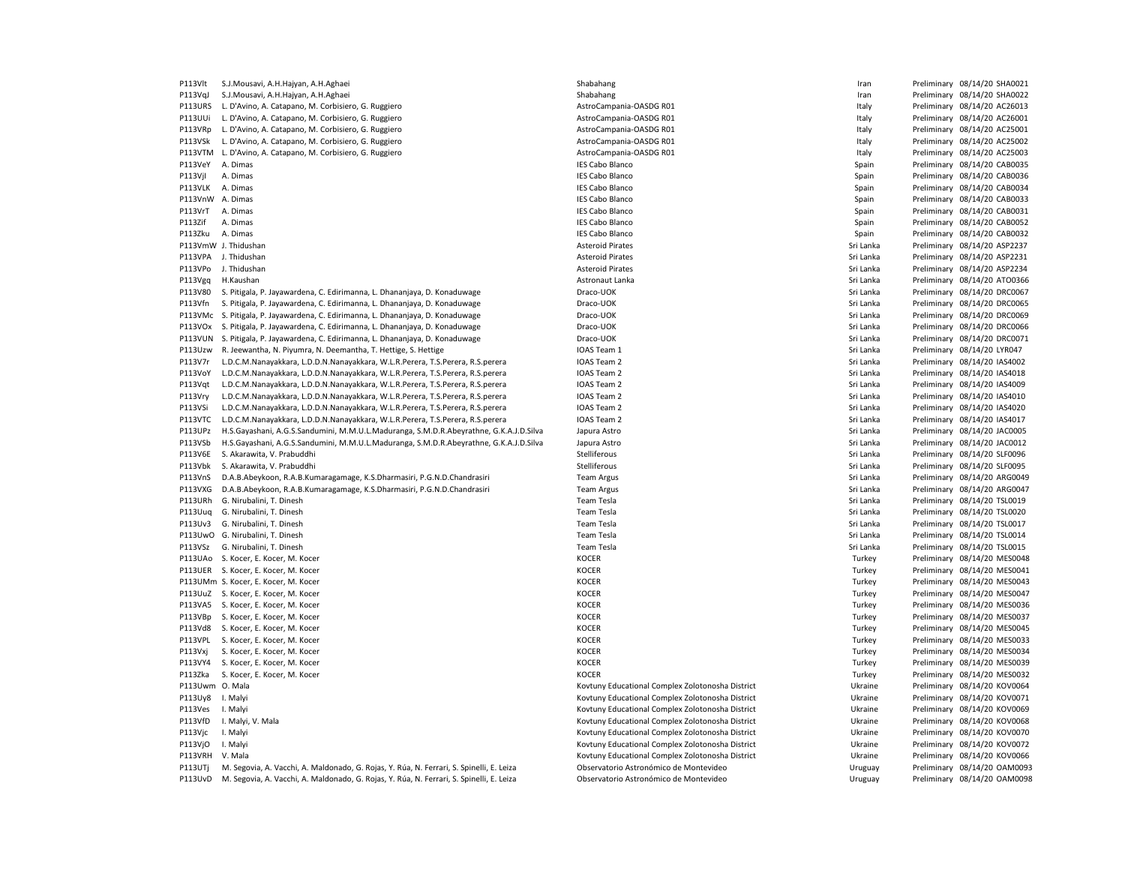| P113Vlt          | S.J.Mousavi, A.H.Hajyan, A.H.Aghaei                                                      | Shabahang                                        | Iran      | Preliminary 08/14/20 SHA0021 |
|------------------|------------------------------------------------------------------------------------------|--------------------------------------------------|-----------|------------------------------|
| P113VqJ          | S.J.Mousavi, A.H.Hajyan, A.H.Aghaei                                                      | Shabahang                                        | Iran      | Preliminary 08/14/20 SHA0022 |
| P113URS          | L. D'Avino, A. Catapano, M. Corbisiero, G. Ruggiero                                      | AstroCampania-OASDG R01                          | Italy     | Preliminary 08/14/20 AC26013 |
| P113UUi          | L. D'Avino, A. Catapano, M. Corbisiero, G. Ruggiero                                      | AstroCampania-OASDG R01                          | Italy     | Preliminary 08/14/20 AC26001 |
| P113VRp          | L. D'Avino, A. Catapano, M. Corbisiero, G. Ruggiero                                      | AstroCampania-OASDG R01                          | Italy     | Preliminary 08/14/20 AC25001 |
| P113VSk          | L. D'Avino, A. Catapano, M. Corbisiero, G. Ruggiero                                      | AstroCampania-OASDG R01                          | Italy     | Preliminary 08/14/20 AC25002 |
|                  | P113VTM L. D'Avino, A. Catapano, M. Corbisiero, G. Ruggiero                              | AstroCampania-OASDG R01                          | Italy     | Preliminary 08/14/20 AC25003 |
| P113VeY          | A. Dimas                                                                                 | <b>IES Cabo Blanco</b>                           | Spain     | Preliminary 08/14/20 CAB0035 |
| P113VjI          | A. Dimas                                                                                 | <b>IES Cabo Blanco</b>                           | Spain     | Preliminary 08/14/20 CAB0036 |
| P113VLK          |                                                                                          |                                                  |           |                              |
|                  | A. Dimas                                                                                 | <b>IES Cabo Blanco</b>                           | Spain     | Preliminary 08/14/20 CAB0034 |
| P113VnW A. Dimas |                                                                                          | <b>IES Cabo Blanco</b>                           | Spain     | Preliminary 08/14/20 CAB0033 |
| P113VrT          | A. Dimas                                                                                 | <b>IES Cabo Blanco</b>                           | Spain     | Preliminary 08/14/20 CAB0031 |
| P113Zif          | A. Dimas                                                                                 | <b>IES Cabo Blanco</b>                           | Spain     | Preliminary 08/14/20 CAB0052 |
| P113Zku          | A. Dimas                                                                                 | <b>IES Cabo Blanco</b>                           | Spain     | Preliminary 08/14/20 CAB0032 |
|                  | P113VmW J. Thidushan                                                                     | <b>Asteroid Pirates</b>                          | Sri Lanka | Preliminary 08/14/20 ASP2237 |
|                  | P113VPA J. Thidushan                                                                     | <b>Asteroid Pirates</b>                          | Sri Lanka | Preliminary 08/14/20 ASP2231 |
| P113VPo          | J. Thidushan                                                                             | <b>Asteroid Pirates</b>                          | Sri Lanka | Preliminary 08/14/20 ASP2234 |
| P113Vgq          | H.Kaushan                                                                                | Astronaut Lanka                                  | Sri Lanka | Preliminary 08/14/20 ATO0366 |
| P113V80          | S. Pitigala, P. Jayawardena, C. Edirimanna, L. Dhananjaya, D. Konaduwage                 | Draco-UOK                                        | Sri Lanka | Preliminary 08/14/20 DRC0067 |
| P113Vfn          | S. Pitigala, P. Jayawardena, C. Edirimanna, L. Dhananjaya, D. Konaduwage                 | Draco-UOK                                        | Sri Lanka | Preliminary 08/14/20 DRC0065 |
| P113VMc          | S. Pitigala, P. Jayawardena, C. Edirimanna, L. Dhananjaya, D. Konaduwage                 | Draco-UOK                                        | Sri Lanka | Preliminary 08/14/20 DRC0069 |
| P113VOx          | S. Pitigala, P. Jayawardena, C. Edirimanna, L. Dhananjaya, D. Konaduwage                 | Draco-UOK                                        | Sri Lanka | Preliminary 08/14/20 DRC0066 |
| P113VUN          | S. Pitigala, P. Jayawardena, C. Edirimanna, L. Dhananjaya, D. Konaduwage                 | Draco-UOK                                        | Sri Lanka | Preliminary 08/14/20 DRC0071 |
| P113Uzw          |                                                                                          |                                                  |           |                              |
|                  | R. Jeewantha, N. Piyumra, N. Deemantha, T. Hettige, S. Hettige                           | IOAS Team 1                                      | Sri Lanka | Preliminary 08/14/20 LYR047  |
| P113V7r          | L.D.C.M.Nanayakkara, L.D.D.N.Nanayakkara, W.L.R.Perera, T.S.Perera, R.S.perera           | IOAS Team 2                                      | Sri Lanka | Preliminary 08/14/20 IAS4002 |
| P113VoY          | L.D.C.M.Nanayakkara, L.D.D.N.Nanayakkara, W.L.R.Perera, T.S.Perera, R.S.perera           | IOAS Team 2                                      | Sri Lanka | Preliminary 08/14/20 IAS4018 |
| P113Vat          | L.D.C.M.Nanayakkara, L.D.D.N.Nanayakkara, W.L.R.Perera, T.S.Perera, R.S.perera           | IOAS Team 2                                      | Sri Lanka | Preliminary 08/14/20 IAS4009 |
| P113Vry          | L.D.C.M.Nanayakkara, L.D.D.N.Nanayakkara, W.L.R.Perera, T.S.Perera, R.S.perera           | IOAS Team 2                                      | Sri Lanka | Preliminary 08/14/20 IAS4010 |
| P113VSi          | L.D.C.M.Nanayakkara, L.D.D.N.Nanayakkara, W.L.R.Perera, T.S.Perera, R.S.perera           | IOAS Team 2                                      | Sri Lanka | Preliminary 08/14/20 IAS4020 |
| P113VTC          | L.D.C.M.Nanayakkara, L.D.D.N.Nanayakkara, W.L.R.Perera, T.S.Perera, R.S.perera           | IOAS Team 2                                      | Sri Lanka | Preliminary 08/14/20 IAS4017 |
| P113UPz          | H.S.Gayashani, A.G.S.Sandumini, M.M.U.L.Maduranga, S.M.D.R.Abeyrathne, G.K.A.J.D.Silva   | Japura Astro                                     | Sri Lanka | Preliminary 08/14/20 JAC0005 |
| P113VSb          | H.S.Gayashani, A.G.S.Sandumini, M.M.U.L.Maduranga, S.M.D.R.Abeyrathne, G.K.A.J.D.Silva   | Japura Astro                                     | Sri Lanka | Preliminary 08/14/20 JAC0012 |
| P113V6E          | S. Akarawita, V. Prabuddhi                                                               | Stelliferous                                     | Sri Lanka | Preliminary 08/14/20 SLF0096 |
| P113Vbk          | S. Akarawita, V. Prabuddhi                                                               | Stelliferous                                     | Sri Lanka | Preliminary 08/14/20 SLF0095 |
| P113VnS          | D.A.B.Abeykoon, R.A.B.Kumaragamage, K.S.Dharmasiri, P.G.N.D.Chandrasiri                  | <b>Team Argus</b>                                | Sri Lanka | Preliminary 08/14/20 ARG0049 |
| P113VXG          | D.A.B.Abeykoon, R.A.B.Kumaragamage, K.S.Dharmasiri, P.G.N.D.Chandrasiri                  | <b>Team Argus</b>                                | Sri Lanka | Preliminary 08/14/20 ARG0047 |
| P113URh          | G. Nirubalini, T. Dinesh                                                                 | <b>Team Tesla</b>                                | Sri Lanka | Preliminary 08/14/20 TSL0019 |
| P113Uug          | G. Nirubalini, T. Dinesh                                                                 | <b>Team Tesla</b>                                | Sri Lanka | Preliminary 08/14/20 TSL0020 |
| P113Uv3          | G. Nirubalini, T. Dinesh                                                                 | <b>Team Tesla</b>                                | Sri Lanka | Preliminary 08/14/20 TSL0017 |
|                  | P113UwO G. Nirubalini, T. Dinesh                                                         | <b>Team Tesla</b>                                | Sri Lanka | Preliminary 08/14/20 TSL0014 |
|                  |                                                                                          |                                                  |           |                              |
| P113VSz          | G. Nirubalini, T. Dinesh                                                                 | Team Tesla                                       | Sri Lanka | Preliminary 08/14/20 TSL0015 |
| P113UAo          | S. Kocer, E. Kocer, M. Kocer                                                             | <b>KOCER</b>                                     | Turkey    | Preliminary 08/14/20 MES0048 |
| P113UER          | S. Kocer, E. Kocer, M. Kocer                                                             | <b>KOCER</b>                                     | Turkey    | Preliminary 08/14/20 MES0041 |
|                  | P113UMm S. Kocer, E. Kocer, M. Kocer                                                     | <b>KOCER</b>                                     | Turkey    | Preliminary 08/14/20 MES0043 |
| P113UuZ          | S. Kocer, E. Kocer, M. Kocer                                                             | <b>KOCER</b>                                     | Turkey    | Preliminary 08/14/20 MES0047 |
| P113VA5          | S. Kocer, E. Kocer, M. Kocer                                                             | <b>KOCER</b>                                     | Turkey    | Preliminary 08/14/20 MES0036 |
| P113VBp          | S. Kocer, E. Kocer, M. Kocer                                                             | <b>KOCER</b>                                     | Turkey    | Preliminary 08/14/20 MES0037 |
| P113Vd8          | S. Kocer, E. Kocer, M. Kocer                                                             | <b>KOCER</b>                                     | Turkey    | Preliminary 08/14/20 MES0045 |
| P113VPL          | S. Kocer, E. Kocer, M. Kocer                                                             | <b>KOCER</b>                                     | Turkey    | Preliminary 08/14/20 MES0033 |
| P113Vxj          | S. Kocer, E. Kocer, M. Kocer                                                             | <b>KOCER</b>                                     | Turkey    | Preliminary 08/14/20 MES0034 |
| P113VY4          | S. Kocer, E. Kocer, M. Kocer                                                             | <b>KOCER</b>                                     | Turkey    | Preliminary 08/14/20 MES0039 |
| P113Zka          | S. Kocer, E. Kocer, M. Kocer                                                             | <b>KOCER</b>                                     | Turkey    | Preliminary 08/14/20 MES0032 |
| P113Uwm O. Mala  |                                                                                          | Kovtuny Educational Complex Zolotonosha District | Ukraine   | Preliminary 08/14/20 KOV0064 |
| P113Uy8          | I. Malyi                                                                                 | Kovtuny Educational Complex Zolotonosha District | Ukraine   | Preliminary 08/14/20 KOV0071 |
| P113Ves          | I. Malyi                                                                                 | Kovtuny Educational Complex Zolotonosha District | Ukraine   | Preliminary 08/14/20 KOV0069 |
| P113VfD          | I. Malyi, V. Mala                                                                        | Kovtuny Educational Complex Zolotonosha District | Ukraine   | Preliminary 08/14/20 KOV0068 |
| P113Vjc          | I. Malyi                                                                                 | Kovtuny Educational Complex Zolotonosha District | Ukraine   | Preliminary 08/14/20 KOV0070 |
|                  |                                                                                          |                                                  |           |                              |
| P113VjO          | I. Malyi                                                                                 | Kovtuny Educational Complex Zolotonosha District | Ukraine   | Preliminary 08/14/20 KOV0072 |
| P113VRH          | V. Mala                                                                                  | Kovtuny Educational Complex Zolotonosha District | Ukraine   | Preliminary 08/14/20 KOV0066 |
| P113UTj          | M. Segovia, A. Vacchi, A. Maldonado, G. Rojas, Y. Rúa, N. Ferrari, S. Spinelli, E. Leiza | Observatorio Astronómico de Montevideo           | Uruguay   | Preliminary 08/14/20 OAM0093 |
| P113UvD          | M. Segovia, A. Vacchi, A. Maldonado, G. Rojas, Y. Rúa, N. Ferrari, S. Spinelli, E. Leiza | Observatorio Astronómico de Montevideo           | Uruguay   | Preliminary 08/14/20 OAM0098 |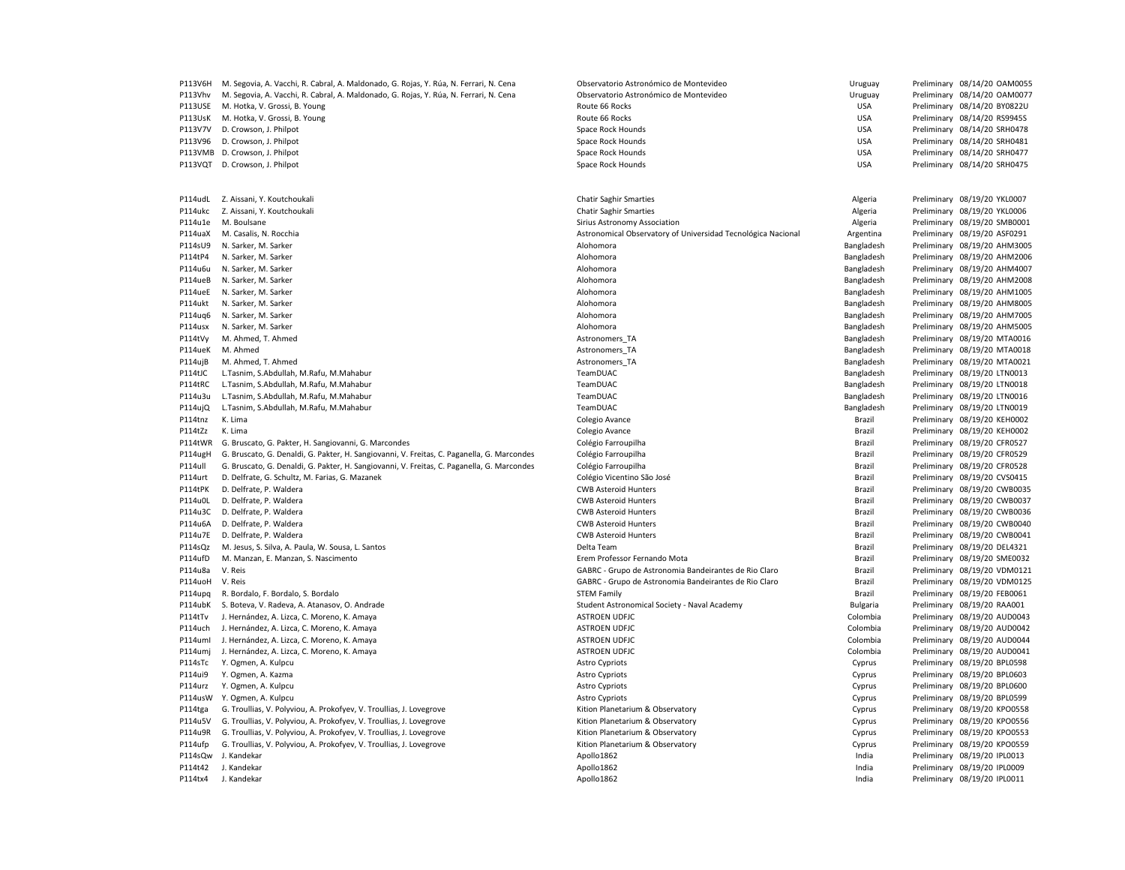| P113V6H | M. Segovia, A. Vacchi, R. Cabral, A. Maldonado, G. Rojas, Y. Rúa, N. Ferrari, N. Cena      | Observatorio Astronómico de Montevideo                       | Uruguay         | Preliminary 08/14/20 OAM0055 |
|---------|--------------------------------------------------------------------------------------------|--------------------------------------------------------------|-----------------|------------------------------|
| P113Vhv | M. Segovia, A. Vacchi, R. Cabral, A. Maldonado, G. Rojas, Y. Rúa, N. Ferrari, N. Cena      | Observatorio Astronómico de Montevideo                       | Uruguay         | Preliminary 08/14/20 OAM0077 |
| P113USE | M. Hotka, V. Grossi, B. Young                                                              | Route 66 Rocks                                               | <b>USA</b>      | Preliminary 08/14/20 BY0822U |
| P113UsK | M. Hotka, V. Grossi, B. Young                                                              | Route 66 Rocks                                               | <b>USA</b>      | Preliminary 08/14/20 RS9945S |
| P113V7V | D. Crowson, J. Philpot                                                                     | Space Rock Hounds                                            | <b>USA</b>      | Preliminary 08/14/20 SRH0478 |
| P113V96 | D. Crowson, J. Philpot                                                                     | Space Rock Hounds                                            | <b>USA</b>      | Preliminary 08/14/20 SRH0481 |
| P113VMB | D. Crowson, J. Philpot                                                                     | Space Rock Hounds                                            | <b>USA</b>      | Preliminary 08/14/20 SRH0477 |
| P113VQT | D. Crowson, J. Philpot                                                                     | Space Rock Hounds                                            | <b>USA</b>      | Preliminary 08/14/20 SRH0475 |
|         |                                                                                            |                                                              |                 |                              |
| P114udL | Z. Aissani, Y. Koutchoukali                                                                | <b>Chatir Saghir Smarties</b>                                | Algeria         | Preliminary 08/19/20 YKL0007 |
| P114ukc | Z. Aissani, Y. Koutchoukali                                                                | <b>Chatir Saghir Smarties</b>                                | Algeria         | Preliminary 08/19/20 YKL0006 |
| P114u1e | M. Boulsane                                                                                | Sirius Astronomy Association                                 | Algeria         | Preliminary 08/19/20 SMB0001 |
| P114uaX | M. Casalis, N. Rocchia                                                                     | Astronomical Observatory of Universidad Tecnológica Nacional | Argentina       | Preliminary 08/19/20 ASF0291 |
| P114sU9 | N. Sarker, M. Sarker                                                                       | Alohomora                                                    | Bangladesh      | Preliminary 08/19/20 AHM3005 |
| P114tP4 | N. Sarker, M. Sarker                                                                       | Alohomora                                                    | Bangladesh      | Preliminary 08/19/20 AHM2006 |
| P114u6u | N. Sarker, M. Sarker                                                                       | Alohomora                                                    | Bangladesh      | Preliminary 08/19/20 AHM4007 |
| P114ueB | N. Sarker, M. Sarker                                                                       | Alohomora                                                    | Bangladesh      | Preliminary 08/19/20 AHM2008 |
| P114ueE | N. Sarker, M. Sarker                                                                       | Alohomora                                                    | Bangladesh      | Preliminary 08/19/20 AHM1005 |
| P114ukt | N. Sarker, M. Sarker                                                                       | Alohomora                                                    | Bangladesh      | Preliminary 08/19/20 AHM8005 |
| P114ug6 | N. Sarker, M. Sarker                                                                       | Alohomora                                                    | Bangladesh      | Preliminary 08/19/20 AHM7005 |
| P114usx | N. Sarker, M. Sarker                                                                       | Alohomora                                                    | Bangladesh      | Preliminary 08/19/20 AHM5005 |
| P114tVy | M. Ahmed, T. Ahmed                                                                         | Astronomers TA                                               | Bangladesh      | Preliminary 08/19/20 MTA0016 |
| P114ueK | M. Ahmed                                                                                   | Astronomers TA                                               | Bangladesh      | Preliminary 08/19/20 MTA0018 |
| P114ujB | M. Ahmed, T. Ahmed                                                                         | Astronomers TA                                               | Bangladesh      | Preliminary 08/19/20 MTA0021 |
| P114tJC | L.Tasnim, S.Abdullah, M.Rafu, M.Mahabur                                                    | TeamDUAC                                                     | Bangladesh      | Preliminary 08/19/20 LTN0013 |
| P114tRC | L.Tasnim, S.Abdullah, M.Rafu, M.Mahabur                                                    | TeamDUAC                                                     | Bangladesh      | Preliminary 08/19/20 LTN0018 |
| P114u3u | L.Tasnim, S.Abdullah, M.Rafu, M.Mahabur                                                    | TeamDUAC                                                     | Bangladesh      | Preliminary 08/19/20 LTN0016 |
| P114ujQ | L.Tasnim, S.Abdullah, M.Rafu, M.Mahabur                                                    | TeamDUAC                                                     | Bangladesh      | Preliminary 08/19/20 LTN0019 |
| P114tnz | K. Lima                                                                                    | Colegio Avance                                               | Brazil          | Preliminary 08/19/20 KEH0002 |
| P114tZz | K. Lima                                                                                    | Colegio Avance                                               | Brazil          | Preliminary 08/19/20 KEH0002 |
| P114tWR | G. Bruscato, G. Pakter, H. Sangiovanni, G. Marcondes                                       | Colégio Farroupilha                                          | Brazil          | Preliminary 08/19/20 CFR0527 |
| P114ugH | G. Bruscato, G. Denaldi, G. Pakter, H. Sangiovanni, V. Freitas, C. Paganella, G. Marcondes | Colégio Farroupilha                                          | Brazil          | Preliminary 08/19/20 CFR0529 |
| P114ull | G. Bruscato, G. Denaldi, G. Pakter, H. Sangiovanni, V. Freitas, C. Paganella, G. Marcondes | Colégio Farroupilha                                          | Brazil          | Preliminary 08/19/20 CFR0528 |
| P114urt | D. Delfrate, G. Schultz, M. Farias, G. Mazanek                                             | Colégio Vicentino São José                                   | Brazil          | Preliminary 08/19/20 CVS0415 |
|         |                                                                                            | <b>CWB Asteroid Hunters</b>                                  |                 |                              |
| P114tPK | D. Delfrate, P. Waldera                                                                    |                                                              | Brazil          | Preliminary 08/19/20 CWB0035 |
| P114u0L | D. Delfrate, P. Waldera                                                                    | <b>CWB Asteroid Hunters</b>                                  | Brazil          | Preliminary 08/19/20 CWB0037 |
| P114u3C | D. Delfrate, P. Waldera                                                                    | <b>CWB Asteroid Hunters</b>                                  | Brazil          | Preliminary 08/19/20 CWB0036 |
| P114u6A | D. Delfrate, P. Waldera                                                                    | <b>CWB Asteroid Hunters</b>                                  | Brazil          | Preliminary 08/19/20 CWB0040 |
| P114u7E | D. Delfrate, P. Waldera                                                                    | <b>CWB Asteroid Hunters</b>                                  | Brazil          | Preliminary 08/19/20 CWB0041 |
| P114sQz | M. Jesus, S. Silva, A. Paula, W. Sousa, L. Santos                                          | Delta Team                                                   | Brazil          | Preliminary 08/19/20 DEL4321 |
| P114ufD | M. Manzan, E. Manzan, S. Nascimento                                                        | Erem Professor Fernando Mota                                 | Brazil          | Preliminary 08/19/20 SME0032 |
| P114u8a | V. Reis                                                                                    | GABRC - Grupo de Astronomia Bandeirantes de Rio Claro        | Brazil          | Preliminary 08/19/20 VDM0121 |
| P114uoH | V. Reis                                                                                    | GABRC - Grupo de Astronomia Bandeirantes de Rio Claro        | Brazil          | Preliminary 08/19/20 VDM0125 |
| P114upq | R. Bordalo, F. Bordalo, S. Bordalo                                                         | <b>STEM Family</b>                                           | Brazil          | Preliminary 08/19/20 FEB0061 |
| P114ubK | S. Boteva, V. Radeva, A. Atanasov, O. Andrade                                              | Student Astronomical Society - Naval Academy                 | <b>Bulgaria</b> | Preliminary 08/19/20 RAA001  |
| P114tTv | J. Hernández, A. Lizca, C. Moreno, K. Amaya                                                | <b>ASTROEN UDFJC</b>                                         | Colombia        | Preliminary 08/19/20 AUD0043 |
| P114uch | J. Hernández, A. Lizca, C. Moreno, K. Amaya                                                | <b>ASTROEN UDFJC</b>                                         | Colombia        | Preliminary 08/19/20 AUD0042 |
| P114uml | J. Hernández, A. Lizca, C. Moreno, K. Amaya                                                | <b>ASTROEN UDFJC</b>                                         | Colombia        | Preliminary 08/19/20 AUD0044 |
| P114umj | J. Hernández, A. Lizca, C. Moreno, K. Amaya                                                | <b>ASTROEN UDFJC</b>                                         | Colombia        | Preliminary 08/19/20 AUD0041 |
| P114sTc | Y. Ogmen, A. Kulpcu                                                                        | <b>Astro Cypriots</b>                                        | Cyprus          | Preliminary 08/19/20 BPL0598 |
| P114ui9 | Y. Ogmen, A. Kazma                                                                         | <b>Astro Cypriots</b>                                        | Cyprus          | Preliminary 08/19/20 BPL0603 |
| P114urz | Y. Ogmen, A. Kulpcu                                                                        | <b>Astro Cypriots</b>                                        | Cyprus          | Preliminary 08/19/20 BPL0600 |
| P114usW | Y. Ogmen, A. Kulpcu                                                                        | <b>Astro Cypriots</b>                                        | Cyprus          | Preliminary 08/19/20 BPL0599 |
| P114tga | G. Troullias, V. Polyviou, A. Prokofyev, V. Troullias, J. Lovegrove                        | Kition Planetarium & Observatory                             | Cyprus          | Preliminary 08/19/20 KPO0558 |
| P114u5V | G. Troullias, V. Polyviou, A. Prokofyev, V. Troullias, J. Lovegrove                        | Kition Planetarium & Observatory                             | Cyprus          | Preliminary 08/19/20 KPO0556 |
| P114u9R | G. Troullias, V. Polyviou, A. Prokofyev, V. Troullias, J. Lovegrove                        | Kition Planetarium & Observatory                             | Cyprus          | Preliminary 08/19/20 KPO0553 |
| P114ufp | G. Troullias, V. Polyviou, A. Prokofyev, V. Troullias, J. Lovegrove                        | Kition Planetarium & Observatory                             | Cyprus          | Preliminary 08/19/20 KPO0559 |
| P114sQw | J. Kandekar                                                                                | Apollo1862                                                   | India           | Preliminary 08/19/20 IPL0013 |
|         |                                                                                            |                                                              |                 | Preliminary 08/19/20 IPL0009 |
| P114t42 | J. Kandekar                                                                                | Apollo1862                                                   | India           |                              |
| P114tx4 | J. Kandekar                                                                                | Apollo1862                                                   | India           | Preliminary 08/19/20 IPL0011 |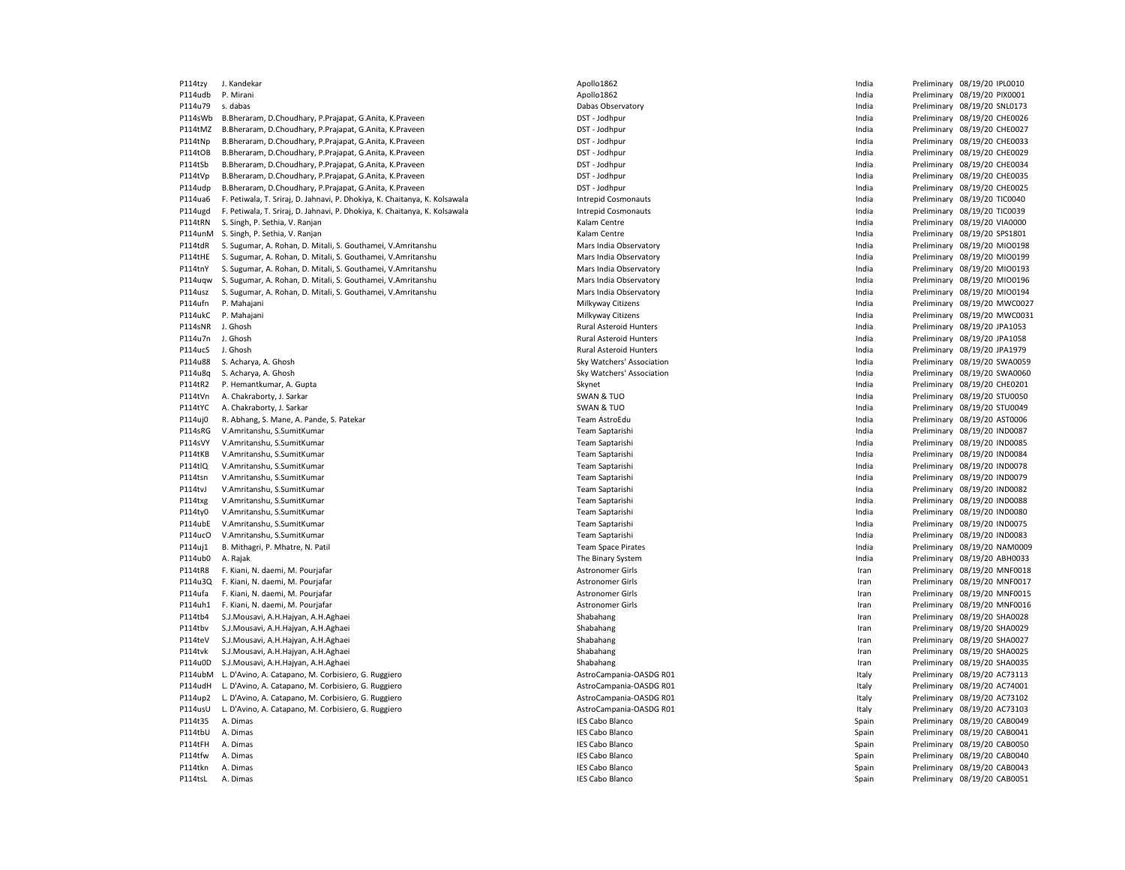P114tzy J. Kandekar Apollo1862 India Preliminary 08/19/20 IPL0010 P114udb P. Mirani Nirani 2001/2012 PM 2020101862 Apollo1862 Apollo1862 Preliminary 08/19/20 PIX0001 P114u79 s. dabas Dabas Observatory India Preliminary 08/19/20 SNL0173 P114sWb B.Bheraram, D.Choudhary, P.Prajapat, G.Anita, K.Praveen DST - Jodhpur DST - Jodhpur India Preliminary 08/19/20 CHE0026 P114tMZ B.Bheraram, D.Choudhary, P.Prajapat, G.Anita, K.Praveen DST - Jodhpur DST - Jodhpur DST - Jodhpur DST - Jodhpur DST - Jodhpur India Preliminary 08/19/20 CHEO027 P114tNp B.Bheraram, D.Choudhary, P.Prajapat, G.Anita, K.Praveen DST - DOST - Jodhpur DST - Jodhpur India Preliminary 08/19/20 CHE0033 P114tOB B.Bheraram, D.Choudhary, P.Prajapat, G.Anita, K.Praveen DST - Jodhpur DST - Jodhpur DST - Jodhpur DST - Jodhpur DST - Jodhpur India Preliminary 08/19/20 CHEO029 P114tSb B.Bheraram, D.Choudhary, P.Prajapat, G.Anita, K.Praveen DST - Jodhpur DST - Jodhpur DST - Jodhpur DST - Jodhpur DST - Jodhpur DST - Jodhpur DST - Jodhpur DST - Jodhpur DST - Jodhpur DST - Jodhpur DST - Jodhpur DST P114tVp B.Bheraram, D.Choudhary, P.Prajapat, G.Anita, K.Praveen DST - Jodhpur DST - Jodhpur India Preliminary 08/19/20 CHE0035 P114udp B.Bheraram, D.Choudhary, P.Prajapat, G.Anita, K.Praveen **DST - Doman DET - Jodhpur** DST - Jodhpur **Preliminary 08/19/20 CHEOO25** P114ua6 F. Petiwala, T. Sriraj, D. Jahnavi, P. Dhokiya, K. Chaitanya, K. Kolsawala Intrepid Cosmonauts Intrepid Cosmonauts India Preliminary 08/19/20 TIC0040 P114ugd F. Petiwala, T. Sriraj, D. Jahnavi, P. Dhokiya, K. Chaitanya, K. Kolsawala Intrepid Cosmonauts Intepid Cosmonauts Interpid Cosmonauts India Preliminary 08/19/20 TIC0039 P114tRN S. Singh, P. Sethia, V. Ranjan Kalam Centre Channel Centre Channel Centre Channel Centre Channel Channel Channel Channel Channel Channel Channel Channel Channel Channel Channel Channel Channel Channel Channel Chann er Putation S. Singh, P. Sethia, V. Ranjan (Philam Centre 1999) and the United States of the United States of the United States of Preliminary 1991-19/20 SPS1801<br>Printing S. Surumar. A. Rohan. D. Mitali. S. Gouthamei. V. A P114tdR S. Sugumar, A. Rohan, D. Mitali, S. Gouthamei, V.Amritanshu Mars India Duservatory Mars India Doservatory Mars India Preliminary 08/19/20 MIO0198 P114tHE S. Sugumar, A. Rohan, D. Mitali, S. Gouthamei, V.Amritanshu Mars India Dhervatory Mars India Preliminary 08/19/20 MIO0199 P114tnY S. Sugumar, A. Rohan, D. Mitali, S. Gouthamei, V.Amritanshu Mars India Dhervatory Mars India Preliminary 08/19/20 MIO0193 P114uqw S. Sugumar, A. Rohan, D. Mitali, S. Gouthamei, V.Amritanshu Mars India Dhervatory Mars India Preliminary 08/19/20 MIO0196 P114usz S. Sugumar, A. Rohan, D. Mitali, S. Gouthamei, V.Amritanshu Mars India Dhervatory Mars India Preliminary 08/19/20 MIO0194 P114ufn P. Mahajani **Milkyway Citizens Milkyway Citizens** Milkyway Citizens **India** Preliminary 08/19/20 MWC0027 P114ukC P. Mahajani **Philkyway Citizens** Milkyway Citizens Milkyway Citizens and the man of the Preliminary 08/19/20 MWC0031 P114sNR J. Ghosh **Rural Asteroid Hunters** Rural Asteroid Hunters **Rural Asteroid Hunters** Preliminary 08/19/20 JPA1053 P114u7n J. Ghosh Rural Asteroid Hunters India Preliminary 08/19/20 JPA1058 P114ucS J. Ghosh Rural Asteroid Hunters India Preliminary 08/19/20 JPA1979 P114u88 S. Acharya, A. Ghosh Sky Watchers' Association Sky Watchers' Association Channel Design and the Preliminary 08/19/20 SWA0059 P114u8q S. Acharya, A. Ghosh Sky Watchers' Association Sky Watchers' Association Sky Watchers' Association Sky Watchers' Association India Preliminary 08/19/20 SWA0060 P114tR2 P. Hemantkumar, A. Gupta Skynet Skynet Skynet Skynet Skynet Skynet Skynet India Preliminary 08/19/20 CHEO201 P114tVn A. Chakraborty, J. Sarkar SWAN Brown Charles and SWAN & TUO SWAN & TUO Charles and the charles of the Preliminary 08/19/20 STU0050 P114tYC A. Chakraborty, J. Sarkar SWAN SWAN BOOK SWAN & TUO SWAN & TUO INDIA Preliminary 08/19/20 STU0049 P114uj0 R. Abhang, S. Mane, A. Pande, S. Patekar New States of Team AstroEdu India Preliminary 08/19/20 AST0006 P114sRG V.Amritanshu, S.SumitKumar Team Saptarishi India Preliminary 08/19/20 IND0087 P114sVY V.Amritanshu, S.SumitKumar Team Saptarishi India Preliminary 08/19/20 IND0085 P114tKB V.Amritanshu, S.SumitKumar Team Saptarishi India Preliminary 08/19/20 IND0084 P114tlQ V.Amritanshu, S.SumitKumar Team Saptarishi India Preliminary 08/19/20 IND0078 P114tsn V.Amritanshu, S.SumitKumar Team Saptarishi India Preliminary 08/19/20 IND0079 P114tvJ V.Amritanshu, S.SumitKumar Team Saptarishi India Preliminary 08/19/20 IND0082 P114txg V.Amritanshu, S.SumitKumar Team Saptarishi India Preliminary 08/19/20 IND0088 P114ty0 V.Amritanshu, S.SumitKumar exament samata samata samata samata da ay kanada ay kanada ay kanada ay kanada magaalada ay kanada ay kanada ay kanada ay kanada ay kanada ay kanada ay kanada ay kanada ay kanada ay kanad P114ubE V.Amritanshu, S.SumitKumar Team Saptarishi India Preliminary 08/19/20 IND0075 P114ucO V.Amritanshu, S.SumitKumar Team Saptarishi India Preliminary 08/19/20 IND0083 P114uj1 B. Mithagri, P. Mhatre, N. Patil Charles and Charles Charles Team Space Pirates Charles India Preliminary 08/19/20 NAM0009 P114ub0 A. Rajak Preliminary 08/19/20 ABH0033 P114tR8 F. Kiani, N. daemi, M. Pourjafar etic and the state of the state of the state of the state of the state of the state of the state of the state of the state of the state of the state of the state of the state of the P114u3Q F. Kiani, N. daemi, M. Pourjafar entertainment and the stronomer Girls Christian Communication of the communication of the communication of the communication of the communication of the communication of the communi P114ufa F. Kiani, N. daemi, M. Pourjafar entropy and the stronomer Girls Astronomer Girls International Preliminary 08/19/20 MNF0015 P114uh1 F. Kiani, N. daemi, M. Pourjafar and the material control of the Mathemater Astronomer Girls Company and the Mathemater of Preliminary 08/19/20 MNF0016 P114tb4 S.J.Mousavi, A.H.Hajyan, A.H.Aghaei Shabahang Shabahang Shabahang Shabahang Shabahang Preliminary 08/19/20 SHA0028 P114tbv S.J.Mousavi, A.H.Hajyan, A.H.Aghaei Shabahang Shabahang Shabahang Shabahang Iran Preliminary 08/19/20 SHA0029 P114teV S.J.Mousavi, A.H.Hajyan, A.H.Aghaei Shabahang Shabahang Shabahang Shabahang Iran Preliminary 08/19/20 SHA0027 P114tvk S.J.Mousavi, A.H.Hajyan, A.H.Aghaei Shabahang Shabahang Shabahang Shabahang Shabahang Preliminary 08/19/20 SHA0025 P114u0D S.J.Mousavi, A.H.Hajyan, A.H.Aghaei Shabahang Shabahang Shabahang Shabahang Shabahang Preliminary 08/19/20 SHA0035 P114ubM L. D'Avino, A. Catapano, M. Corbisiero, G. Ruggiero AstroCampania-OASDG RO1 Preliminary 08/19/20 AC73113 Preliminary 08/19/20 AC73113 P114udH L. D'Avino, A. Catapano, M. Corbisiero, G. Ruggiero AstroCampania-OASDG RO1 Preliminary 08/19/20 AC74001 Preliminary 08/19/20 AC74001 P114up2 L. D'Avino, A. Catapano, M. Corbisiero, G. Ruggiero en este en este en este en estroCampania-OASDG R01 and astroCampania-OASDG R01 and astroCampania-OASDG R01 and astroCampania-OASDG R01 and astroCampania-OASDG R01 P114usU L. D'Avino, A. Catapano, M. Corbisiero, G. Ruggiero AstroCampania-OASDG RO1 Preliminary 08/19/20 AC73103 Preliminary 08/19/20 AC73103 P114t35 A. Dimas New Spain Preliminary 08/19/20 CAB0049 P114tbU A. Dimas Preliminary 08/19/20 CAB0041 Note that the Scale Blanco Spain Spain Preliminary 08/19/20 CAB0041 P114tFH A. Dimas example and the set of the set of the set of the SCabo Blanco Spain Spain Preliminary 08/19/20 CAB0050 P114tfw A. Dimas example and the set of the set of the Scale Blanco Spain Spain Preliminary 08/19/20 CAB0040 P114tkn A. Dimas example and the set of the set of the Scale Blanco Spain Spain Preliminary 08/19/20 CAB0043 P114tsL A. Dimas example and the set of the set of the SC Cabo Blanco CES Cabo Blanco Spain Preliminary 08/19/20 CAB0051